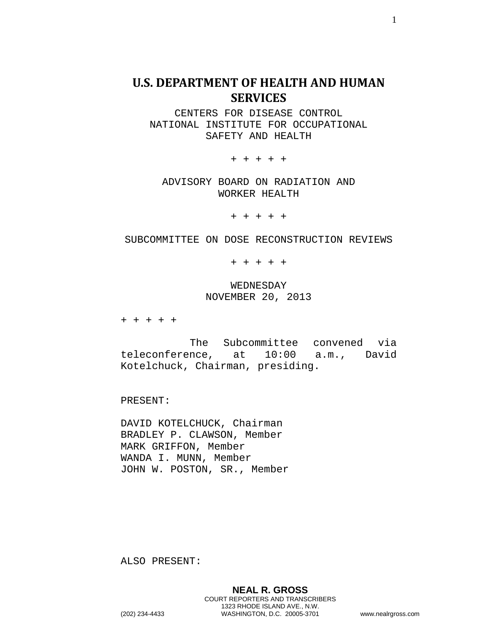# **U.S. DEPARTMENT OF HEALTH AND HUMAN SERVICES**

CENTERS FOR DISEASE CONTROL NATIONAL INSTITUTE FOR OCCUPATIONAL SAFETY AND HEALTH

+ + + + +

ADVISORY BOARD ON RADIATION AND WORKER HEALTH

+ + + + +

SUBCOMMITTEE ON DOSE RECONSTRUCTION REVIEWS

+ + + + +

WEDNESDAY NOVEMBER 20, 2013

+ + + + +

The Subcommittee convened via<br>nce, at 10:00 a.m., David teleconference, at Kotelchuck, Chairman, presiding.

PRESENT:

DAVID KOTELCHUCK, Chairman BRADLEY P. CLAWSON, Member MARK GRIFFON, Member WANDA I. MUNN, Member JOHN W. POSTON, SR., Member

ALSO PRESENT: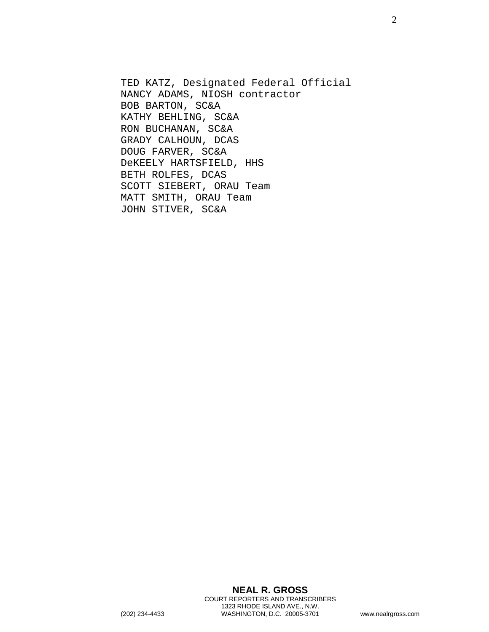TED KATZ, Designated Federal Official NANCY ADAMS, NIOSH contractor BOB BARTON, SC&A KATHY BEHLING, SC&A RON BUCHANAN, SC&A GRADY CALHOUN, DCAS DOUG FARVER, SC&A DeKEELY HARTSFIELD, HHS BETH ROLFES, DCAS SCOTT SIEBERT, ORAU Team MATT SMITH, ORAU Team JOHN STIVER, SC&A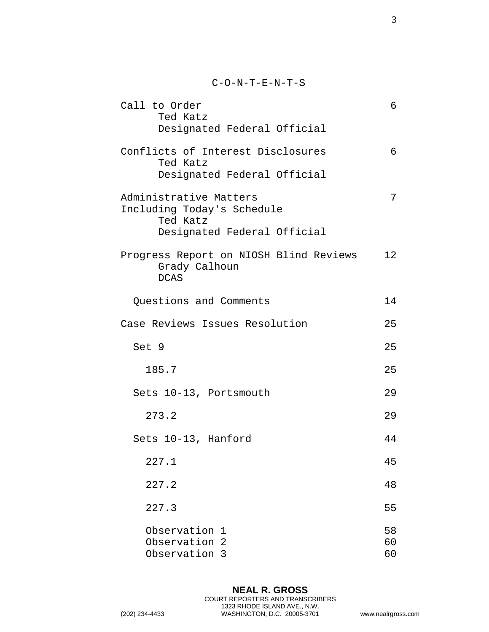C-O-N-T-E-N-T-S

| Call to Order<br>Ted Katz                                              | 6               |
|------------------------------------------------------------------------|-----------------|
| Designated Federal Official                                            |                 |
| Conflicts of Interest Disclosures<br>Ted Katz                          | 6               |
| Designated Federal Official                                            |                 |
| Administrative Matters<br>Including Today's Schedule<br>Ted Katz       | 7               |
| Designated Federal Official                                            |                 |
| Progress Report on NIOSH Blind Reviews<br>Grady Calhoun<br><b>DCAS</b> | 12 <sup>°</sup> |
| Questions and Comments                                                 | 14              |
| Case Reviews Issues Resolution                                         | 25              |
| Set 9                                                                  | 25              |
| 185.7                                                                  | 25              |
| Sets 10-13, Portsmouth                                                 | 29              |
| 273.2                                                                  | 29              |
| Sets 10-13, Hanford                                                    | 44              |
| 227.1                                                                  | 45              |
| 227.2                                                                  | 48              |
| 227.3                                                                  | 55              |
| Observation<br>-1<br>Observation<br>2<br>Observation 3                 | 58<br>60<br>60  |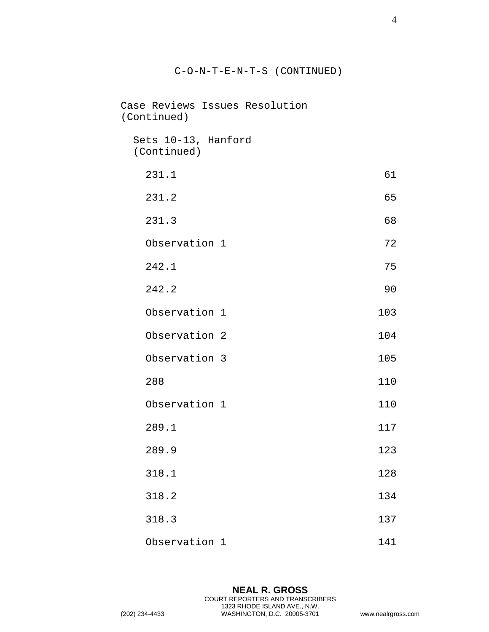| Case Reviews Issues Resolution<br>(Continued) |     |
|-----------------------------------------------|-----|
| Sets 10-13, Hanford<br>(Continued)            |     |
| 231.1                                         | 61  |
| 231.2                                         | 65  |
| 231.3                                         | 68  |
| Observation 1                                 | 72  |
| 242.1                                         | 75  |
| 242.2                                         | 90  |
| Observation 1                                 | 103 |
| Observation 2                                 | 104 |
| Observation 3                                 | 105 |
| 288                                           | 110 |
| Observation 1                                 | 110 |
| 289.1                                         | 117 |
| 289.9                                         | 123 |
| 318.1                                         | 128 |
| 318.2                                         | 134 |
| 318.3                                         | 137 |
| Observation 1                                 | 141 |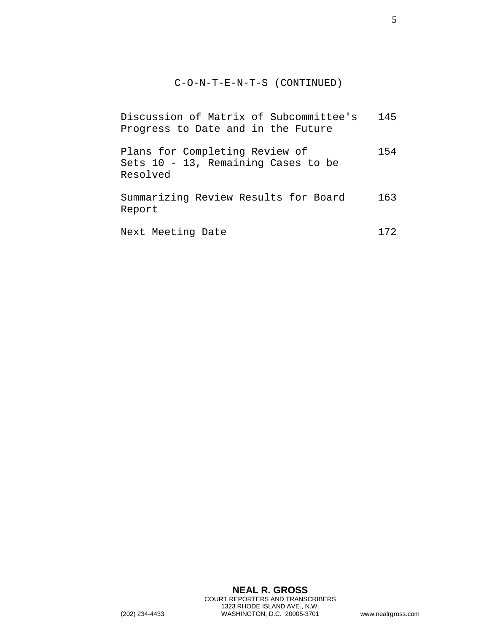## C-O-N-T-E-N-T-S (CONTINUED)

| Discussion of Matrix of Subcommittee's<br>Progress to Date and in the Future      | 145 |
|-----------------------------------------------------------------------------------|-----|
| Plans for Completing Review of<br>Sets 10 - 13, Remaining Cases to be<br>Resolved | 154 |
| Summarizing Review Results for Board<br>Report                                    | 163 |
| Next Meeting Date                                                                 | 172 |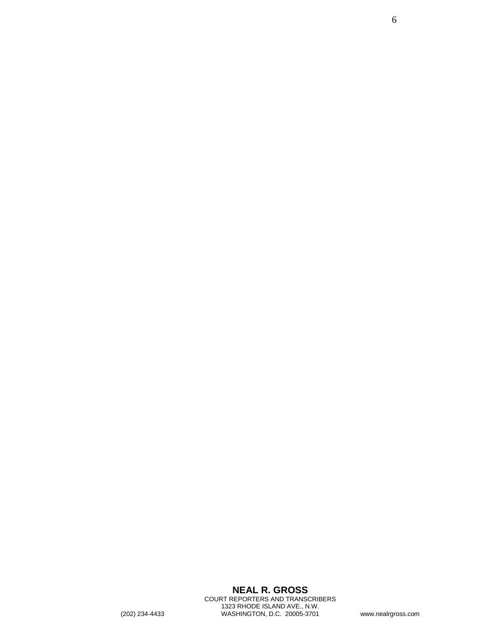#### **NEAL R. GROSS** COURT REPORTERS AND TRANSCRIBERS 1323 RHODE ISLAND AVE., N.W. (202) 234-4433 WASHINGTON, D.C. 20005-3701 www.nealrgross.com

6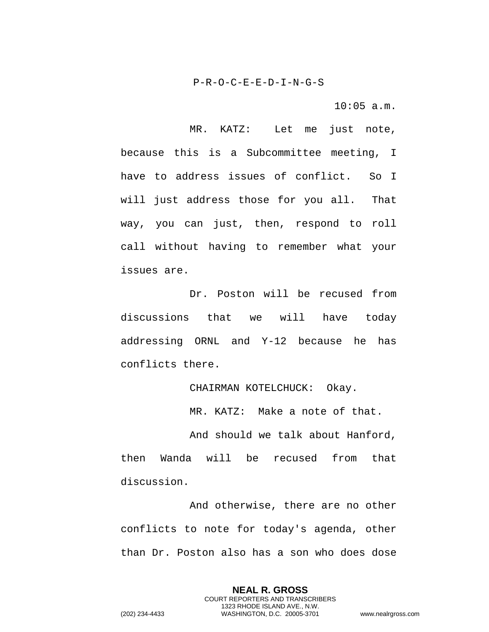#### P-R-O-C-E-E-D-I-N-G-S

10:05 a.m.

MR. KATZ: Let me just note, because this is a Subcommittee meeting, I have to address issues of conflict. So I will just address those for you all. That way, you can just, then, respond to roll call without having to remember what your issues are.

Dr. Poston will be recused from discussions that we will have today addressing ORNL and Y-12 because he has conflicts there.

CHAIRMAN KOTELCHUCK: Okay.

MR. KATZ: Make a note of that.

And should we talk about Hanford, then Wanda will be recused from that discussion.

And otherwise, there are no other conflicts to note for today's agenda, other than Dr. Poston also has a son who does dose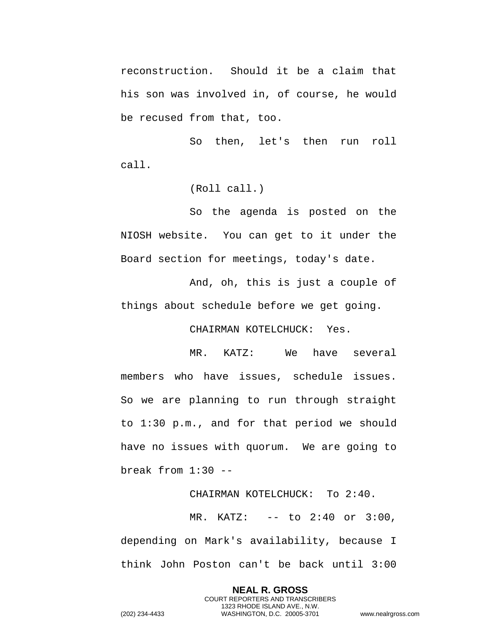reconstruction. Should it be a claim that his son was involved in, of course, he would be recused from that, too.

So then, let's then run roll call.

(Roll call.)

So the agenda is posted on the NIOSH website. You can get to it under the Board section for meetings, today's date.

And, oh, this is just a couple of things about schedule before we get going.

CHAIRMAN KOTELCHUCK: Yes.

MR. KATZ: We have several members who have issues, schedule issues. So we are planning to run through straight to 1:30 p.m., and for that period we should have no issues with quorum. We are going to break from 1:30 --

MR. KATZ: -- to 2:40 or 3:00, depending on Mark's availability, because I think John Poston can't be back until 3:00

CHAIRMAN KOTELCHUCK: To 2:40.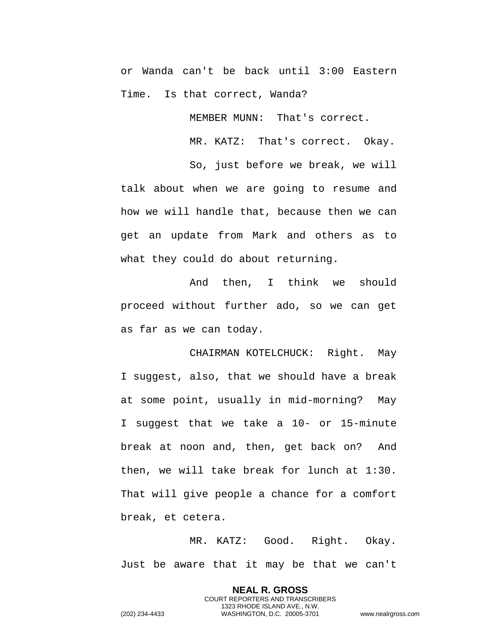or Wanda can't be back until 3:00 Eastern Time. Is that correct, Wanda?

MEMBER MUNN: That's correct.

MR. KATZ: That's correct. Okay.

So, just before we break, we will talk about when we are going to resume and how we will handle that, because then we can get an update from Mark and others as to what they could do about returning.

And then, I think we should proceed without further ado, so we can get as far as we can today.

CHAIRMAN KOTELCHUCK: Right. May I suggest, also, that we should have a break at some point, usually in mid-morning? May I suggest that we take a 10- or 15-minute break at noon and, then, get back on? And then, we will take break for lunch at 1:30. That will give people a chance for a comfort break, et cetera.

MR. KATZ: Good. Right. Okay. Just be aware that it may be that we can't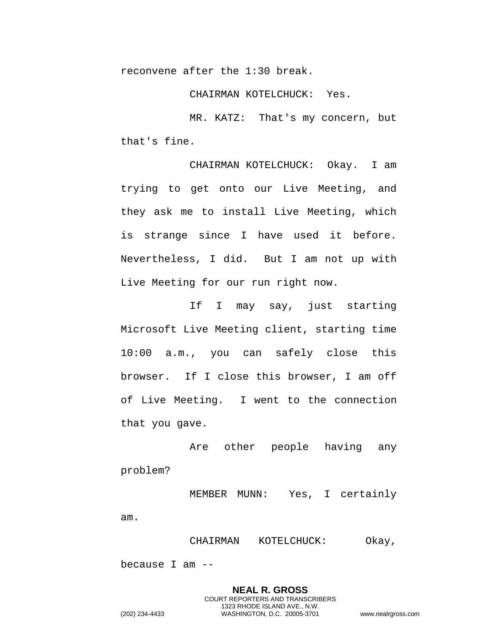reconvene after the 1:30 break.

CHAIRMAN KOTELCHUCK: Yes.

MR. KATZ: That's my concern, but that's fine.

CHAIRMAN KOTELCHUCK: Okay. I am trying to get onto our Live Meeting, and they ask me to install Live Meeting, which is strange since I have used it before. Nevertheless, I did. But I am not up with Live Meeting for our run right now.

If I may say, just starting Microsoft Live Meeting client, starting time 10:00 a.m., you can safely close this browser. If I close this browser, I am off of Live Meeting. I went to the connection that you gave.

Are other people having any problem?

MEMBER MUNN: Yes, I certainly am.

CHAIRMAN KOTELCHUCK: Okay,

because I am --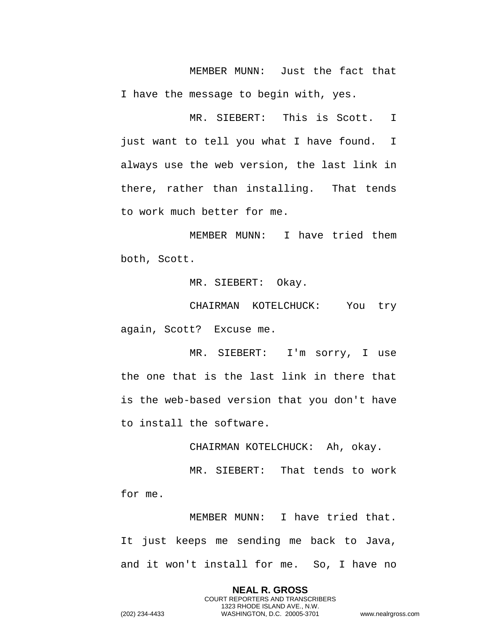MEMBER MUNN: Just the fact that I have the message to begin with, yes.

MR. SIEBERT: This is Scott. I just want to tell you what I have found. I always use the web version, the last link in there, rather than installing. That tends to work much better for me.

MEMBER MUNN: I have tried them both, Scott.

MR. SIEBERT: Okay.

CHAIRMAN KOTELCHUCK: You try again, Scott? Excuse me.

MR. SIEBERT: I'm sorry, I use the one that is the last link in there that is the web-based version that you don't have to install the software.

CHAIRMAN KOTELCHUCK: Ah, okay.

MR. SIEBERT: That tends to work for me.

MEMBER MUNN: I have tried that. It just keeps me sending me back to Java, and it won't install for me. So, I have no

> **NEAL R. GROSS** COURT REPORTERS AND TRANSCRIBERS 1323 RHODE ISLAND AVE., N.W.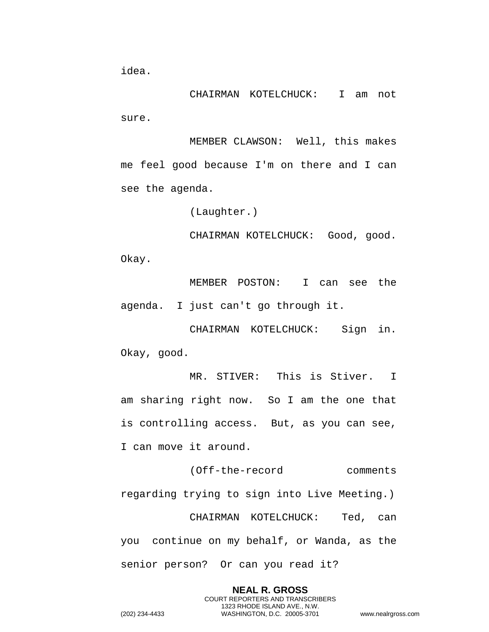idea.

CHAIRMAN KOTELCHUCK: I am not sure.

MEMBER CLAWSON: Well, this makes me feel good because I'm on there and I can see the agenda.

(Laughter.)

CHAIRMAN KOTELCHUCK: Good, good. Okay.

MEMBER POSTON: I can see the agenda. I just can't go through it.

CHAIRMAN KOTELCHUCK: Sign in. Okay, good.

MR. STIVER: This is Stiver. I am sharing right now. So I am the one that is controlling access. But, as you can see, I can move it around.

(Off-the-record comments regarding trying to sign into Live Meeting.) CHAIRMAN KOTELCHUCK: Ted, can you continue on my behalf, or Wanda, as the senior person? Or can you read it?

> **NEAL R. GROSS** COURT REPORTERS AND TRANSCRIBERS 1323 RHODE ISLAND AVE., N.W.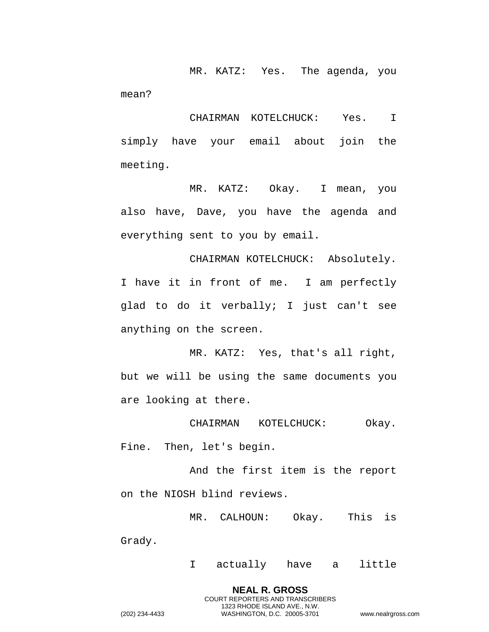MR. KATZ: Yes. The agenda, you mean?

CHAIRMAN KOTELCHUCK: Yes. I simply have your email about join the meeting.

MR. KATZ: Okay. I mean, you also have, Dave, you have the agenda and everything sent to you by email.

CHAIRMAN KOTELCHUCK: Absolutely. I have it in front of me. I am perfectly glad to do it verbally; I just can't see anything on the screen.

MR. KATZ: Yes, that's all right, but we will be using the same documents you are looking at there.

CHAIRMAN KOTELCHUCK: Okay. Fine. Then, let's begin.

And the first item is the report on the NIOSH blind reviews.

MR. CALHOUN: Okay. This is Grady.

I actually have a little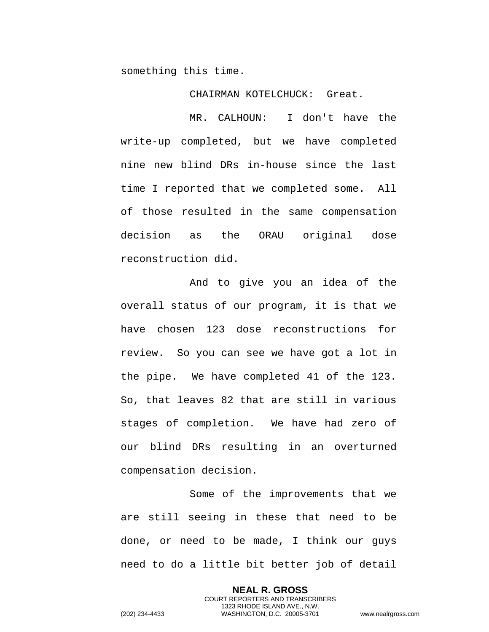something this time.

CHAIRMAN KOTELCHUCK: Great.

MR. CALHOUN: I don't have the write-up completed, but we have completed nine new blind DRs in-house since the last time I reported that we completed some. All of those resulted in the same compensation decision as the ORAU original dose reconstruction did.

And to give you an idea of the overall status of our program, it is that we have chosen 123 dose reconstructions for review. So you can see we have got a lot in the pipe. We have completed 41 of the 123. So, that leaves 82 that are still in various stages of completion. We have had zero of our blind DRs resulting in an overturned compensation decision.

Some of the improvements that we are still seeing in these that need to be done, or need to be made, I think our guys need to do a little bit better job of detail

> **NEAL R. GROSS** COURT REPORTERS AND TRANSCRIBERS 1323 RHODE ISLAND AVE., N.W.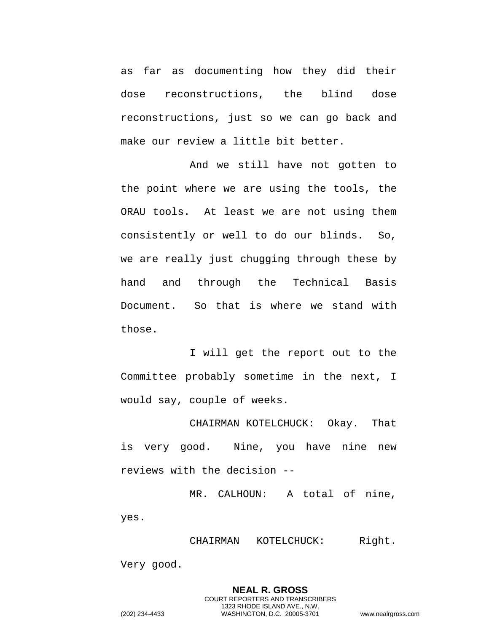as far as documenting how they did their dose reconstructions, the blind dose reconstructions, just so we can go back and make our review a little bit better.

And we still have not gotten to the point where we are using the tools, the ORAU tools. At least we are not using them consistently or well to do our blinds. So, we are really just chugging through these by hand and through the Technical Basis Document. So that is where we stand with those.

I will get the report out to the Committee probably sometime in the next, I would say, couple of weeks.

CHAIRMAN KOTELCHUCK: Okay. That is very good. Nine, you have nine new reviews with the decision --

MR. CALHOUN: A total of nine, yes.

CHAIRMAN KOTELCHUCK: Right.

Very good.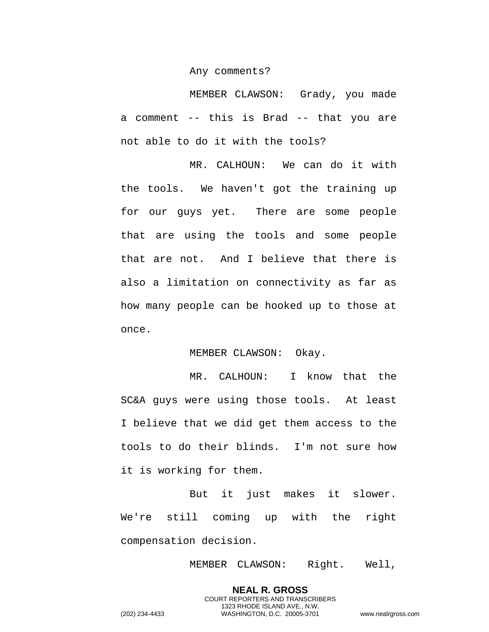Any comments?

MEMBER CLAWSON: Grady, you made a comment -- this is Brad -- that you are not able to do it with the tools?

MR. CALHOUN: We can do it with the tools. We haven't got the training up for our guys yet. There are some people that are using the tools and some people that are not. And I believe that there is also a limitation on connectivity as far as how many people can be hooked up to those at once.

### MEMBER CLAWSON: Okay.

MR. CALHOUN: I know that the SC&A guys were using those tools. At least I believe that we did get them access to the tools to do their blinds. I'm not sure how it is working for them.

But it just makes it slower. We're still coming up with the right compensation decision.

MEMBER CLAWSON: Right. Well,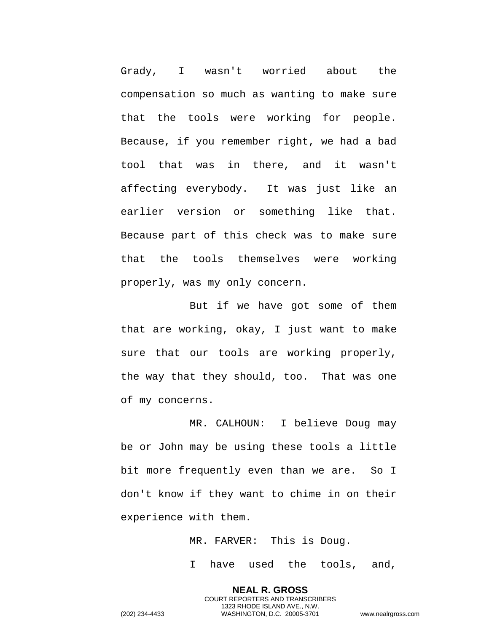Grady, I wasn't worried about the compensation so much as wanting to make sure that the tools were working for people. Because, if you remember right, we had a bad tool that was in there, and it wasn't affecting everybody. It was just like an earlier version or something like that. Because part of this check was to make sure that the tools themselves were working properly, was my only concern.

But if we have got some of them that are working, okay, I just want to make sure that our tools are working properly, the way that they should, too. That was one of my concerns.

MR. CALHOUN: I believe Doug may be or John may be using these tools a little bit more frequently even than we are. So I don't know if they want to chime in on their experience with them.

MR. FARVER: This is Doug.

I have used the tools, and,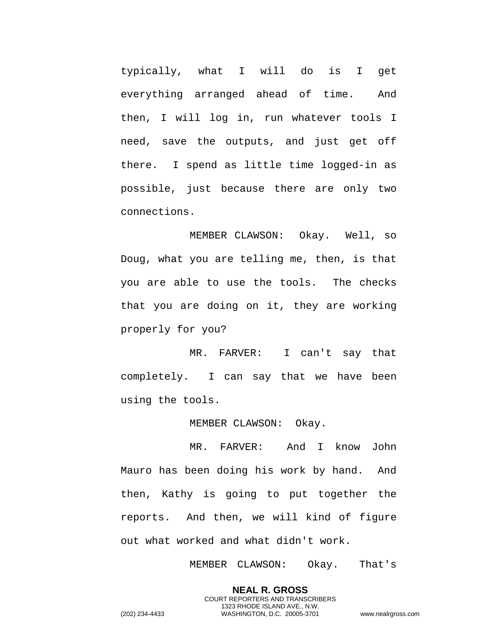typically, what I will do is I get everything arranged ahead of time. And then, I will log in, run whatever tools I need, save the outputs, and just get off there. I spend as little time logged-in as possible, just because there are only two connections.

MEMBER CLAWSON: Okay. Well, so Doug, what you are telling me, then, is that you are able to use the tools. The checks that you are doing on it, they are working properly for you?

MR. FARVER: I can't say that completely. I can say that we have been using the tools.

MEMBER CLAWSON: Okay.

MR. FARVER: And I know John Mauro has been doing his work by hand. And then, Kathy is going to put together the reports. And then, we will kind of figure out what worked and what didn't work.

MEMBER CLAWSON: Okay. That's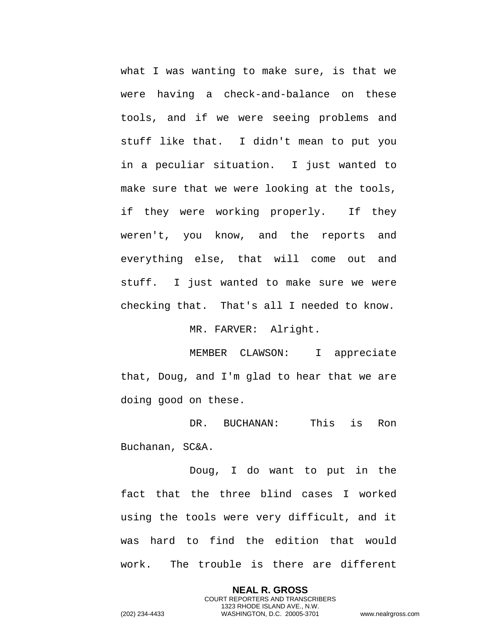what I was wanting to make sure, is that we were having a check-and-balance on these tools, and if we were seeing problems and stuff like that. I didn't mean to put you in a peculiar situation. I just wanted to make sure that we were looking at the tools, if they were working properly. If they weren't, you know, and the reports and everything else, that will come out and stuff. I just wanted to make sure we were checking that. That's all I needed to know.

MR. FARVER: Alright.

MEMBER CLAWSON: I appreciate that, Doug, and I'm glad to hear that we are doing good on these.

DR. BUCHANAN: This is Ron Buchanan, SC&A.

Doug, I do want to put in the fact that the three blind cases I worked using the tools were very difficult, and it was hard to find the edition that would work. The trouble is there are different

> **NEAL R. GROSS** COURT REPORTERS AND TRANSCRIBERS 1323 RHODE ISLAND AVE., N.W.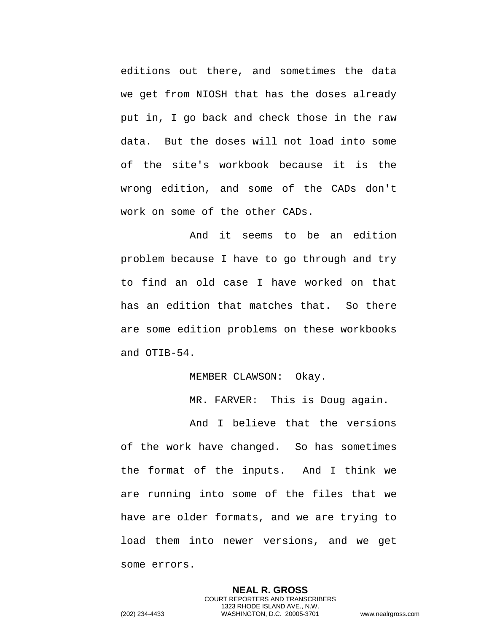editions out there, and sometimes the data we get from NIOSH that has the doses already put in, I go back and check those in the raw data. But the doses will not load into some of the site's workbook because it is the wrong edition, and some of the CADs don't work on some of the other CADs.

And it seems to be an edition problem because I have to go through and try to find an old case I have worked on that has an edition that matches that. So there are some edition problems on these workbooks and OTIB-54.

#### MEMBER CLAWSON: Okay.

MR. FARVER: This is Doug again.

And I believe that the versions of the work have changed. So has sometimes the format of the inputs. And I think we are running into some of the files that we have are older formats, and we are trying to load them into newer versions, and we get some errors.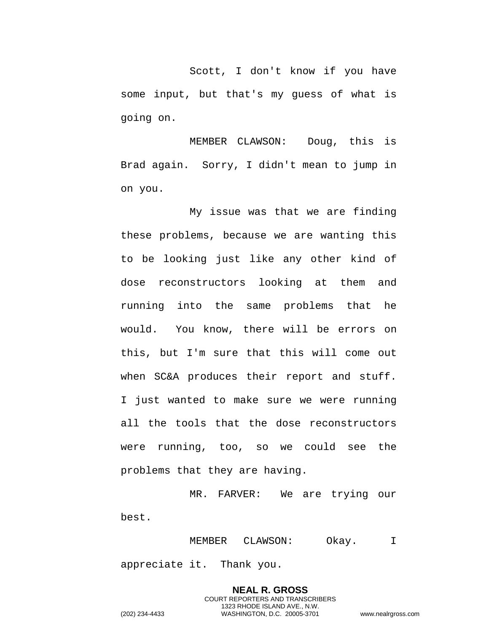Scott, I don't know if you have some input, but that's my guess of what is going on.

MEMBER CLAWSON: Doug, this is Brad again. Sorry, I didn't mean to jump in on you.

My issue was that we are finding these problems, because we are wanting this to be looking just like any other kind of dose reconstructors looking at them and running into the same problems that he would. You know, there will be errors on this, but I'm sure that this will come out when SC&A produces their report and stuff. I just wanted to make sure we were running all the tools that the dose reconstructors were running, too, so we could see the problems that they are having.

MR. FARVER: We are trying our best.

MEMBER CLAWSON: Okay. I appreciate it. Thank you.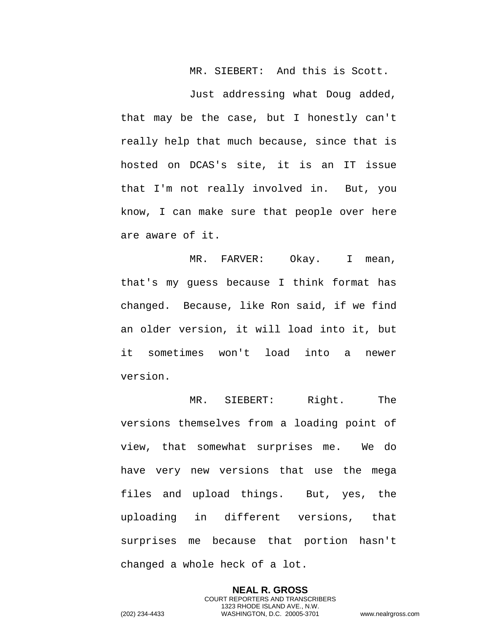MR. SIEBERT: And this is Scott.

Just addressing what Doug added, that may be the case, but I honestly can't really help that much because, since that is hosted on DCAS's site, it is an IT issue that I'm not really involved in. But, you know, I can make sure that people over here are aware of it.

MR. FARVER: Okay. I mean, that's my guess because I think format has changed. Because, like Ron said, if we find an older version, it will load into it, but it sometimes won't load into a newer version.

MR. SIEBERT: Right. The versions themselves from a loading point of view, that somewhat surprises me. We do have very new versions that use the mega files and upload things. But, yes, the uploading in different versions, that surprises me because that portion hasn't changed a whole heck of a lot.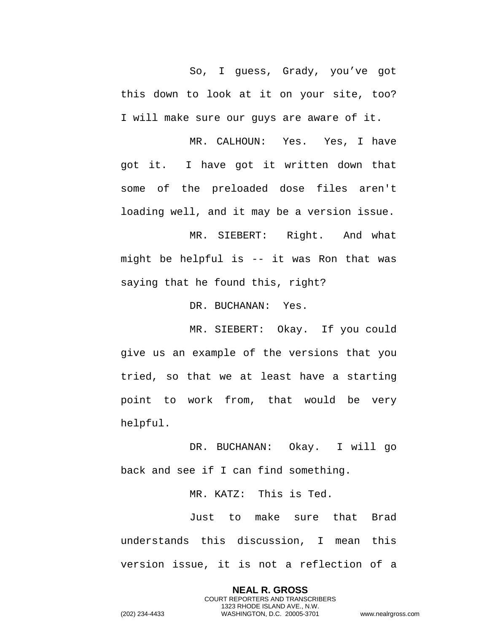So, I guess, Grady, you've got this down to look at it on your site, too? I will make sure our guys are aware of it.

MR. CALHOUN: Yes. Yes, I have got it. I have got it written down that some of the preloaded dose files aren't loading well, and it may be a version issue.

MR. SIEBERT: Right. And what might be helpful is -- it was Ron that was saying that he found this, right?

DR. BUCHANAN: Yes.

MR. SIEBERT: Okay. If you could give us an example of the versions that you tried, so that we at least have a starting point to work from, that would be very helpful.

DR. BUCHANAN: Okay. I will go back and see if I can find something.

MR. KATZ: This is Ted.

Just to make sure that Brad understands this discussion, I mean this version issue, it is not a reflection of a

> **NEAL R. GROSS** COURT REPORTERS AND TRANSCRIBERS 1323 RHODE ISLAND AVE., N.W.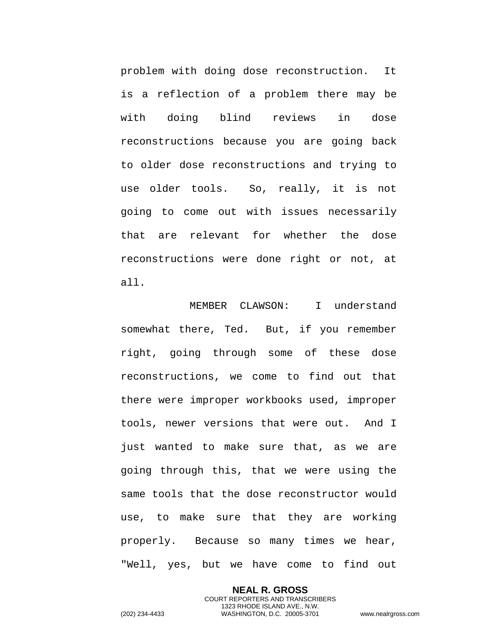problem with doing dose reconstruction. It is a reflection of a problem there may be with doing blind reviews in dose reconstructions because you are going back to older dose reconstructions and trying to use older tools. So, really, it is not going to come out with issues necessarily that are relevant for whether the dose reconstructions were done right or not, at all.

MEMBER CLAWSON: I understand somewhat there, Ted. But, if you remember right, going through some of these dose reconstructions, we come to find out that there were improper workbooks used, improper tools, newer versions that were out. And I just wanted to make sure that, as we are going through this, that we were using the same tools that the dose reconstructor would use, to make sure that they are working properly. Because so many times we hear, "Well, yes, but we have come to find out

> **NEAL R. GROSS** COURT REPORTERS AND TRANSCRIBERS

1323 RHODE ISLAND AVE., N.W. (202) 234-4433 WASHINGTON, D.C. 20005-3701 www.nealrgross.com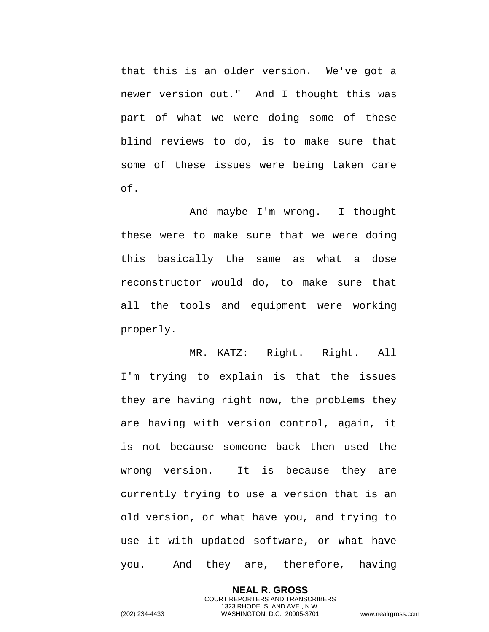that this is an older version. We've got a newer version out." And I thought this was part of what we were doing some of these blind reviews to do, is to make sure that some of these issues were being taken care of.

And maybe I'm wrong. I thought these were to make sure that we were doing this basically the same as what a dose reconstructor would do, to make sure that all the tools and equipment were working properly.

MR. KATZ: Right. Right. All I'm trying to explain is that the issues they are having right now, the problems they are having with version control, again, it is not because someone back then used the wrong version. It is because they are currently trying to use a version that is an old version, or what have you, and trying to use it with updated software, or what have you. And they are, therefore, having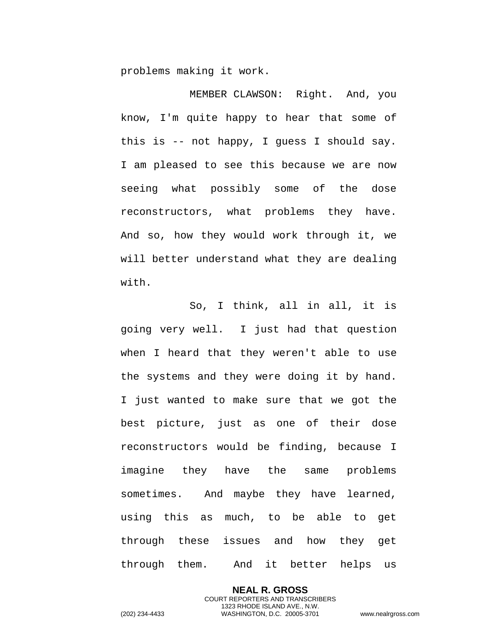problems making it work.

MEMBER CLAWSON: Right. And, you know, I'm quite happy to hear that some of this is -- not happy, I guess I should say. I am pleased to see this because we are now seeing what possibly some of the dose reconstructors, what problems they have. And so, how they would work through it, we will better understand what they are dealing with.

So, I think, all in all, it is going very well. I just had that question when I heard that they weren't able to use the systems and they were doing it by hand. I just wanted to make sure that we got the best picture, just as one of their dose reconstructors would be finding, because I imagine they have the same problems sometimes. And maybe they have learned, using this as much, to be able to get through these issues and how they get through them. And it better helps us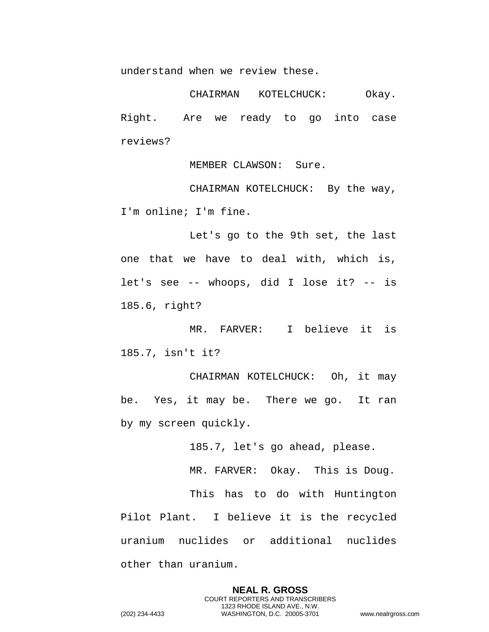understand when we review these.

CHAIRMAN KOTELCHUCK: Okay. Right. Are we ready to go into case reviews?

MEMBER CLAWSON: Sure.

CHAIRMAN KOTELCHUCK: By the way, I'm online; I'm fine.

Let's go to the 9th set, the last one that we have to deal with, which is, let's see -- whoops, did I lose it? -- is 185.6, right?

MR. FARVER: I believe it is 185.7, isn't it?

CHAIRMAN KOTELCHUCK: Oh, it may be. Yes, it may be. There we go. It ran by my screen quickly.

185.7, let's go ahead, please.

MR. FARVER: Okay. This is Doug.

This has to do with Huntington Pilot Plant. I believe it is the recycled uranium nuclides or additional nuclides other than uranium.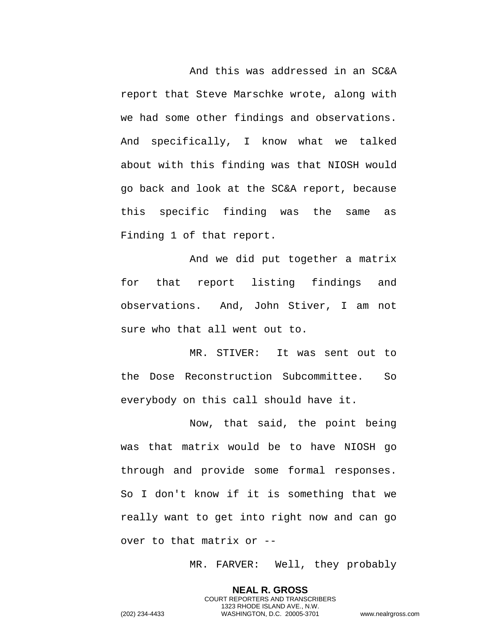And this was addressed in an SC&A report that Steve Marschke wrote, along with we had some other findings and observations. And specifically, I know what we talked about with this finding was that NIOSH would go back and look at the SC&A report, because this specific finding was the same as Finding 1 of that report.

And we did put together a matrix for that report listing findings and observations. And, John Stiver, I am not sure who that all went out to.

MR. STIVER: It was sent out to the Dose Reconstruction Subcommittee. So everybody on this call should have it.

Now, that said, the point being was that matrix would be to have NIOSH go through and provide some formal responses. So I don't know if it is something that we really want to get into right now and can go over to that matrix or --

MR. FARVER: Well, they probably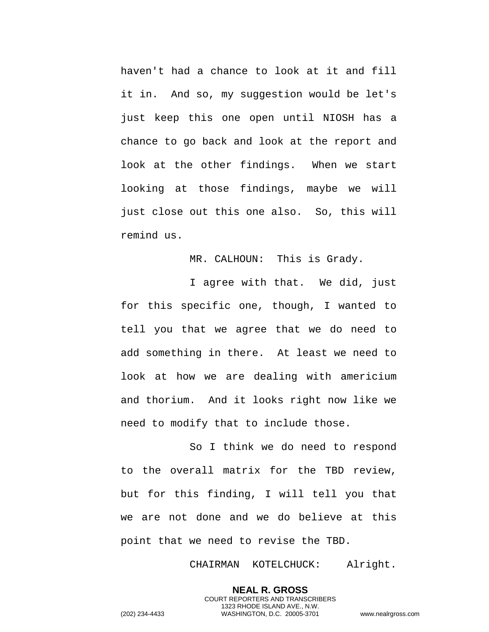haven't had a chance to look at it and fill it in. And so, my suggestion would be let's just keep this one open until NIOSH has a chance to go back and look at the report and look at the other findings. When we start looking at those findings, maybe we will just close out this one also. So, this will remind us.

MR. CALHOUN: This is Grady.

I agree with that. We did, just for this specific one, though, I wanted to tell you that we agree that we do need to add something in there. At least we need to look at how we are dealing with americium and thorium. And it looks right now like we need to modify that to include those.

So I think we do need to respond to the overall matrix for the TBD review, but for this finding, I will tell you that we are not done and we do believe at this point that we need to revise the TBD.

CHAIRMAN KOTELCHUCK: Alright.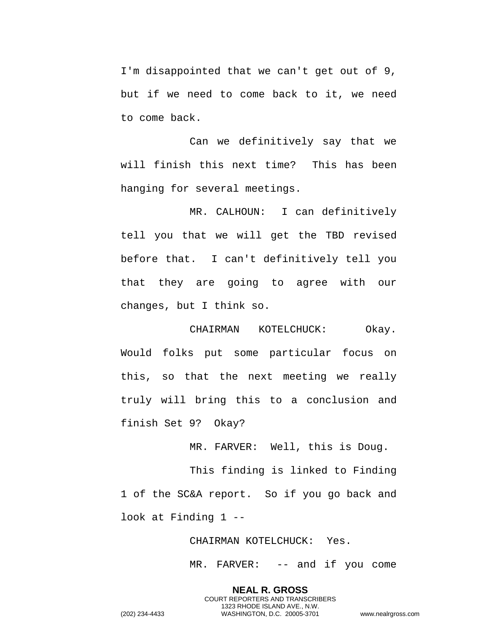I'm disappointed that we can't get out of 9, but if we need to come back to it, we need to come back.

Can we definitively say that we will finish this next time? This has been hanging for several meetings.

MR. CALHOUN: I can definitively tell you that we will get the TBD revised before that. I can't definitively tell you that they are going to agree with our changes, but I think so.

CHAIRMAN KOTELCHUCK: Okay. Would folks put some particular focus on this, so that the next meeting we really truly will bring this to a conclusion and finish Set 9? Okay?

MR. FARVER: Well, this is Doug.

This finding is linked to Finding 1 of the SC&A report. So if you go back and look at Finding 1 --

CHAIRMAN KOTELCHUCK: Yes.

MR. FARVER: -- and if you come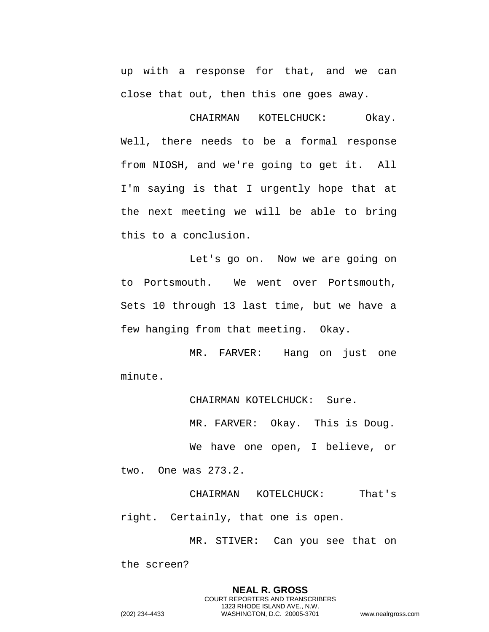up with a response for that, and we can close that out, then this one goes away.

CHAIRMAN KOTELCHUCK: Okay. Well, there needs to be a formal response from NIOSH, and we're going to get it. All I'm saying is that I urgently hope that at the next meeting we will be able to bring this to a conclusion.

Let's go on. Now we are going on to Portsmouth. We went over Portsmouth, Sets 10 through 13 last time, but we have a few hanging from that meeting. Okay.

MR. FARVER: Hang on just one minute.

CHAIRMAN KOTELCHUCK: Sure.

MR. FARVER: Okay. This is Doug.

We have one open, I believe, or two. One was 273.2.

CHAIRMAN KOTELCHUCK: That's right. Certainly, that one is open.

MR. STIVER: Can you see that on the screen?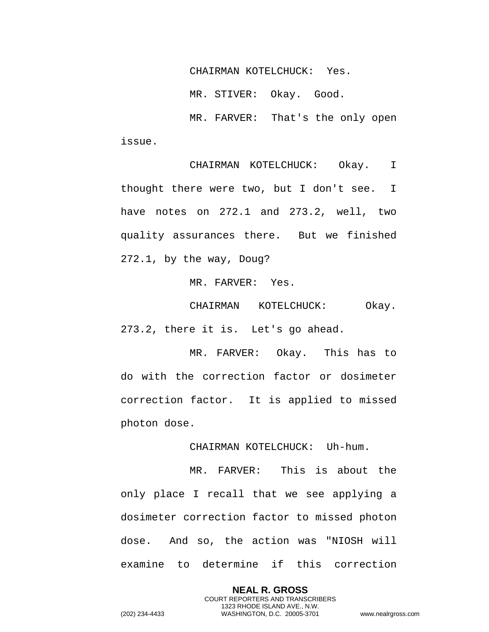CHAIRMAN KOTELCHUCK: Yes.

MR. STIVER: Okay. Good.

MR. FARVER: That's the only open issue.

CHAIRMAN KOTELCHUCK: Okay. I thought there were two, but I don't see. I have notes on 272.1 and 273.2, well, two quality assurances there. But we finished 272.1, by the way, Doug?

MR. FARVER: Yes.

CHAIRMAN KOTELCHUCK: Okay. 273.2, there it is. Let's go ahead.

MR. FARVER: Okay. This has to do with the correction factor or dosimeter correction factor. It is applied to missed photon dose.

CHAIRMAN KOTELCHUCK: Uh-hum.

MR. FARVER: This is about the only place I recall that we see applying a dosimeter correction factor to missed photon dose. And so, the action was "NIOSH will examine to determine if this correction

> **NEAL R. GROSS** COURT REPORTERS AND TRANSCRIBERS 1323 RHODE ISLAND AVE., N.W.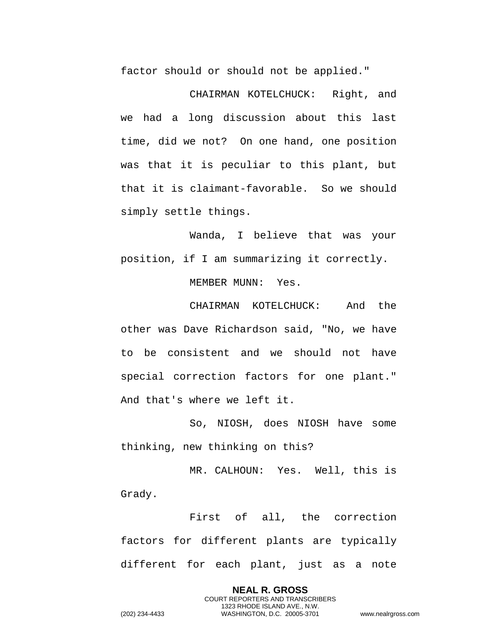factor should or should not be applied."

CHAIRMAN KOTELCHUCK: Right, and we had a long discussion about this last time, did we not? On one hand, one position was that it is peculiar to this plant, but that it is claimant-favorable. So we should simply settle things.

Wanda, I believe that was your position, if I am summarizing it correctly.

MEMBER MUNN: Yes.

CHAIRMAN KOTELCHUCK: And the other was Dave Richardson said, "No, we have to be consistent and we should not have special correction factors for one plant." And that's where we left it.

So, NIOSH, does NIOSH have some thinking, new thinking on this?

MR. CALHOUN: Yes. Well, this is Grady.

First of all, the correction factors for different plants are typically different for each plant, just as a note

> **NEAL R. GROSS** COURT REPORTERS AND TRANSCRIBERS 1323 RHODE ISLAND AVE., N.W.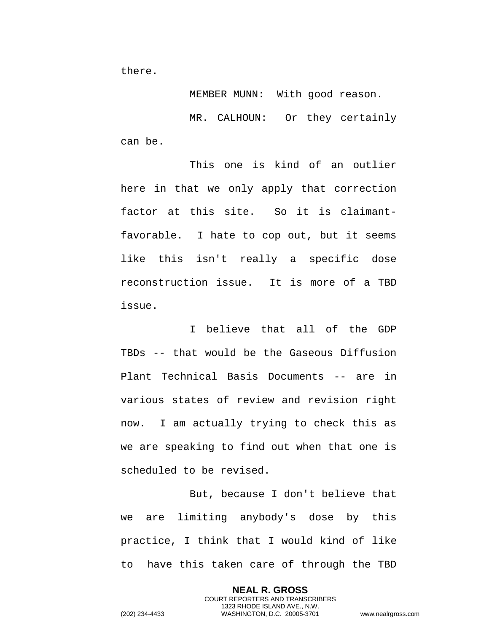there.

MEMBER MUNN: With good reason.

MR. CALHOUN: Or they certainly can be.

This one is kind of an outlier here in that we only apply that correction factor at this site. So it is claimantfavorable. I hate to cop out, but it seems like this isn't really a specific dose reconstruction issue. It is more of a TBD issue.

I believe that all of the GDP TBDs -- that would be the Gaseous Diffusion Plant Technical Basis Documents -- are in various states of review and revision right now. I am actually trying to check this as we are speaking to find out when that one is scheduled to be revised.

But, because I don't believe that we are limiting anybody's dose by this practice, I think that I would kind of like to have this taken care of through the TBD

> **NEAL R. GROSS** COURT REPORTERS AND TRANSCRIBERS 1323 RHODE ISLAND AVE., N.W.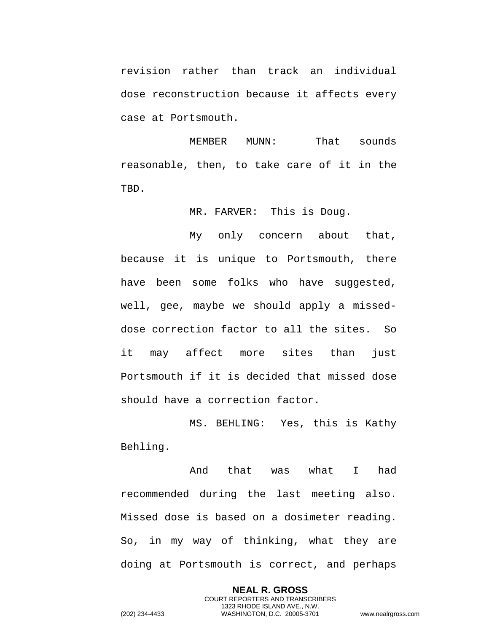revision rather than track an individual dose reconstruction because it affects every case at Portsmouth.

MEMBER MUNN: That sounds reasonable, then, to take care of it in the TBD.

MR. FARVER: This is Doug.

My only concern about that, because it is unique to Portsmouth, there have been some folks who have suggested, well, gee, maybe we should apply a misseddose correction factor to all the sites. So it may affect more sites than just Portsmouth if it is decided that missed dose should have a correction factor.

MS. BEHLING: Yes, this is Kathy Behling.

And that was what I had recommended during the last meeting also. Missed dose is based on a dosimeter reading. So, in my way of thinking, what they are doing at Portsmouth is correct, and perhaps

> **NEAL R. GROSS** COURT REPORTERS AND TRANSCRIBERS 1323 RHODE ISLAND AVE., N.W.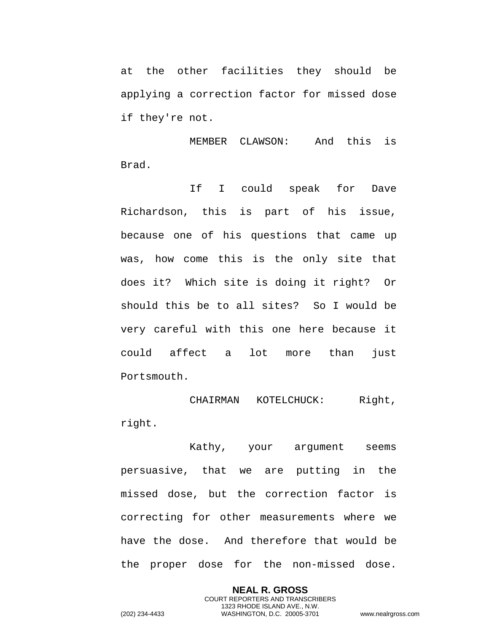at the other facilities they should be applying a correction factor for missed dose if they're not.

MEMBER CLAWSON: And this is Brad.

If I could speak for Dave Richardson, this is part of his issue, because one of his questions that came up was, how come this is the only site that does it? Which site is doing it right? Or should this be to all sites? So I would be very careful with this one here because it could affect a lot more than just Portsmouth.

CHAIRMAN KOTELCHUCK: Right, right.

Kathy, your argument seems persuasive, that we are putting in the missed dose, but the correction factor is correcting for other measurements where we have the dose. And therefore that would be the proper dose for the non-missed dose.

> **NEAL R. GROSS** COURT REPORTERS AND TRANSCRIBERS 1323 RHODE ISLAND AVE., N.W.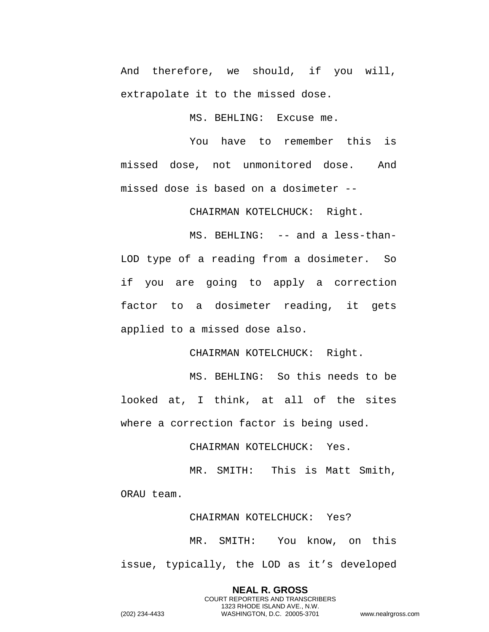And therefore, we should, if you will, extrapolate it to the missed dose.

MS. BEHLING: Excuse me.

You have to remember this is missed dose, not unmonitored dose. And missed dose is based on a dosimeter --

CHAIRMAN KOTELCHUCK: Right.

MS. BEHLING: -- and a less-than-LOD type of a reading from a dosimeter. So if you are going to apply a correction factor to a dosimeter reading, it gets applied to a missed dose also.

CHAIRMAN KOTELCHUCK: Right.

MS. BEHLING: So this needs to be looked at, I think, at all of the sites where a correction factor is being used.

CHAIRMAN KOTELCHUCK: Yes.

MR. SMITH: This is Matt Smith, ORAU team.

CHAIRMAN KOTELCHUCK: Yes?

**NEAL R. GROSS** COURT REPORTERS AND TRANSCRIBERS 1323 RHODE ISLAND AVE., N.W.

MR. SMITH: You know, on this issue, typically, the LOD as it's developed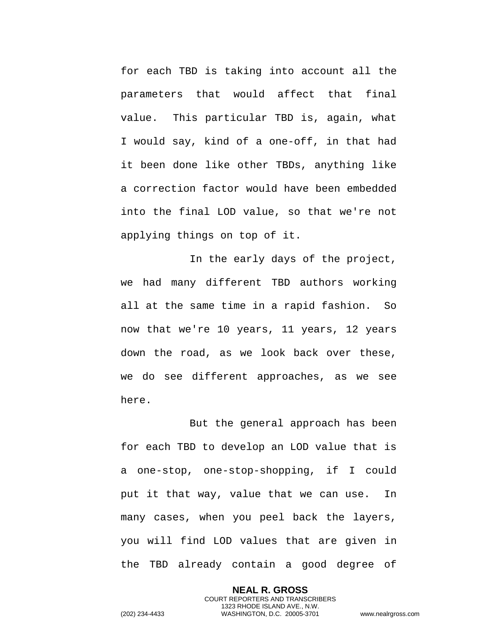for each TBD is taking into account all the parameters that would affect that final value. This particular TBD is, again, what I would say, kind of a one-off, in that had it been done like other TBDs, anything like a correction factor would have been embedded into the final LOD value, so that we're not applying things on top of it.

In the early days of the project, we had many different TBD authors working all at the same time in a rapid fashion. So now that we're 10 years, 11 years, 12 years down the road, as we look back over these, we do see different approaches, as we see here.

But the general approach has been for each TBD to develop an LOD value that is a one-stop, one-stop-shopping, if I could put it that way, value that we can use. In many cases, when you peel back the layers, you will find LOD values that are given in the TBD already contain a good degree of

> **NEAL R. GROSS** COURT REPORTERS AND TRANSCRIBERS 1323 RHODE ISLAND AVE., N.W.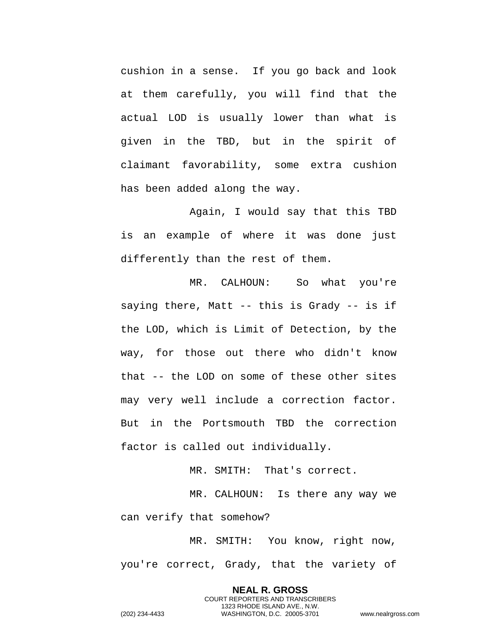cushion in a sense. If you go back and look at them carefully, you will find that the actual LOD is usually lower than what is given in the TBD, but in the spirit of claimant favorability, some extra cushion has been added along the way.

Again, I would say that this TBD is an example of where it was done just differently than the rest of them.

MR. CALHOUN: So what you're saying there, Matt -- this is Grady -- is if the LOD, which is Limit of Detection, by the way, for those out there who didn't know that -- the LOD on some of these other sites may very well include a correction factor. But in the Portsmouth TBD the correction factor is called out individually.

MR. SMITH: That's correct.

MR. CALHOUN: Is there any way we can verify that somehow?

MR. SMITH: You know, right now, you're correct, Grady, that the variety of

> **NEAL R. GROSS** COURT REPORTERS AND TRANSCRIBERS 1323 RHODE ISLAND AVE., N.W.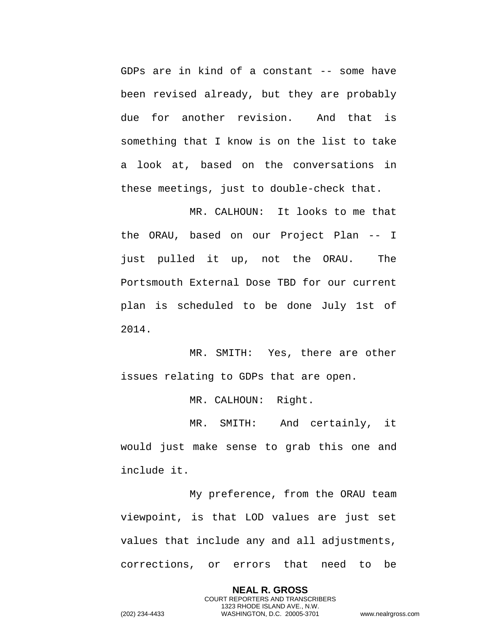GDPs are in kind of a constant -- some have been revised already, but they are probably due for another revision. And that is something that I know is on the list to take a look at, based on the conversations in these meetings, just to double-check that.

MR. CALHOUN: It looks to me that the ORAU, based on our Project Plan -- I just pulled it up, not the ORAU. The Portsmouth External Dose TBD for our current plan is scheduled to be done July 1st of 2014.

MR. SMITH: Yes, there are other issues relating to GDPs that are open.

MR. CALHOUN: Right.

MR. SMITH: And certainly, it would just make sense to grab this one and include it.

My preference, from the ORAU team viewpoint, is that LOD values are just set values that include any and all adjustments, corrections, or errors that need to be

> **NEAL R. GROSS** COURT REPORTERS AND TRANSCRIBERS 1323 RHODE ISLAND AVE., N.W.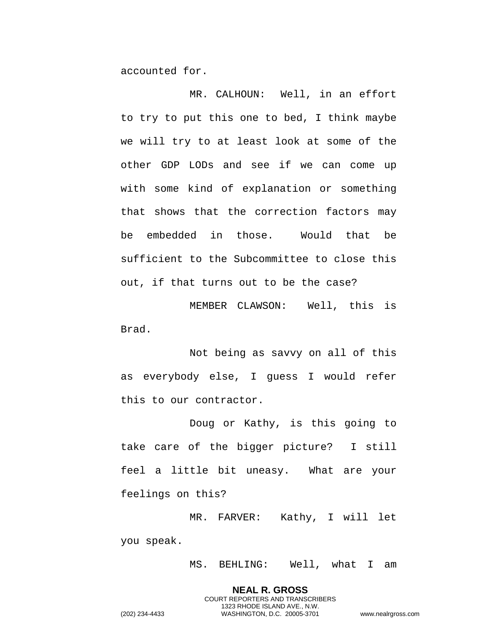accounted for.

MR. CALHOUN: Well, in an effort to try to put this one to bed, I think maybe we will try to at least look at some of the other GDP LODs and see if we can come up with some kind of explanation or something that shows that the correction factors may be embedded in those. Would that be sufficient to the Subcommittee to close this out, if that turns out to be the case?

MEMBER CLAWSON: Well, this is Brad.

Not being as savvy on all of this as everybody else, I guess I would refer this to our contractor.

Doug or Kathy, is this going to take care of the bigger picture? I still feel a little bit uneasy. What are your feelings on this?

MR. FARVER: Kathy, I will let you speak.

> **NEAL R. GROSS** COURT REPORTERS AND TRANSCRIBERS 1323 RHODE ISLAND AVE., N.W.

MS. BEHLING: Well, what I am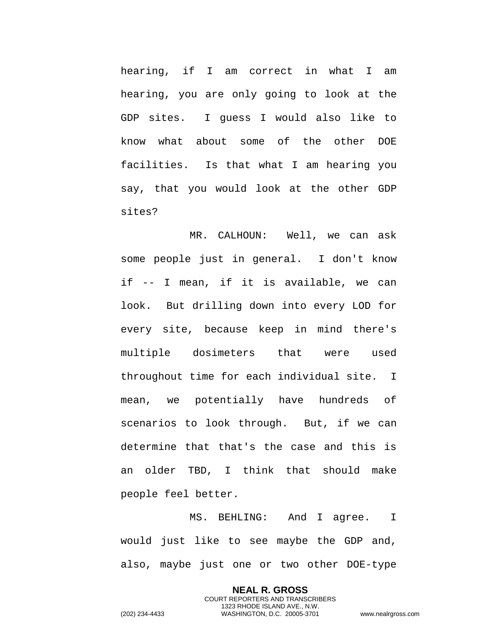hearing, if I am correct in what I am hearing, you are only going to look at the GDP sites. I guess I would also like to know what about some of the other DOE facilities. Is that what I am hearing you say, that you would look at the other GDP sites?

MR. CALHOUN: Well, we can ask some people just in general. I don't know if -- I mean, if it is available, we can look. But drilling down into every LOD for every site, because keep in mind there's multiple dosimeters that were used throughout time for each individual site. I mean, we potentially have hundreds of scenarios to look through. But, if we can determine that that's the case and this is an older TBD, I think that should make people feel better.

MS. BEHLING: And I agree. I would just like to see maybe the GDP and, also, maybe just one or two other DOE-type

> **NEAL R. GROSS** COURT REPORTERS AND TRANSCRIBERS 1323 RHODE ISLAND AVE., N.W.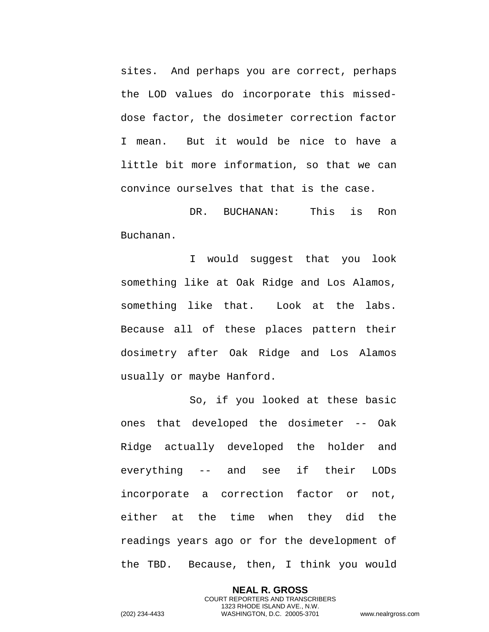sites. And perhaps you are correct, perhaps the LOD values do incorporate this misseddose factor, the dosimeter correction factor I mean. But it would be nice to have a little bit more information, so that we can convince ourselves that that is the case.

DR. BUCHANAN: This is Ron Buchanan.

I would suggest that you look something like at Oak Ridge and Los Alamos, something like that. Look at the labs. Because all of these places pattern their dosimetry after Oak Ridge and Los Alamos usually or maybe Hanford.

So, if you looked at these basic ones that developed the dosimeter -- Oak Ridge actually developed the holder and everything -- and see if their LODs incorporate a correction factor or not, either at the time when they did the readings years ago or for the development of the TBD. Because, then, I think you would

> **NEAL R. GROSS** COURT REPORTERS AND TRANSCRIBERS 1323 RHODE ISLAND AVE., N.W.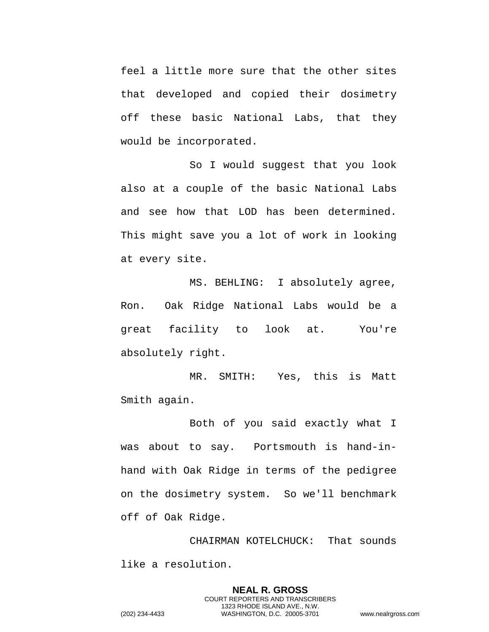feel a little more sure that the other sites that developed and copied their dosimetry off these basic National Labs, that they would be incorporated.

So I would suggest that you look also at a couple of the basic National Labs and see how that LOD has been determined. This might save you a lot of work in looking at every site.

MS. BEHLING: I absolutely agree, Ron. Oak Ridge National Labs would be a great facility to look at. You're absolutely right.

MR. SMITH: Yes, this is Matt Smith again.

Both of you said exactly what I was about to say. Portsmouth is hand-inhand with Oak Ridge in terms of the pedigree on the dosimetry system. So we'll benchmark off of Oak Ridge.

CHAIRMAN KOTELCHUCK: That sounds like a resolution.

> **NEAL R. GROSS** COURT REPORTERS AND TRANSCRIBERS 1323 RHODE ISLAND AVE., N.W.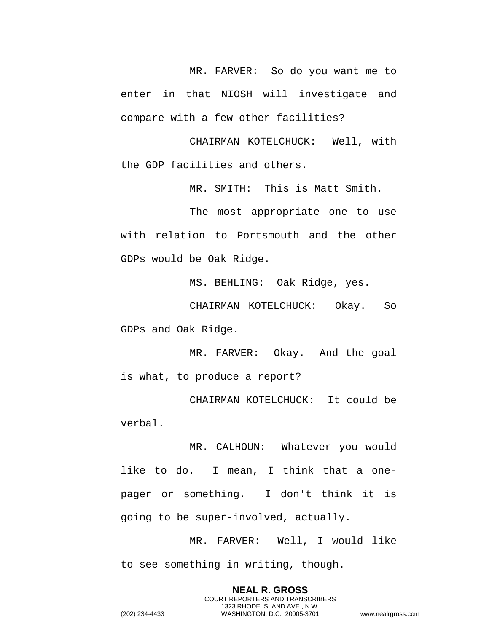MR. FARVER: So do you want me to enter in that NIOSH will investigate and compare with a few other facilities?

CHAIRMAN KOTELCHUCK: Well, with the GDP facilities and others.

MR. SMITH: This is Matt Smith.

The most appropriate one to use with relation to Portsmouth and the other GDPs would be Oak Ridge.

MS. BEHLING: Oak Ridge, yes.

CHAIRMAN KOTELCHUCK: Okay. So GDPs and Oak Ridge.

MR. FARVER: Okay. And the goal is what, to produce a report?

CHAIRMAN KOTELCHUCK: It could be verbal.

MR. CALHOUN: Whatever you would like to do. I mean, I think that a onepager or something. I don't think it is going to be super-involved, actually.

MR. FARVER: Well, I would like to see something in writing, though.

> **NEAL R. GROSS** COURT REPORTERS AND TRANSCRIBERS 1323 RHODE ISLAND AVE., N.W.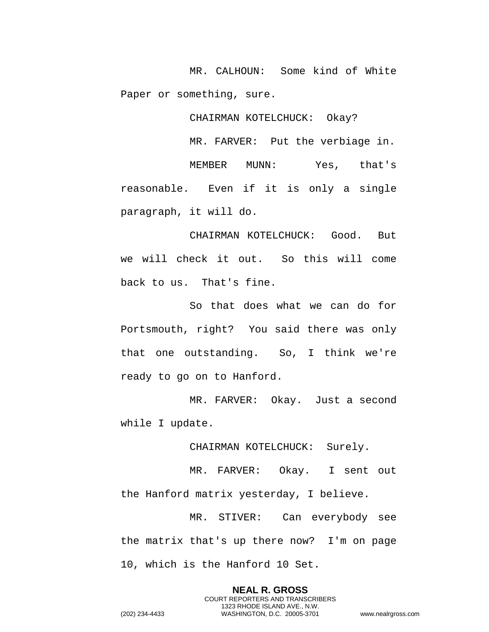MR. CALHOUN: Some kind of White Paper or something, sure.

CHAIRMAN KOTELCHUCK: Okay?

MR. FARVER: Put the verbiage in. MEMBER MUNN: Yes, that's reasonable. Even if it is only a single paragraph, it will do.

CHAIRMAN KOTELCHUCK: Good. But we will check it out. So this will come back to us. That's fine.

So that does what we can do for Portsmouth, right? You said there was only that one outstanding. So, I think we're ready to go on to Hanford.

MR. FARVER: Okay. Just a second while I update.

CHAIRMAN KOTELCHUCK: Surely.

MR. FARVER: Okay. I sent out the Hanford matrix yesterday, I believe.

MR. STIVER: Can everybody see the matrix that's up there now? I'm on page 10, which is the Hanford 10 Set.

> **NEAL R. GROSS** COURT REPORTERS AND TRANSCRIBERS 1323 RHODE ISLAND AVE., N.W.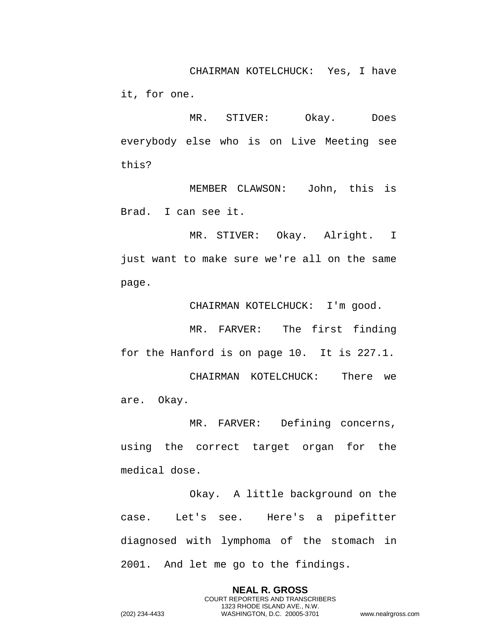CHAIRMAN KOTELCHUCK: Yes, I have it, for one.

MR. STIVER: Okay. Does everybody else who is on Live Meeting see this?

MEMBER CLAWSON: John, this is Brad. I can see it.

MR. STIVER: Okay. Alright. I just want to make sure we're all on the same page.

CHAIRMAN KOTELCHUCK: I'm good.

MR. FARVER: The first finding for the Hanford is on page 10. It is 227.1.

CHAIRMAN KOTELCHUCK: There we are. Okay.

MR. FARVER: Defining concerns, using the correct target organ for the medical dose.

Okay. A little background on the case. Let's see. Here's a pipefitter diagnosed with lymphoma of the stomach in 2001. And let me go to the findings.

> **NEAL R. GROSS** COURT REPORTERS AND TRANSCRIBERS 1323 RHODE ISLAND AVE., N.W.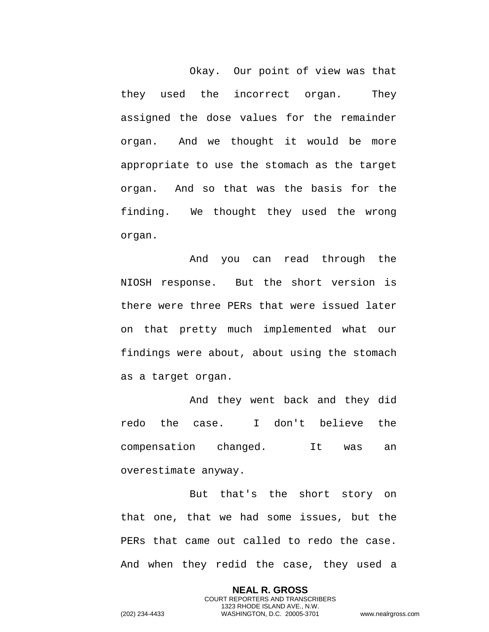Okay. Our point of view was that they used the incorrect organ. They assigned the dose values for the remainder organ. And we thought it would be more appropriate to use the stomach as the target organ. And so that was the basis for the finding. We thought they used the wrong organ.

And you can read through the NIOSH response. But the short version is there were three PERs that were issued later on that pretty much implemented what our findings were about, about using the stomach as a target organ.

And they went back and they did redo the case. I don't believe the compensation changed. It was an overestimate anyway.

But that's the short story on that one, that we had some issues, but the PERs that came out called to redo the case. And when they redid the case, they used a

> **NEAL R. GROSS** COURT REPORTERS AND TRANSCRIBERS 1323 RHODE ISLAND AVE., N.W.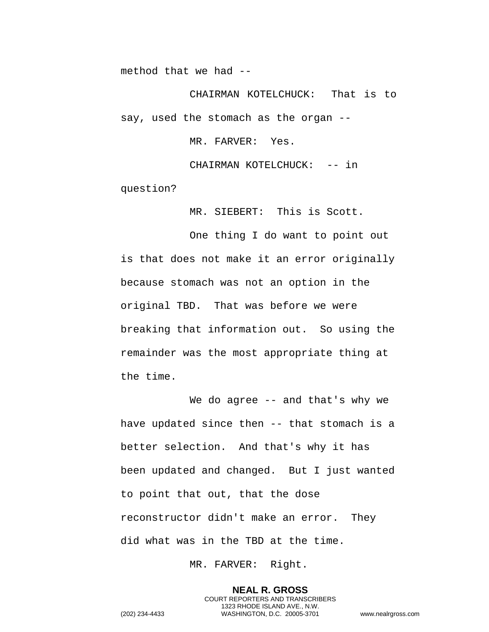method that we had --

CHAIRMAN KOTELCHUCK: That is to say, used the stomach as the organ --

MR. FARVER: Yes.

CHAIRMAN KOTELCHUCK: -- in question?

MR. SIEBERT: This is Scott.

One thing I do want to point out is that does not make it an error originally because stomach was not an option in the original TBD. That was before we were breaking that information out. So using the remainder was the most appropriate thing at the time.

We do agree -- and that's why we have updated since then -- that stomach is a better selection. And that's why it has been updated and changed. But I just wanted to point that out, that the dose reconstructor didn't make an error. They did what was in the TBD at the time.

MR. FARVER: Right.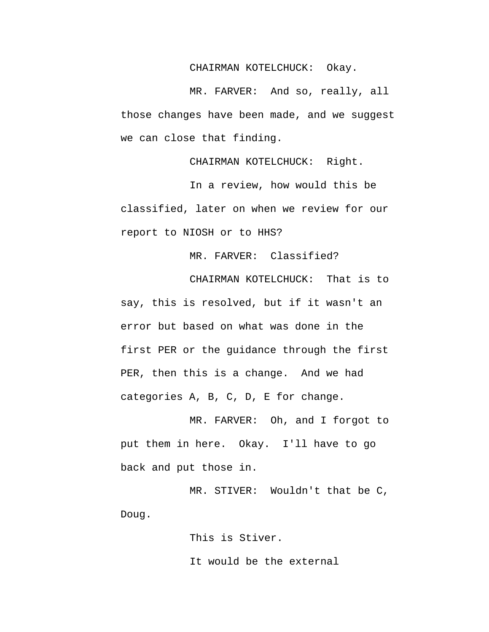CHAIRMAN KOTELCHUCK: Okay.

MR. FARVER: And so, really, all those changes have been made, and we suggest we can close that finding.

CHAIRMAN KOTELCHUCK: Right.

In a review, how would this be classified, later on when we review for our report to NIOSH or to HHS?

MR. FARVER: Classified?

CHAIRMAN KOTELCHUCK: That is to say, this is resolved, but if it wasn't an error but based on what was done in the first PER or the guidance through the first PER, then this is a change. And we had categories A, B, C, D, E for change.

MR. FARVER: Oh, and I forgot to put them in here. Okay. I'll have to go back and put those in.

MR. STIVER: Wouldn't that be C, Doug.

> This is Stiver. It would be the external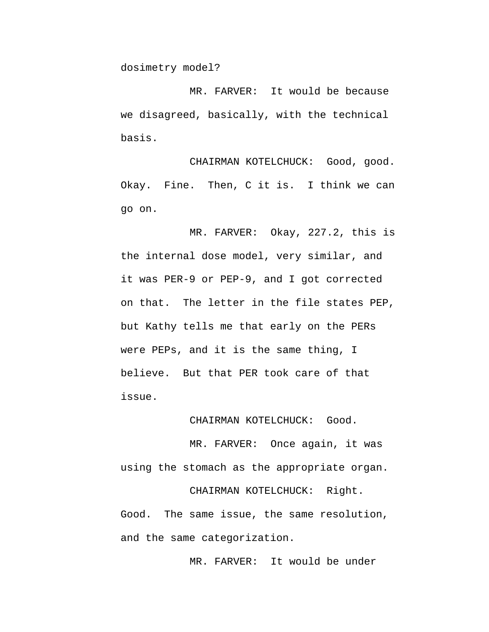dosimetry model?

MR. FARVER: It would be because we disagreed, basically, with the technical basis.

CHAIRMAN KOTELCHUCK: Good, good. Okay. Fine. Then, C it is. I think we can go on.

MR. FARVER: Okay, 227.2, this is the internal dose model, very similar, and it was PER-9 or PEP-9, and I got corrected on that. The letter in the file states PEP, but Kathy tells me that early on the PERs were PEPs, and it is the same thing, I believe. But that PER took care of that issue.

CHAIRMAN KOTELCHUCK: Good.

MR. FARVER: Once again, it was using the stomach as the appropriate organ.

CHAIRMAN KOTELCHUCK: Right. Good. The same issue, the same resolution, and the same categorization.

MR. FARVER: It would be under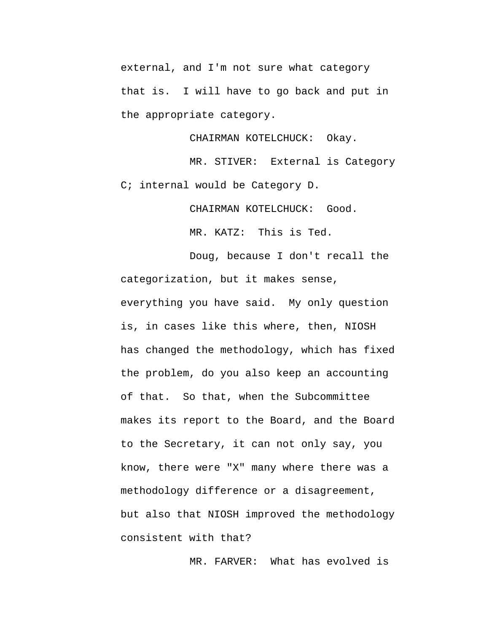external, and I'm not sure what category that is. I will have to go back and put in the appropriate category.

CHAIRMAN KOTELCHUCK: Okay.

MR. STIVER: External is Category C; internal would be Category D.

CHAIRMAN KOTELCHUCK: Good.

MR. KATZ: This is Ted.

Doug, because I don't recall the categorization, but it makes sense, everything you have said. My only question is, in cases like this where, then, NIOSH has changed the methodology, which has fixed the problem, do you also keep an accounting of that. So that, when the Subcommittee makes its report to the Board, and the Board to the Secretary, it can not only say, you know, there were "X" many where there was a methodology difference or a disagreement, but also that NIOSH improved the methodology consistent with that?

MR. FARVER: What has evolved is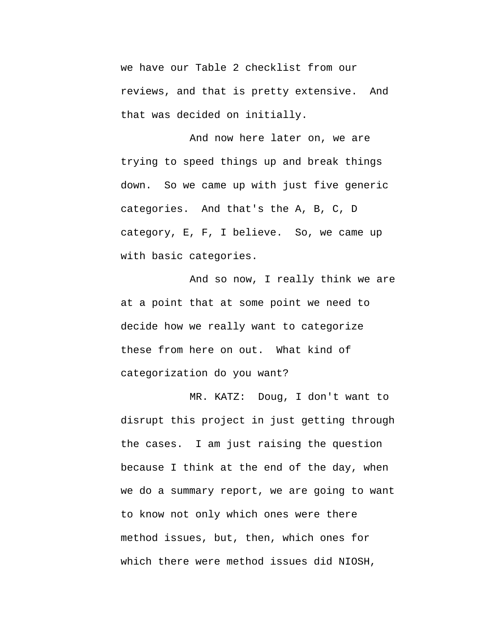we have our Table 2 checklist from our reviews, and that is pretty extensive. And that was decided on initially.

And now here later on, we are trying to speed things up and break things down. So we came up with just five generic categories. And that's the A, B, C, D category, E, F, I believe. So, we came up with basic categories.

And so now, I really think we are at a point that at some point we need to decide how we really want to categorize these from here on out. What kind of categorization do you want?

MR. KATZ: Doug, I don't want to disrupt this project in just getting through the cases. I am just raising the question because I think at the end of the day, when we do a summary report, we are going to want to know not only which ones were there method issues, but, then, which ones for which there were method issues did NIOSH,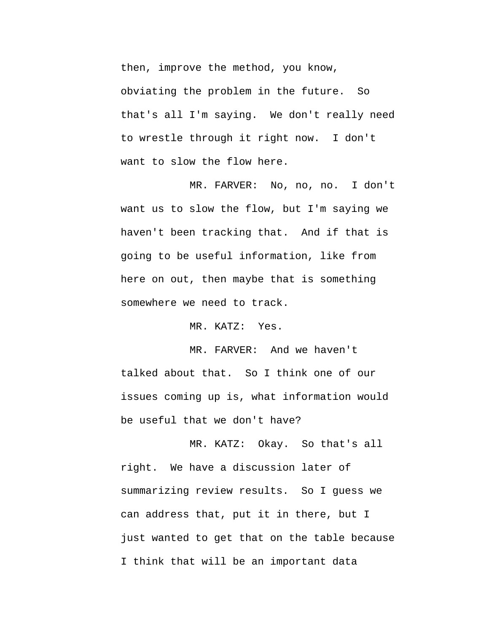then, improve the method, you know, obviating the problem in the future. So that's all I'm saying. We don't really need to wrestle through it right now. I don't want to slow the flow here.

MR. FARVER: No, no, no. I don't want us to slow the flow, but I'm saying we haven't been tracking that. And if that is going to be useful information, like from here on out, then maybe that is something somewhere we need to track.

MR. KATZ: Yes.

MR. FARVER: And we haven't talked about that. So I think one of our issues coming up is, what information would be useful that we don't have?

MR. KATZ: Okay. So that's all right. We have a discussion later of summarizing review results. So I guess we can address that, put it in there, but I just wanted to get that on the table because I think that will be an important data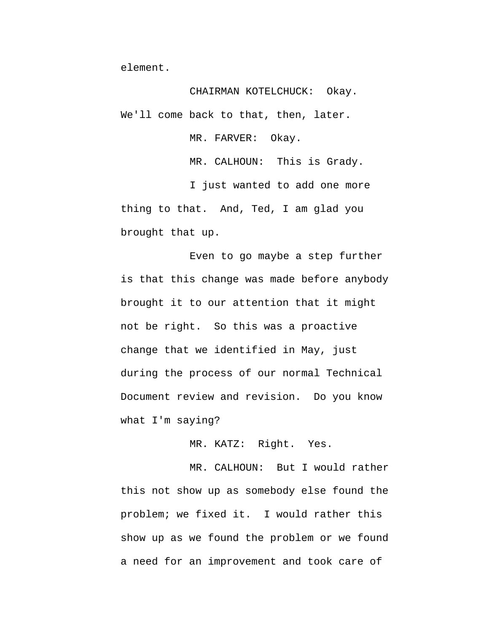element.

CHAIRMAN KOTELCHUCK: Okay. We'll come back to that, then, later. MR. FARVER: Okay. MR. CALHOUN: This is Grady. I just wanted to add one more

thing to that. And, Ted, I am glad you brought that up.

Even to go maybe a step further is that this change was made before anybody brought it to our attention that it might not be right. So this was a proactive change that we identified in May, just during the process of our normal Technical Document review and revision. Do you know what I'm saying?

MR. KATZ: Right. Yes.

MR. CALHOUN: But I would rather this not show up as somebody else found the problem; we fixed it. I would rather this show up as we found the problem or we found a need for an improvement and took care of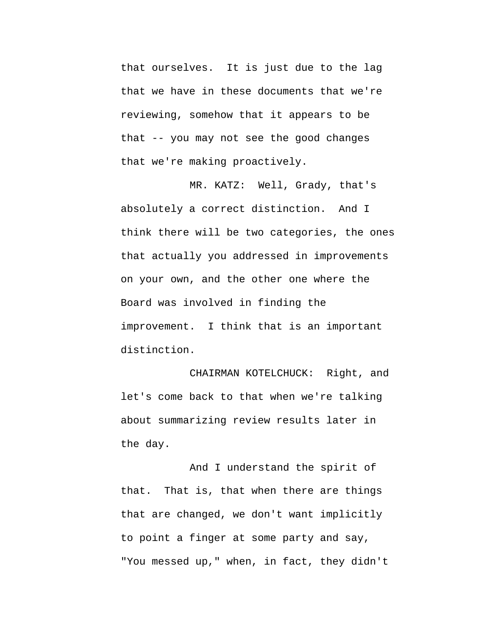that ourselves. It is just due to the lag that we have in these documents that we're reviewing, somehow that it appears to be that -- you may not see the good changes that we're making proactively.

MR. KATZ: Well, Grady, that's absolutely a correct distinction. And I think there will be two categories, the ones that actually you addressed in improvements on your own, and the other one where the Board was involved in finding the improvement. I think that is an important distinction.

CHAIRMAN KOTELCHUCK: Right, and let's come back to that when we're talking about summarizing review results later in the day.

And I understand the spirit of that. That is, that when there are things that are changed, we don't want implicitly to point a finger at some party and say, "You messed up," when, in fact, they didn't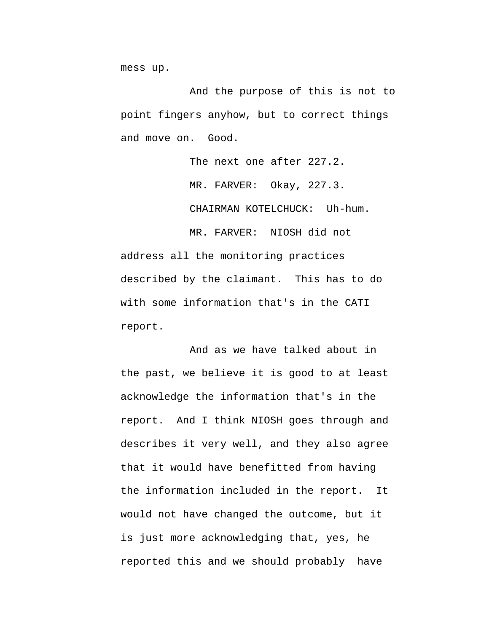mess up.

And the purpose of this is not to point fingers anyhow, but to correct things and move on. Good.

> The next one after 227.2. MR. FARVER: Okay, 227.3. CHAIRMAN KOTELCHUCK: Uh-hum.

MR. FARVER: NIOSH did not

address all the monitoring practices described by the claimant. This has to do with some information that's in the CATI report.

And as we have talked about in the past, we believe it is good to at least acknowledge the information that's in the report. And I think NIOSH goes through and describes it very well, and they also agree that it would have benefitted from having the information included in the report. It would not have changed the outcome, but it is just more acknowledging that, yes, he reported this and we should probably have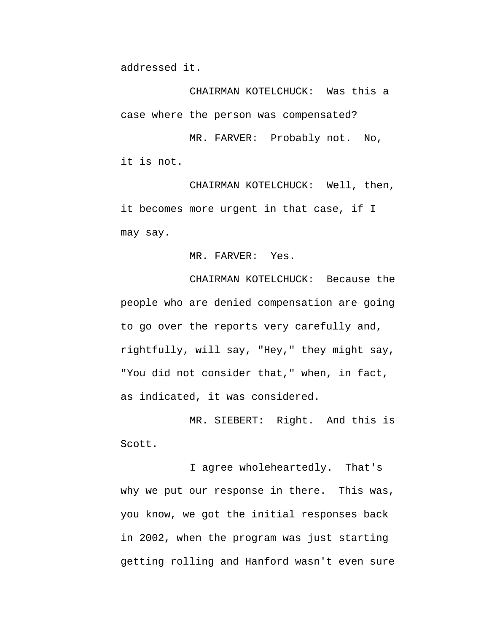addressed it.

CHAIRMAN KOTELCHUCK: Was this a case where the person was compensated?

MR. FARVER: Probably not. No, it is not.

CHAIRMAN KOTELCHUCK: Well, then, it becomes more urgent in that case, if I may say.

MR. FARVER: Yes.

CHAIRMAN KOTELCHUCK: Because the people who are denied compensation are going to go over the reports very carefully and, rightfully, will say, "Hey," they might say, "You did not consider that," when, in fact, as indicated, it was considered.

MR. SIEBERT: Right. And this is Scott.

I agree wholeheartedly. That's why we put our response in there. This was, you know, we got the initial responses back in 2002, when the program was just starting getting rolling and Hanford wasn't even sure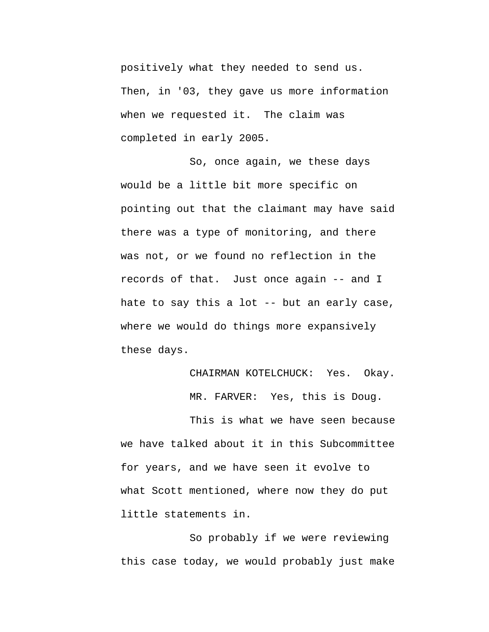positively what they needed to send us. Then, in '03, they gave us more information when we requested it. The claim was completed in early 2005.

So, once again, we these days would be a little bit more specific on pointing out that the claimant may have said there was a type of monitoring, and there was not, or we found no reflection in the records of that. Just once again -- and I hate to say this a lot -- but an early case, where we would do things more expansively these days.

## CHAIRMAN KOTELCHUCK: Yes. Okay.

MR. FARVER: Yes, this is Doug.

This is what we have seen because we have talked about it in this Subcommittee for years, and we have seen it evolve to what Scott mentioned, where now they do put little statements in.

So probably if we were reviewing this case today, we would probably just make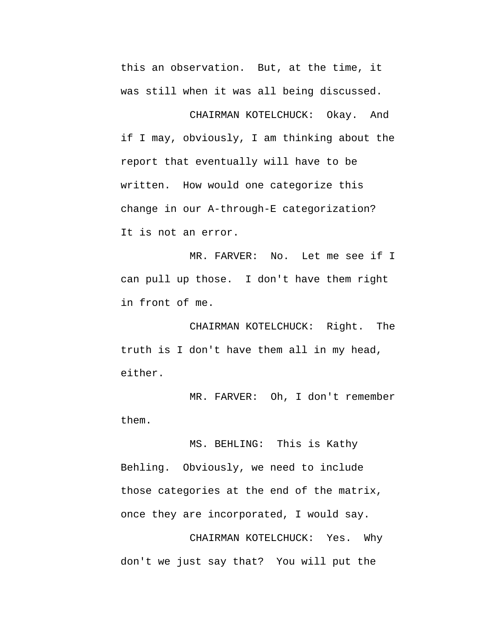this an observation. But, at the time, it was still when it was all being discussed.

CHAIRMAN KOTELCHUCK: Okay. And if I may, obviously, I am thinking about the report that eventually will have to be written. How would one categorize this change in our A-through-E categorization? It is not an error.

MR. FARVER: No. Let me see if I can pull up those. I don't have them right in front of me.

CHAIRMAN KOTELCHUCK: Right. The truth is I don't have them all in my head, either.

MR. FARVER: Oh, I don't remember them.

MS. BEHLING: This is Kathy Behling. Obviously, we need to include those categories at the end of the matrix, once they are incorporated, I would say.

CHAIRMAN KOTELCHUCK: Yes. Why don't we just say that? You will put the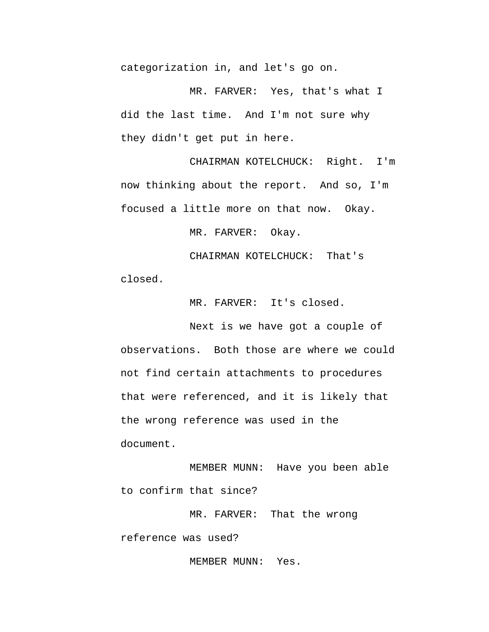categorization in, and let's go on.

MR. FARVER: Yes, that's what I did the last time. And I'm not sure why they didn't get put in here.

CHAIRMAN KOTELCHUCK: Right. I'm now thinking about the report. And so, I'm focused a little more on that now. Okay.

MR. FARVER: Okay.

CHAIRMAN KOTELCHUCK: That's closed.

MR. FARVER: It's closed.

Next is we have got a couple of observations. Both those are where we could not find certain attachments to procedures that were referenced, and it is likely that the wrong reference was used in the document.

MEMBER MUNN: Have you been able to confirm that since?

MR. FARVER: That the wrong reference was used?

MEMBER MUNN: Yes.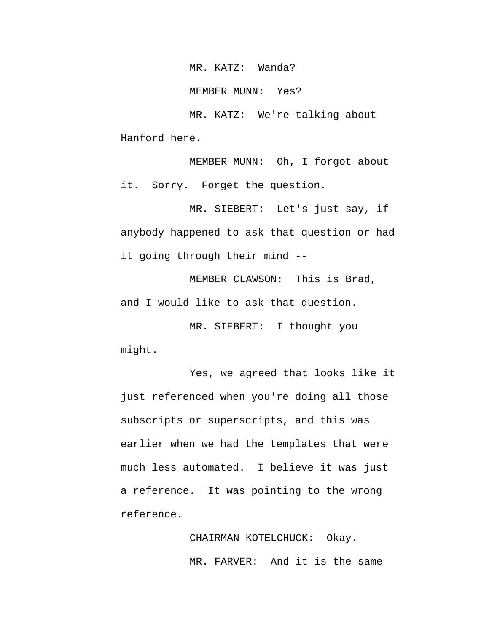MR. KATZ: Wanda?

MEMBER MUNN: Yes?

MR. KATZ: We're talking about Hanford here.

MEMBER MUNN: Oh, I forgot about it. Sorry. Forget the question.

MR. SIEBERT: Let's just say, if anybody happened to ask that question or had it going through their mind --

MEMBER CLAWSON: This is Brad, and I would like to ask that question.

MR. SIEBERT: I thought you might.

Yes, we agreed that looks like it just referenced when you're doing all those subscripts or superscripts, and this was earlier when we had the templates that were much less automated. I believe it was just a reference. It was pointing to the wrong reference.

> CHAIRMAN KOTELCHUCK: Okay. MR. FARVER: And it is the same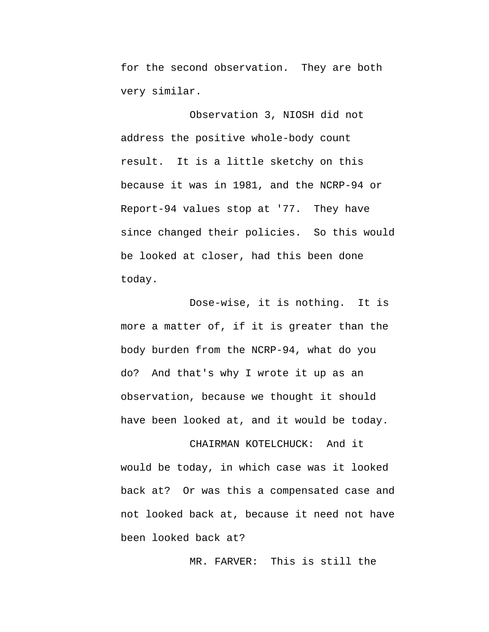for the second observation. They are both very similar.

Observation 3, NIOSH did not address the positive whole-body count result. It is a little sketchy on this because it was in 1981, and the NCRP-94 or Report-94 values stop at '77. They have since changed their policies. So this would be looked at closer, had this been done today.

Dose-wise, it is nothing. It is more a matter of, if it is greater than the body burden from the NCRP-94, what do you do? And that's why I wrote it up as an observation, because we thought it should have been looked at, and it would be today.

CHAIRMAN KOTELCHUCK: And it would be today, in which case was it looked back at? Or was this a compensated case and not looked back at, because it need not have been looked back at?

MR. FARVER: This is still the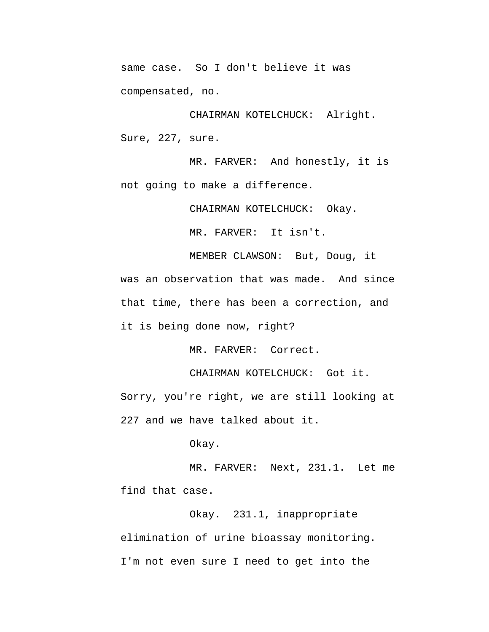same case. So I don't believe it was compensated, no.

CHAIRMAN KOTELCHUCK: Alright. Sure, 227, sure.

MR. FARVER: And honestly, it is not going to make a difference.

CHAIRMAN KOTELCHUCK: Okay.

MR. FARVER: It isn't.

MEMBER CLAWSON: But, Doug, it was an observation that was made. And since that time, there has been a correction, and it is being done now, right?

MR. FARVER: Correct.

CHAIRMAN KOTELCHUCK: Got it.

Sorry, you're right, we are still looking at 227 and we have talked about it.

Okay.

MR. FARVER: Next, 231.1. Let me find that case.

Okay. 231.1, inappropriate elimination of urine bioassay monitoring. I'm not even sure I need to get into the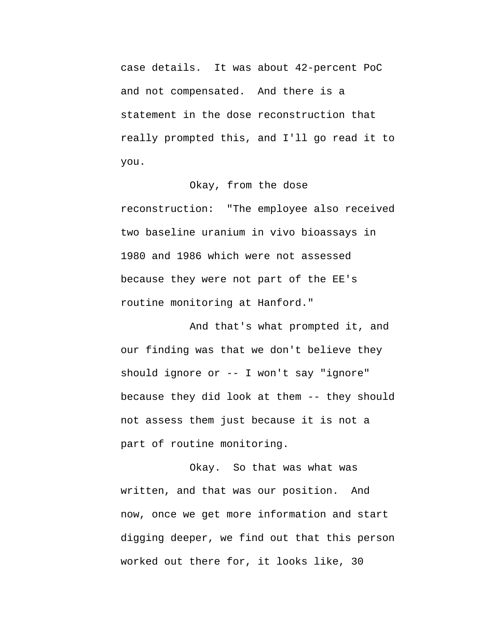case details. It was about 42-percent PoC and not compensated. And there is a statement in the dose reconstruction that really prompted this, and I'll go read it to you.

## Okay, from the dose

reconstruction: "The employee also received two baseline uranium in vivo bioassays in 1980 and 1986 which were not assessed because they were not part of the EE's routine monitoring at Hanford."

And that's what prompted it, and our finding was that we don't believe they should ignore or -- I won't say "ignore" because they did look at them -- they should not assess them just because it is not a part of routine monitoring.

Okay. So that was what was written, and that was our position. And now, once we get more information and start digging deeper, we find out that this person worked out there for, it looks like, 30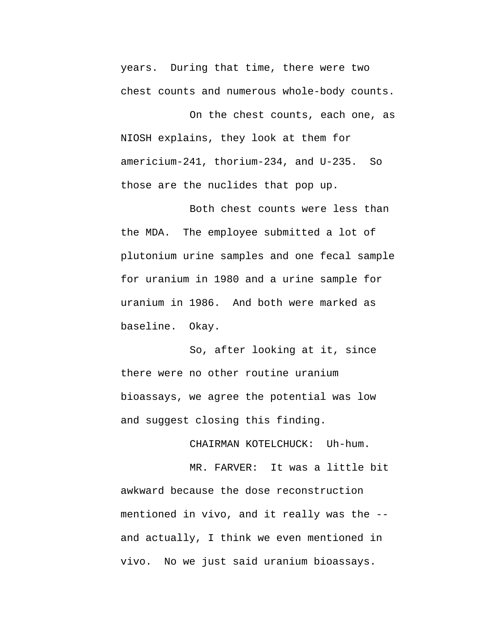years. During that time, there were two chest counts and numerous whole-body counts.

On the chest counts, each one, as NIOSH explains, they look at them for americium-241, thorium-234, and U-235. So those are the nuclides that pop up.

Both chest counts were less than the MDA. The employee submitted a lot of plutonium urine samples and one fecal sample for uranium in 1980 and a urine sample for uranium in 1986. And both were marked as baseline. Okay.

So, after looking at it, since there were no other routine uranium bioassays, we agree the potential was low and suggest closing this finding.

CHAIRMAN KOTELCHUCK: Uh-hum.

MR. FARVER: It was a little bit awkward because the dose reconstruction mentioned in vivo, and it really was the - and actually, I think we even mentioned in vivo. No we just said uranium bioassays.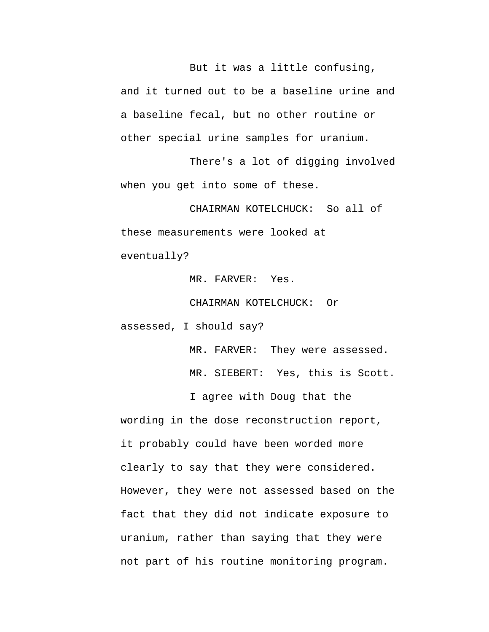But it was a little confusing, and it turned out to be a baseline urine and a baseline fecal, but no other routine or other special urine samples for uranium.

There's a lot of digging involved when you get into some of these.

CHAIRMAN KOTELCHUCK: So all of these measurements were looked at eventually?

MR. FARVER: Yes.

CHAIRMAN KOTELCHUCK: Or

assessed, I should say?

MR. FARVER: They were assessed. MR. SIEBERT: Yes, this is Scott.

I agree with Doug that the wording in the dose reconstruction report, it probably could have been worded more clearly to say that they were considered. However, they were not assessed based on the fact that they did not indicate exposure to uranium, rather than saying that they were not part of his routine monitoring program.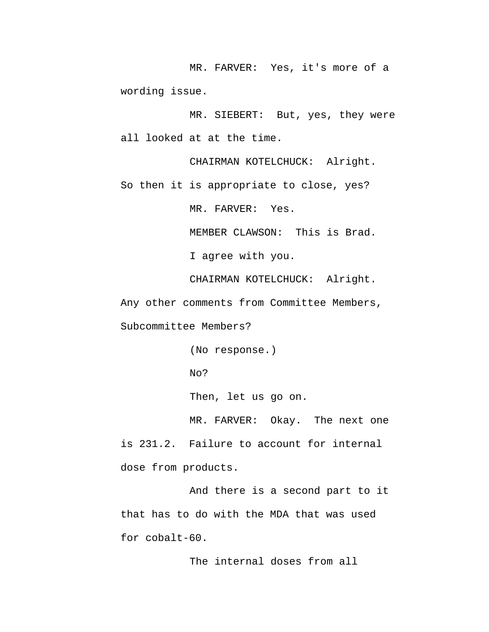MR. FARVER: Yes, it's more of a wording issue.

MR. SIEBERT: But, yes, they were all looked at at the time.

CHAIRMAN KOTELCHUCK: Alright. So then it is appropriate to close, yes?

MR. FARVER: Yes.

MEMBER CLAWSON: This is Brad.

I agree with you.

CHAIRMAN KOTELCHUCK: Alright.

Any other comments from Committee Members, Subcommittee Members?

(No response.)

No?

Then, let us go on.

MR. FARVER: Okay. The next one

is 231.2. Failure to account for internal dose from products.

And there is a second part to it that has to do with the MDA that was used for cobalt-60.

The internal doses from all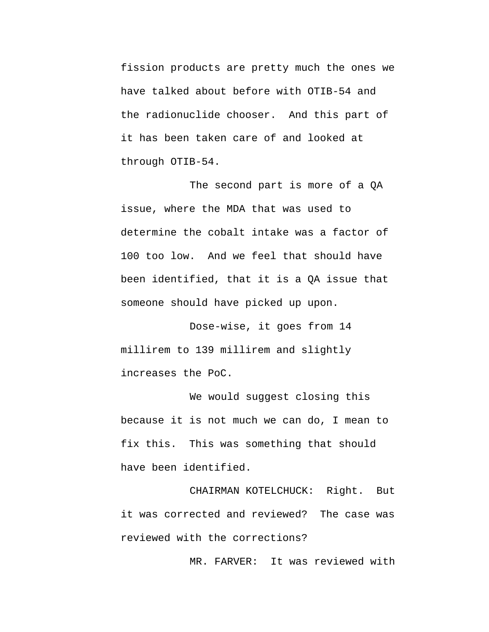fission products are pretty much the ones we have talked about before with OTIB-54 and the radionuclide chooser. And this part of it has been taken care of and looked at through OTIB-54.

The second part is more of a QA issue, where the MDA that was used to determine the cobalt intake was a factor of 100 too low. And we feel that should have been identified, that it is a QA issue that someone should have picked up upon.

Dose-wise, it goes from 14 millirem to 139 millirem and slightly increases the PoC.

We would suggest closing this because it is not much we can do, I mean to fix this. This was something that should have been identified.

CHAIRMAN KOTELCHUCK: Right. But it was corrected and reviewed? The case was reviewed with the corrections?

MR. FARVER: It was reviewed with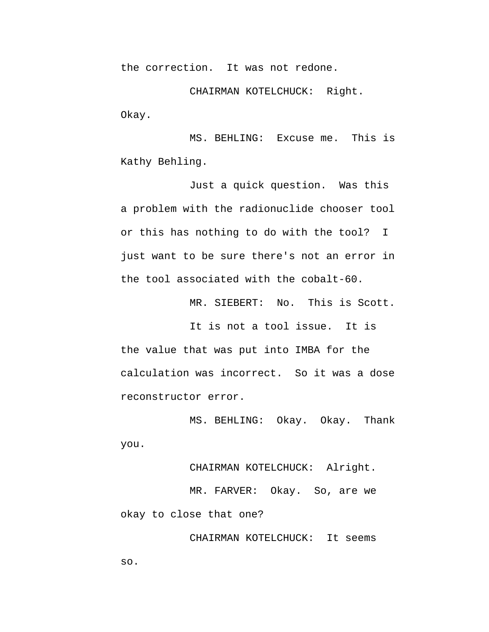the correction. It was not redone.

CHAIRMAN KOTELCHUCK: Right. Okay.

MS. BEHLING: Excuse me. This is Kathy Behling.

Just a quick question. Was this a problem with the radionuclide chooser tool or this has nothing to do with the tool? I just want to be sure there's not an error in the tool associated with the cobalt-60.

MR. SIEBERT: No. This is Scott.

It is not a tool issue. It is the value that was put into IMBA for the calculation was incorrect. So it was a dose reconstructor error.

MS. BEHLING: Okay. Okay. Thank you.

CHAIRMAN KOTELCHUCK: Alright.

MR. FARVER: Okay. So, are we okay to close that one?

CHAIRMAN KOTELCHUCK: It seems so.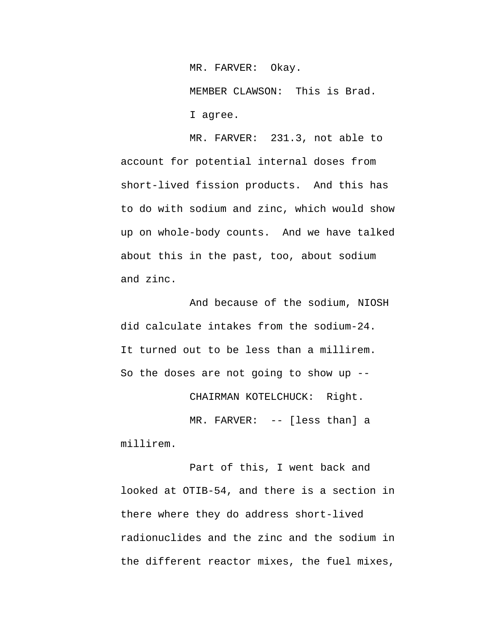MR. FARVER: Okay.

MEMBER CLAWSON: This is Brad. I agree.

MR. FARVER: 231.3, not able to account for potential internal doses from short-lived fission products. And this has to do with sodium and zinc, which would show up on whole-body counts. And we have talked about this in the past, too, about sodium and zinc.

And because of the sodium, NIOSH did calculate intakes from the sodium-24. It turned out to be less than a millirem. So the doses are not going to show up --

CHAIRMAN KOTELCHUCK: Right.

MR. FARVER: -- [less than] a millirem.

Part of this, I went back and looked at OTIB-54, and there is a section in there where they do address short-lived radionuclides and the zinc and the sodium in the different reactor mixes, the fuel mixes,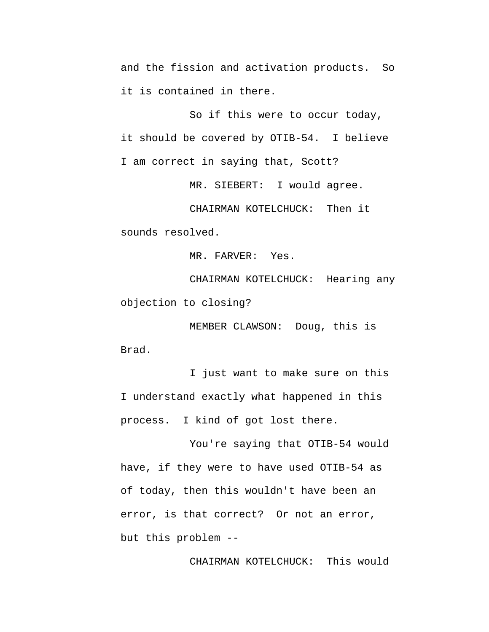and the fission and activation products. So it is contained in there.

So if this were to occur today, it should be covered by OTIB-54. I believe I am correct in saying that, Scott?

MR. SIEBERT: I would agree.

CHAIRMAN KOTELCHUCK: Then it sounds resolved.

MR. FARVER: Yes.

CHAIRMAN KOTELCHUCK: Hearing any objection to closing?

MEMBER CLAWSON: Doug, this is Brad.

I just want to make sure on this I understand exactly what happened in this process. I kind of got lost there.

You're saying that OTIB-54 would have, if they were to have used OTIB-54 as of today, then this wouldn't have been an error, is that correct? Or not an error, but this problem --

CHAIRMAN KOTELCHUCK: This would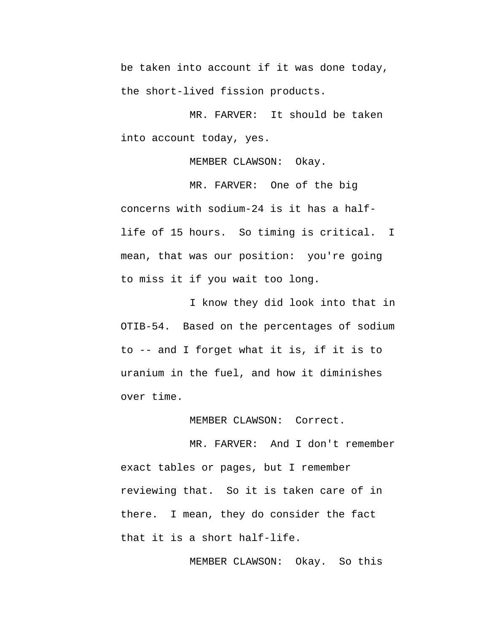be taken into account if it was done today, the short-lived fission products.

MR. FARVER: It should be taken into account today, yes.

MEMBER CLAWSON: Okay.

MR. FARVER: One of the big concerns with sodium-24 is it has a halflife of 15 hours. So timing is critical. I mean, that was our position: you're going to miss it if you wait too long.

I know they did look into that in OTIB-54. Based on the percentages of sodium to -- and I forget what it is, if it is to uranium in the fuel, and how it diminishes over time.

MEMBER CLAWSON: Correct.

MR. FARVER: And I don't remember exact tables or pages, but I remember reviewing that. So it is taken care of in there. I mean, they do consider the fact that it is a short half-life.

MEMBER CLAWSON: Okay. So this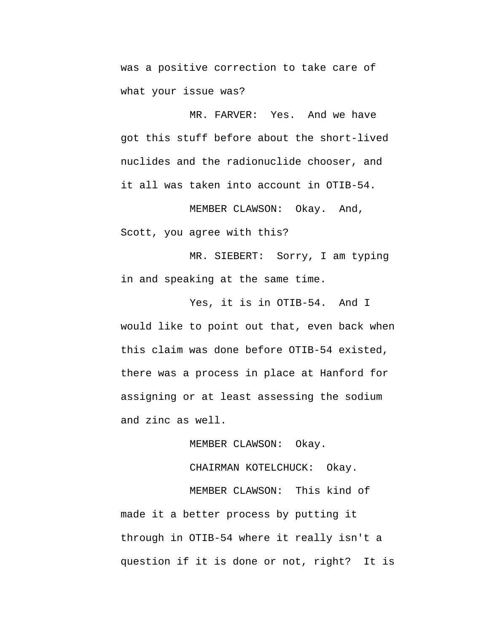was a positive correction to take care of what your issue was?

MR. FARVER: Yes. And we have got this stuff before about the short-lived nuclides and the radionuclide chooser, and it all was taken into account in OTIB-54.

MEMBER CLAWSON: Okay. And, Scott, you agree with this?

MR. SIEBERT: Sorry, I am typing in and speaking at the same time.

Yes, it is in OTIB-54. And I would like to point out that, even back when this claim was done before OTIB-54 existed, there was a process in place at Hanford for assigning or at least assessing the sodium and zinc as well.

MEMBER CLAWSON: Okay.

CHAIRMAN KOTELCHUCK: Okay.

MEMBER CLAWSON: This kind of made it a better process by putting it through in OTIB-54 where it really isn't a question if it is done or not, right? It is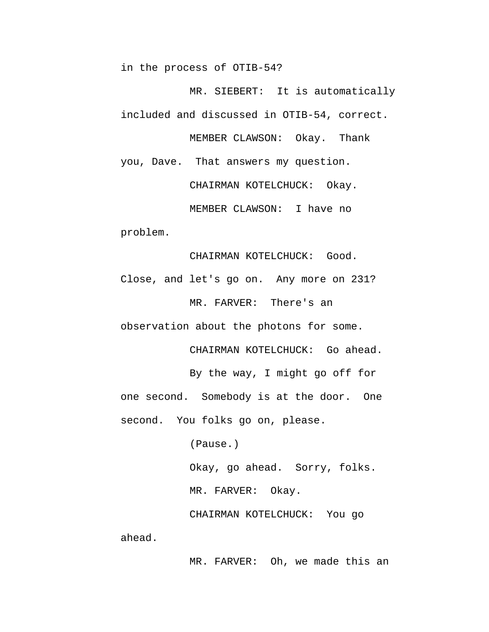in the process of OTIB-54?

MR. SIEBERT: It is automatically included and discussed in OTIB-54, correct.

MEMBER CLAWSON: Okay. Thank you, Dave. That answers my question. CHAIRMAN KOTELCHUCK: Okay. MEMBER CLAWSON: I have no

problem.

CHAIRMAN KOTELCHUCK: Good. Close, and let's go on. Any more on 231? MR. FARVER: There's an

observation about the photons for some.

CHAIRMAN KOTELCHUCK: Go ahead.

By the way, I might go off for one second. Somebody is at the door. One second. You folks go on, please.

(Pause.)

Okay, go ahead. Sorry, folks.

MR. FARVER: Okay.

CHAIRMAN KOTELCHUCK: You go ahead.

MR. FARVER: Oh, we made this an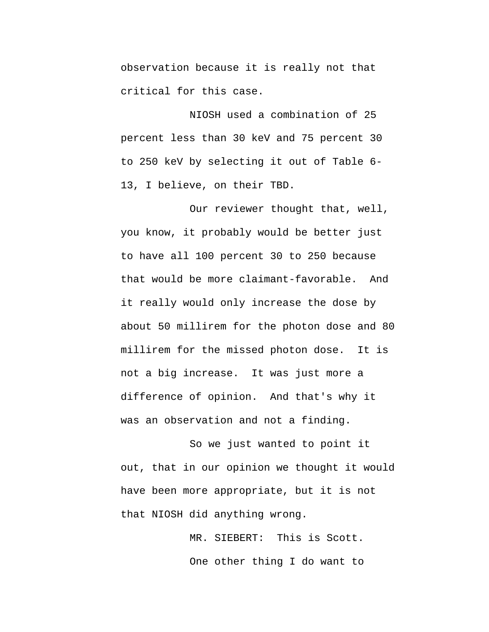observation because it is really not that critical for this case.

NIOSH used a combination of 25 percent less than 30 keV and 75 percent 30 to 250 keV by selecting it out of Table 6- 13, I believe, on their TBD.

Our reviewer thought that, well, you know, it probably would be better just to have all 100 percent 30 to 250 because that would be more claimant-favorable. And it really would only increase the dose by about 50 millirem for the photon dose and 80 millirem for the missed photon dose. It is not a big increase. It was just more a difference of opinion. And that's why it was an observation and not a finding.

So we just wanted to point it out, that in our opinion we thought it would have been more appropriate, but it is not that NIOSH did anything wrong.

> MR. SIEBERT: This is Scott. One other thing I do want to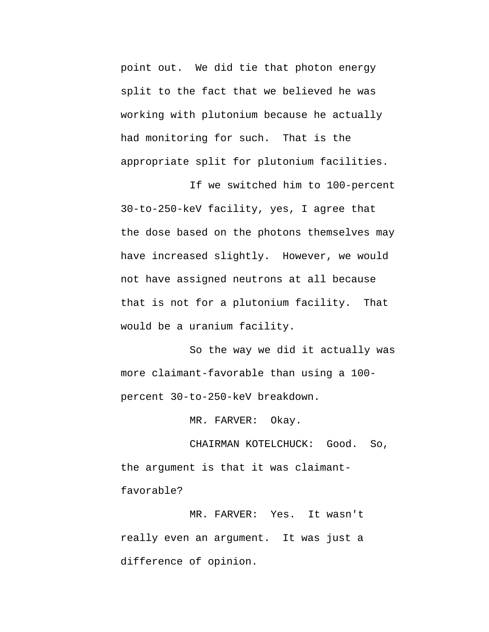point out. We did tie that photon energy split to the fact that we believed he was working with plutonium because he actually had monitoring for such. That is the appropriate split for plutonium facilities.

If we switched him to 100-percent 30-to-250-keV facility, yes, I agree that the dose based on the photons themselves may have increased slightly. However, we would not have assigned neutrons at all because that is not for a plutonium facility. That would be a uranium facility.

So the way we did it actually was more claimant-favorable than using a 100 percent 30-to-250-keV breakdown.

MR. FARVER: Okay.

CHAIRMAN KOTELCHUCK: Good. So, the argument is that it was claimantfavorable?

MR. FARVER: Yes. It wasn't really even an argument. It was just a difference of opinion.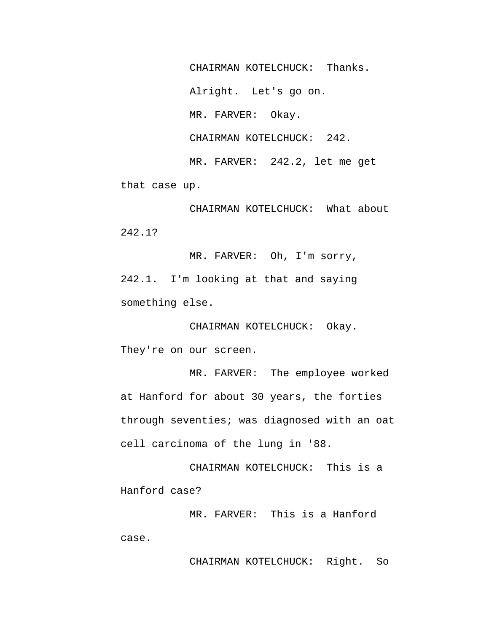CHAIRMAN KOTELCHUCK: Thanks.

Alright. Let's go on.

MR. FARVER: Okay.

CHAIRMAN KOTELCHUCK: 242.

MR. FARVER: 242.2, let me get that case up.

CHAIRMAN KOTELCHUCK: What about 242.1?

MR. FARVER: Oh, I'm sorry, 242.1. I'm looking at that and saying something else.

CHAIRMAN KOTELCHUCK: Okay. They're on our screen.

MR. FARVER: The employee worked at Hanford for about 30 years, the forties through seventies; was diagnosed with an oat cell carcinoma of the lung in '88.

CHAIRMAN KOTELCHUCK: This is a Hanford case?

MR. FARVER: This is a Hanford case.

CHAIRMAN KOTELCHUCK: Right. So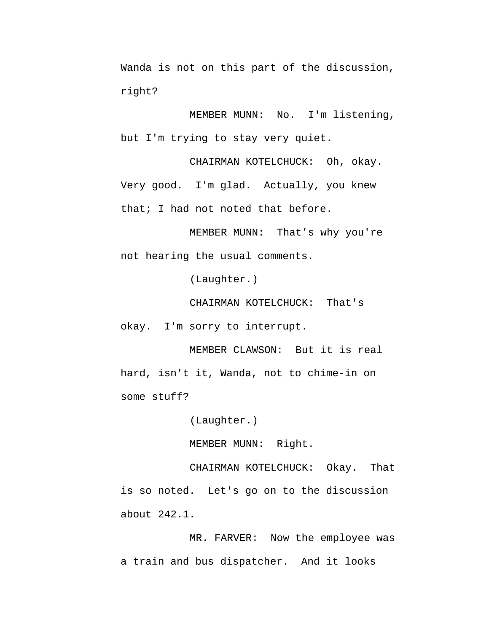Wanda is not on this part of the discussion, right?

MEMBER MUNN: No. I'm listening, but I'm trying to stay very quiet.

CHAIRMAN KOTELCHUCK: Oh, okay. Very good. I'm glad. Actually, you knew that; I had not noted that before.

MEMBER MUNN: That's why you're not hearing the usual comments.

(Laughter.)

CHAIRMAN KOTELCHUCK: That's

okay. I'm sorry to interrupt.

MEMBER CLAWSON: But it is real hard, isn't it, Wanda, not to chime-in on some stuff?

(Laughter.)

MEMBER MUNN: Right.

CHAIRMAN KOTELCHUCK: Okay. That is so noted. Let's go on to the discussion about 242.1.

MR. FARVER: Now the employee was a train and bus dispatcher. And it looks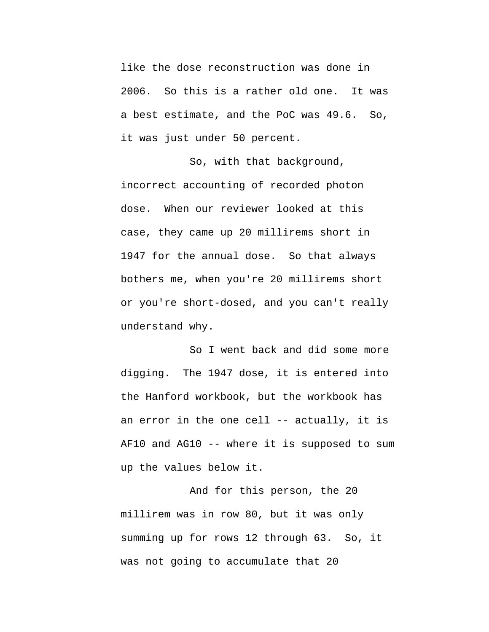like the dose reconstruction was done in 2006. So this is a rather old one. It was a best estimate, and the PoC was 49.6. So, it was just under 50 percent.

So, with that background, incorrect accounting of recorded photon dose. When our reviewer looked at this case, they came up 20 millirems short in 1947 for the annual dose. So that always bothers me, when you're 20 millirems short or you're short-dosed, and you can't really understand why.

So I went back and did some more digging. The 1947 dose, it is entered into the Hanford workbook, but the workbook has an error in the one cell -- actually, it is AF10 and AG10 -- where it is supposed to sum up the values below it.

And for this person, the 20 millirem was in row 80, but it was only summing up for rows 12 through 63. So, it was not going to accumulate that 20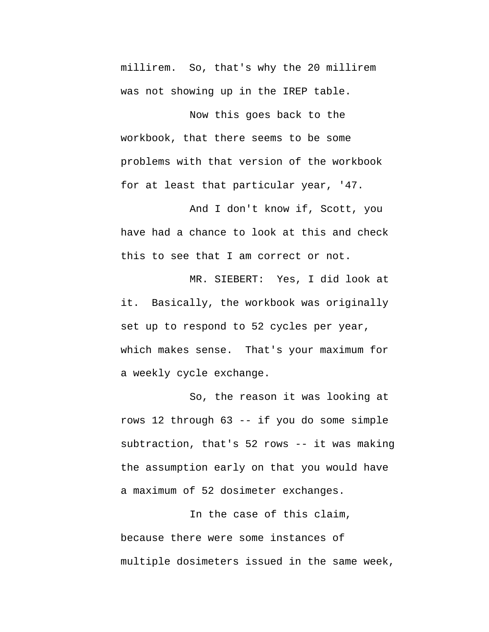millirem. So, that's why the 20 millirem was not showing up in the IREP table.

Now this goes back to the workbook, that there seems to be some problems with that version of the workbook for at least that particular year, '47.

And I don't know if, Scott, you have had a chance to look at this and check this to see that I am correct or not.

MR. SIEBERT: Yes, I did look at it. Basically, the workbook was originally set up to respond to 52 cycles per year, which makes sense. That's your maximum for a weekly cycle exchange.

So, the reason it was looking at rows 12 through 63 -- if you do some simple subtraction, that's 52 rows -- it was making the assumption early on that you would have a maximum of 52 dosimeter exchanges.

In the case of this claim, because there were some instances of multiple dosimeters issued in the same week,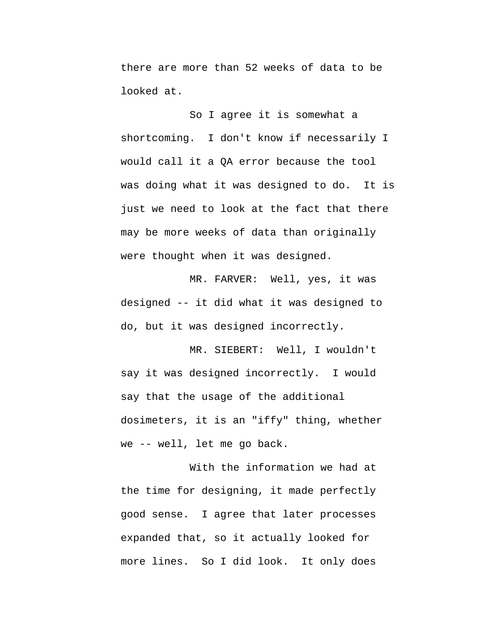there are more than 52 weeks of data to be looked at.

So I agree it is somewhat a shortcoming. I don't know if necessarily I would call it a QA error because the tool was doing what it was designed to do. It is just we need to look at the fact that there may be more weeks of data than originally were thought when it was designed.

MR. FARVER: Well, yes, it was designed -- it did what it was designed to do, but it was designed incorrectly.

MR. SIEBERT: Well, I wouldn't say it was designed incorrectly. I would say that the usage of the additional dosimeters, it is an "iffy" thing, whether we -- well, let me go back.

With the information we had at the time for designing, it made perfectly good sense. I agree that later processes expanded that, so it actually looked for more lines. So I did look. It only does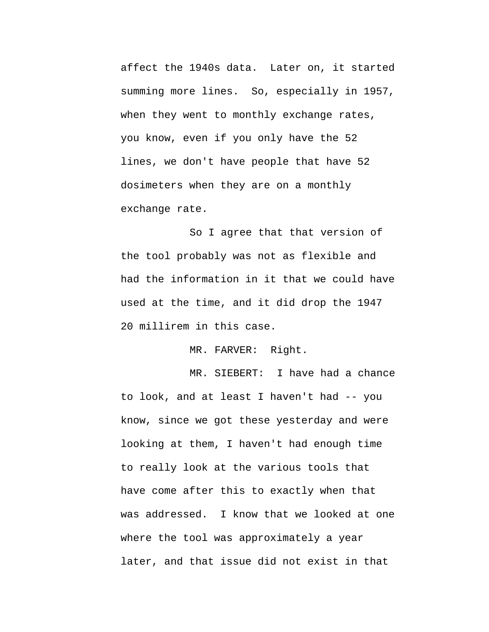affect the 1940s data. Later on, it started summing more lines. So, especially in 1957, when they went to monthly exchange rates, you know, even if you only have the 52 lines, we don't have people that have 52 dosimeters when they are on a monthly exchange rate.

So I agree that that version of the tool probably was not as flexible and had the information in it that we could have used at the time, and it did drop the 1947 20 millirem in this case.

MR. FARVER: Right.

MR. SIEBERT: I have had a chance to look, and at least I haven't had -- you know, since we got these yesterday and were looking at them, I haven't had enough time to really look at the various tools that have come after this to exactly when that was addressed. I know that we looked at one where the tool was approximately a year later, and that issue did not exist in that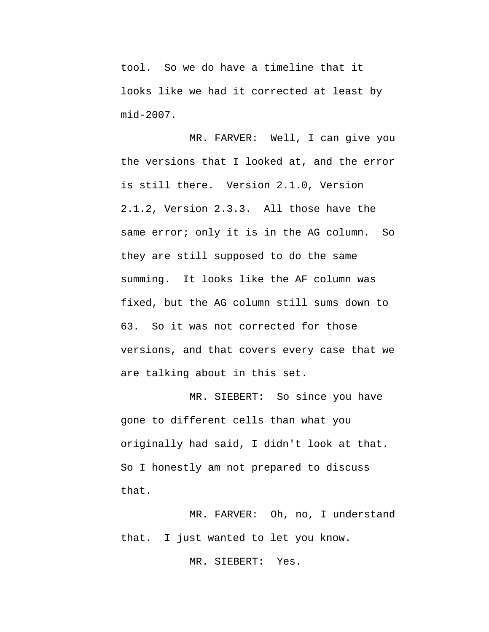tool. So we do have a timeline that it looks like we had it corrected at least by mid-2007.

MR. FARVER: Well, I can give you the versions that I looked at, and the error is still there. Version 2.1.0, Version 2.1.2, Version 2.3.3. All those have the same error; only it is in the AG column. So they are still supposed to do the same summing. It looks like the AF column was fixed, but the AG column still sums down to 63. So it was not corrected for those versions, and that covers every case that we are talking about in this set.

MR. SIEBERT: So since you have gone to different cells than what you originally had said, I didn't look at that. So I honestly am not prepared to discuss that.

MR. FARVER: Oh, no, I understand that. I just wanted to let you know.

MR. SIEBERT: Yes.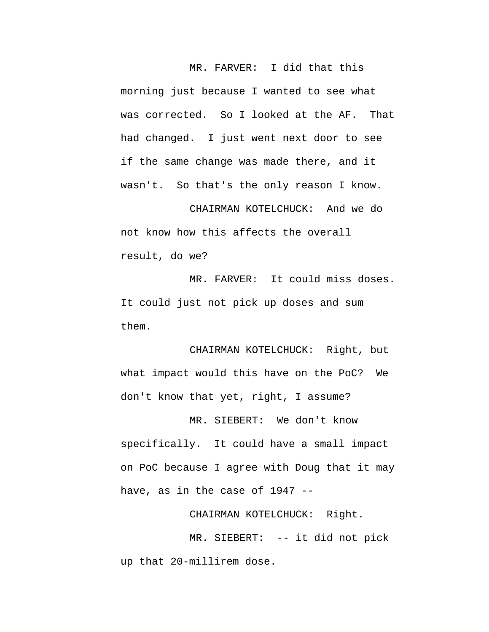MR. FARVER: I did that this morning just because I wanted to see what was corrected. So I looked at the AF. That had changed. I just went next door to see if the same change was made there, and it wasn't. So that's the only reason I know.

CHAIRMAN KOTELCHUCK: And we do not know how this affects the overall result, do we?

MR. FARVER: It could miss doses. It could just not pick up doses and sum them.

CHAIRMAN KOTELCHUCK: Right, but what impact would this have on the PoC? We don't know that yet, right, I assume?

MR. SIEBERT: We don't know specifically. It could have a small impact on PoC because I agree with Doug that it may have, as in the case of 1947 --

CHAIRMAN KOTELCHUCK: Right.

MR. SIEBERT: -- it did not pick up that 20-millirem dose.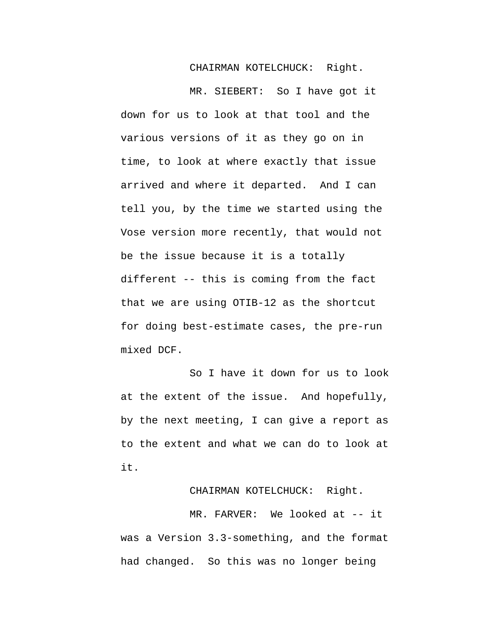#### CHAIRMAN KOTELCHUCK: Right.

MR. SIEBERT: So I have got it down for us to look at that tool and the various versions of it as they go on in time, to look at where exactly that issue arrived and where it departed. And I can tell you, by the time we started using the Vose version more recently, that would not be the issue because it is a totally different -- this is coming from the fact that we are using OTIB-12 as the shortcut for doing best-estimate cases, the pre-run mixed DCF.

So I have it down for us to look at the extent of the issue. And hopefully, by the next meeting, I can give a report as to the extent and what we can do to look at it.

### CHAIRMAN KOTELCHUCK: Right.

MR. FARVER: We looked at -- it was a Version 3.3-something, and the format had changed. So this was no longer being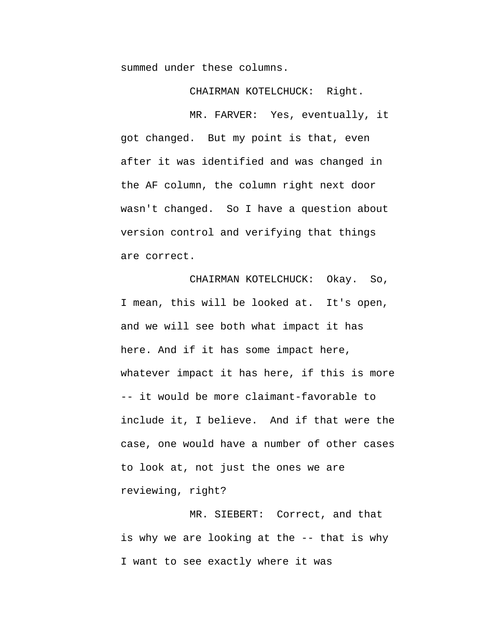summed under these columns.

CHAIRMAN KOTELCHUCK: Right.

MR. FARVER: Yes, eventually, it got changed. But my point is that, even after it was identified and was changed in the AF column, the column right next door wasn't changed. So I have a question about version control and verifying that things are correct.

CHAIRMAN KOTELCHUCK: Okay. So, I mean, this will be looked at. It's open, and we will see both what impact it has here. And if it has some impact here, whatever impact it has here, if this is more -- it would be more claimant-favorable to include it, I believe. And if that were the case, one would have a number of other cases to look at, not just the ones we are reviewing, right?

MR. SIEBERT: Correct, and that is why we are looking at the -- that is why I want to see exactly where it was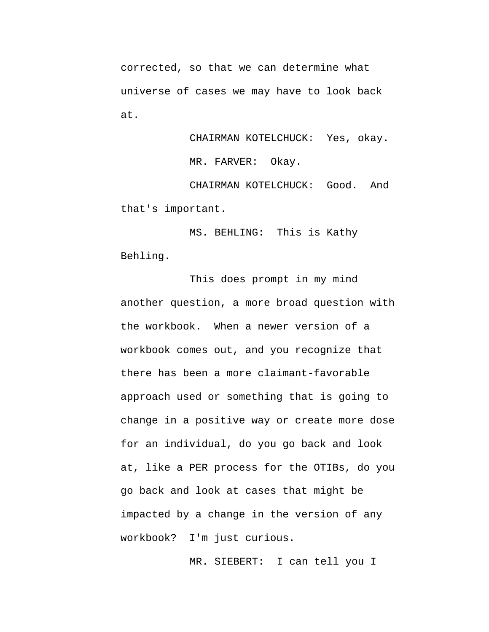corrected, so that we can determine what universe of cases we may have to look back at.

CHAIRMAN KOTELCHUCK: Yes, okay. MR. FARVER: Okay. CHAIRMAN KOTELCHUCK: Good. And that's important.

MS. BEHLING: This is Kathy Behling.

This does prompt in my mind another question, a more broad question with the workbook. When a newer version of a workbook comes out, and you recognize that there has been a more claimant-favorable approach used or something that is going to change in a positive way or create more dose for an individual, do you go back and look at, like a PER process for the OTIBs, do you go back and look at cases that might be impacted by a change in the version of any workbook? I'm just curious.

MR. SIEBERT: I can tell you I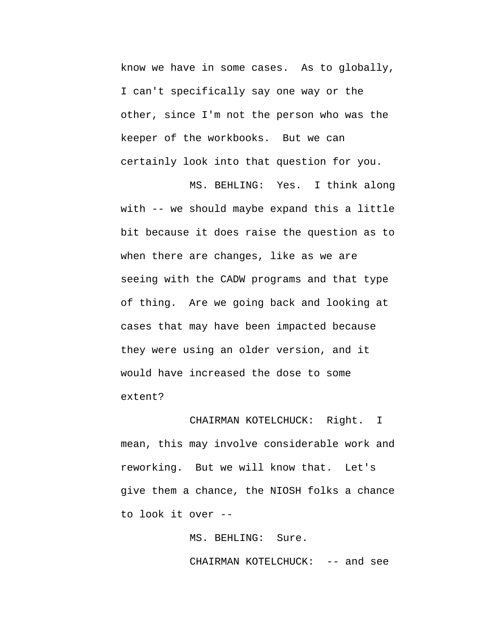know we have in some cases. As to globally, I can't specifically say one way or the other, since I'm not the person who was the keeper of the workbooks. But we can certainly look into that question for you.

MS. BEHLING: Yes. I think along with -- we should maybe expand this a little bit because it does raise the question as to when there are changes, like as we are seeing with the CADW programs and that type of thing. Are we going back and looking at cases that may have been impacted because they were using an older version, and it would have increased the dose to some extent?

CHAIRMAN KOTELCHUCK: Right. I mean, this may involve considerable work and reworking. But we will know that. Let's give them a chance, the NIOSH folks a chance to look it over --

> MS. BEHLING: Sure. CHAIRMAN KOTELCHUCK: -- and see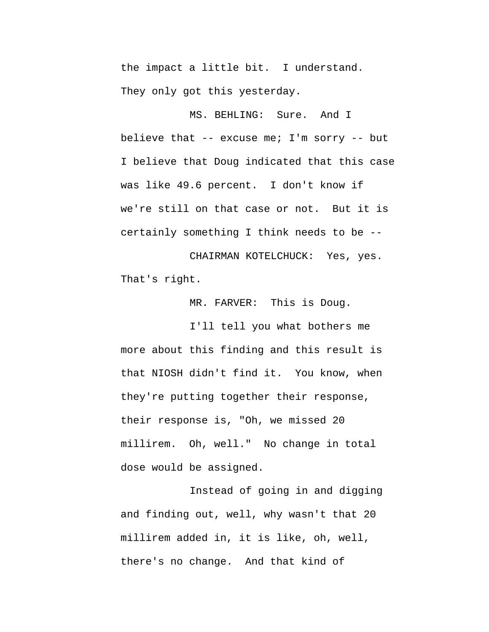the impact a little bit. I understand. They only got this yesterday.

MS. BEHLING: Sure. And I believe that -- excuse me; I'm sorry -- but I believe that Doug indicated that this case was like 49.6 percent. I don't know if we're still on that case or not. But it is certainly something I think needs to be --

CHAIRMAN KOTELCHUCK: Yes, yes. That's right.

MR. FARVER: This is Doug.

I'll tell you what bothers me more about this finding and this result is that NIOSH didn't find it. You know, when they're putting together their response, their response is, "Oh, we missed 20 millirem. Oh, well." No change in total dose would be assigned.

Instead of going in and digging and finding out, well, why wasn't that 20 millirem added in, it is like, oh, well, there's no change. And that kind of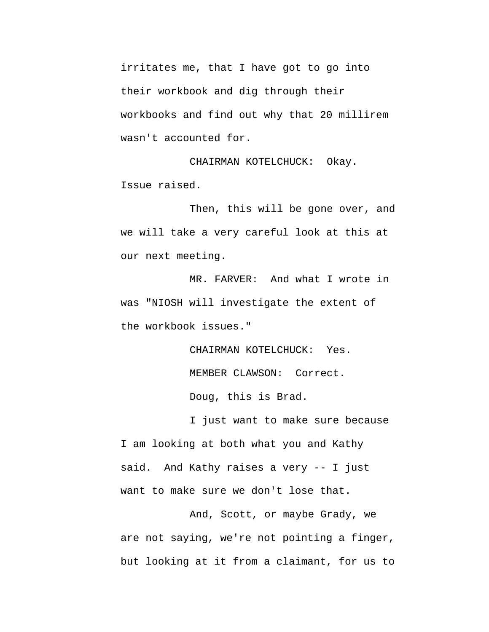irritates me, that I have got to go into their workbook and dig through their workbooks and find out why that 20 millirem wasn't accounted for.

CHAIRMAN KOTELCHUCK: Okay. Issue raised.

Then, this will be gone over, and we will take a very careful look at this at our next meeting.

MR. FARVER: And what I wrote in was "NIOSH will investigate the extent of the workbook issues."

> CHAIRMAN KOTELCHUCK: Yes. MEMBER CLAWSON: Correct. Doug, this is Brad.

I just want to make sure because I am looking at both what you and Kathy said. And Kathy raises a very -- I just want to make sure we don't lose that.

And, Scott, or maybe Grady, we are not saying, we're not pointing a finger, but looking at it from a claimant, for us to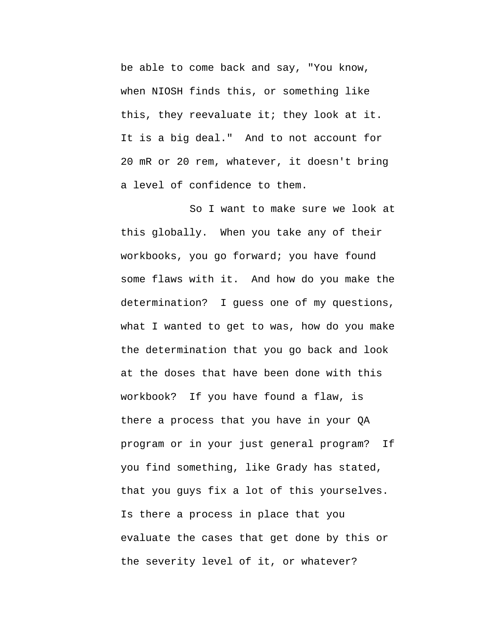be able to come back and say, "You know, when NIOSH finds this, or something like this, they reevaluate it; they look at it. It is a big deal." And to not account for 20 mR or 20 rem, whatever, it doesn't bring a level of confidence to them.

So I want to make sure we look at this globally. When you take any of their workbooks, you go forward; you have found some flaws with it. And how do you make the determination? I guess one of my questions, what I wanted to get to was, how do you make the determination that you go back and look at the doses that have been done with this workbook? If you have found a flaw, is there a process that you have in your QA program or in your just general program? If you find something, like Grady has stated, that you guys fix a lot of this yourselves. Is there a process in place that you evaluate the cases that get done by this or the severity level of it, or whatever?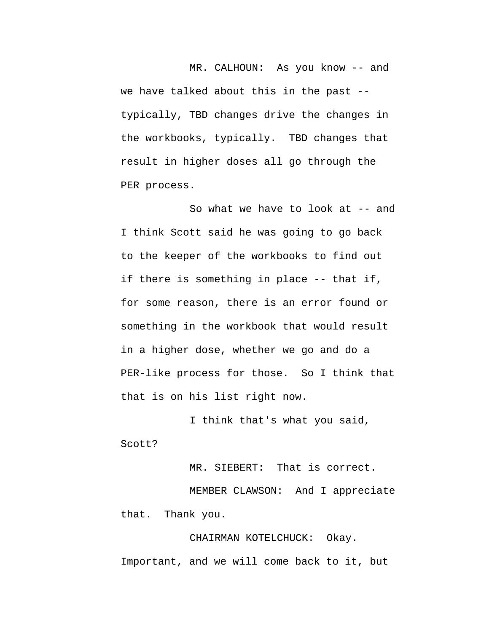MR. CALHOUN: As you know -- and we have talked about this in the past - typically, TBD changes drive the changes in the workbooks, typically. TBD changes that result in higher doses all go through the PER process.

So what we have to look at -- and I think Scott said he was going to go back to the keeper of the workbooks to find out if there is something in place -- that if, for some reason, there is an error found or something in the workbook that would result in a higher dose, whether we go and do a PER-like process for those. So I think that that is on his list right now.

I think that's what you said, Scott?

MR. SIEBERT: That is correct.

MEMBER CLAWSON: And I appreciate that. Thank you.

CHAIRMAN KOTELCHUCK: Okay. Important, and we will come back to it, but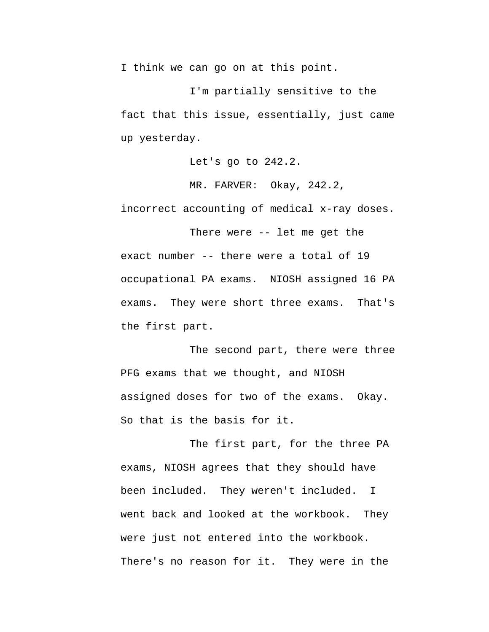I think we can go on at this point.

I'm partially sensitive to the fact that this issue, essentially, just came up yesterday.

Let's go to 242.2.

MR. FARVER: Okay, 242.2,

incorrect accounting of medical x-ray doses.

There were -- let me get the exact number -- there were a total of 19 occupational PA exams. NIOSH assigned 16 PA exams. They were short three exams. That's the first part.

The second part, there were three PFG exams that we thought, and NIOSH assigned doses for two of the exams. Okay. So that is the basis for it.

The first part, for the three PA exams, NIOSH agrees that they should have been included. They weren't included. I went back and looked at the workbook. They were just not entered into the workbook. There's no reason for it. They were in the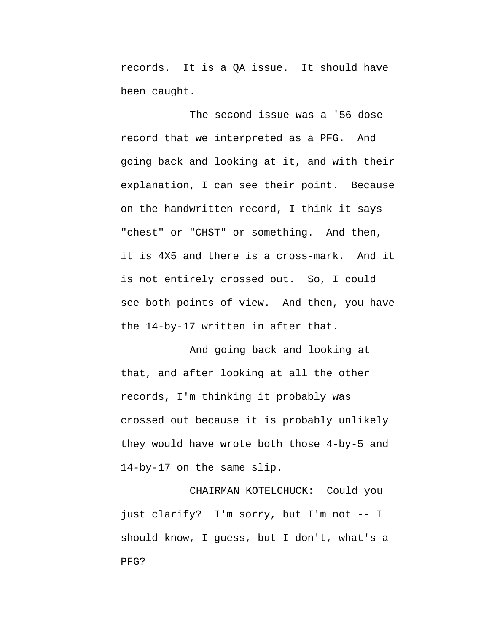records. It is a QA issue. It should have been caught.

The second issue was a '56 dose record that we interpreted as a PFG. And going back and looking at it, and with their explanation, I can see their point. Because on the handwritten record, I think it says "chest" or "CHST" or something. And then, it is 4X5 and there is a cross-mark. And it is not entirely crossed out. So, I could see both points of view. And then, you have the 14-by-17 written in after that.

And going back and looking at that, and after looking at all the other records, I'm thinking it probably was crossed out because it is probably unlikely they would have wrote both those 4-by-5 and 14-by-17 on the same slip.

CHAIRMAN KOTELCHUCK: Could you just clarify? I'm sorry, but I'm not -- I should know, I guess, but I don't, what's a PFG?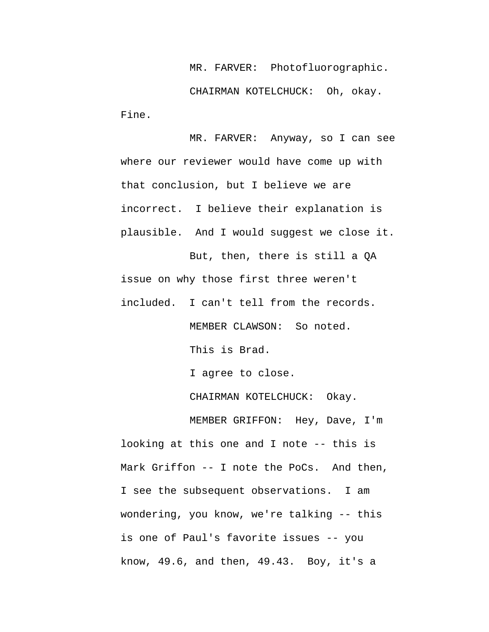MR. FARVER: Photofluorographic. CHAIRMAN KOTELCHUCK: Oh, okay. Fine.

MR. FARVER: Anyway, so I can see where our reviewer would have come up with that conclusion, but I believe we are incorrect. I believe their explanation is plausible. And I would suggest we close it.

But, then, there is still a QA issue on why those first three weren't included. I can't tell from the records.

MEMBER CLAWSON: So noted.

This is Brad.

I agree to close.

CHAIRMAN KOTELCHUCK: Okay.

MEMBER GRIFFON: Hey, Dave, I'm looking at this one and I note -- this is Mark Griffon -- I note the PoCs. And then, I see the subsequent observations. I am wondering, you know, we're talking -- this is one of Paul's favorite issues -- you know, 49.6, and then, 49.43. Boy, it's a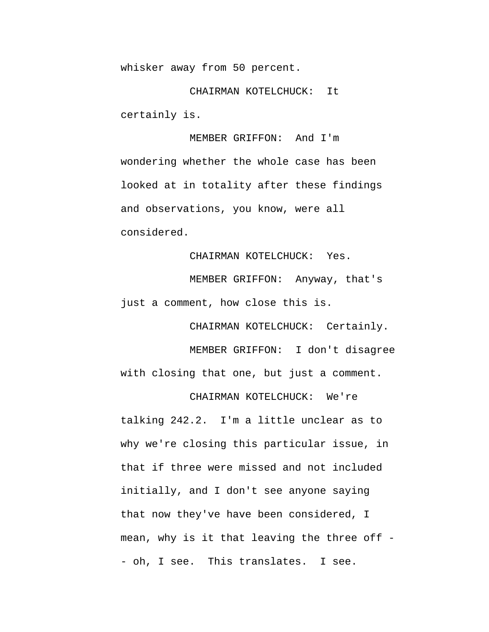whisker away from 50 percent.

CHAIRMAN KOTELCHUCK: It certainly is.

MEMBER GRIFFON: And I'm wondering whether the whole case has been looked at in totality after these findings and observations, you know, were all considered.

## CHAIRMAN KOTELCHUCK: Yes.

MEMBER GRIFFON: Anyway, that's just a comment, how close this is.

CHAIRMAN KOTELCHUCK: Certainly.

MEMBER GRIFFON: I don't disagree with closing that one, but just a comment.

CHAIRMAN KOTELCHUCK: We're talking 242.2. I'm a little unclear as to why we're closing this particular issue, in that if three were missed and not included initially, and I don't see anyone saying that now they've have been considered, I mean, why is it that leaving the three off - - oh, I see. This translates. I see.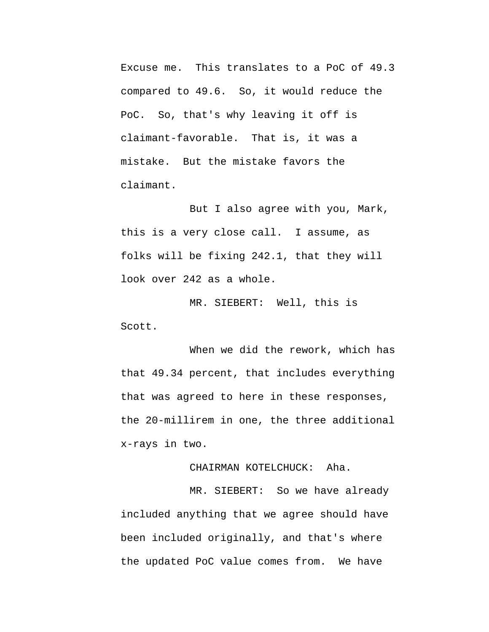Excuse me. This translates to a PoC of 49.3 compared to 49.6. So, it would reduce the PoC. So, that's why leaving it off is claimant-favorable. That is, it was a mistake. But the mistake favors the claimant.

But I also agree with you, Mark, this is a very close call. I assume, as folks will be fixing 242.1, that they will look over 242 as a whole.

MR. SIEBERT: Well, this is Scott.

When we did the rework, which has that 49.34 percent, that includes everything that was agreed to here in these responses, the 20-millirem in one, the three additional x-rays in two.

CHAIRMAN KOTELCHUCK: Aha.

MR. SIEBERT: So we have already included anything that we agree should have been included originally, and that's where the updated PoC value comes from. We have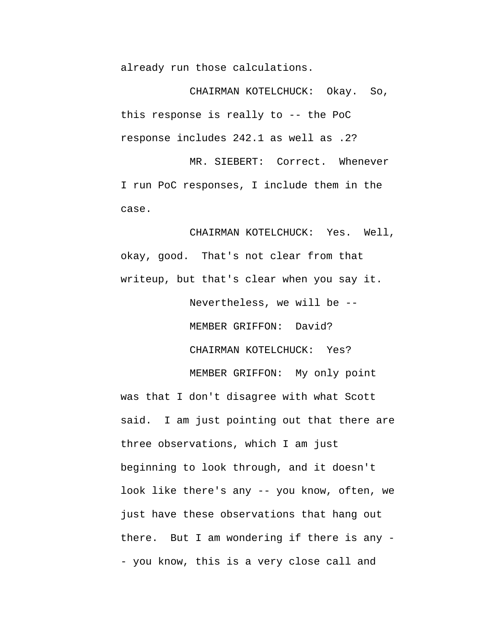already run those calculations.

CHAIRMAN KOTELCHUCK: Okay. So, this response is really to -- the PoC response includes 242.1 as well as .2?

MR. SIEBERT: Correct. Whenever I run PoC responses, I include them in the case.

CHAIRMAN KOTELCHUCK: Yes. Well, okay, good. That's not clear from that writeup, but that's clear when you say it.

> Nevertheless, we will be -- MEMBER GRIFFON: David? CHAIRMAN KOTELCHUCK: Yes?

MEMBER GRIFFON: My only point was that I don't disagree with what Scott said. I am just pointing out that there are three observations, which I am just beginning to look through, and it doesn't look like there's any -- you know, often, we just have these observations that hang out there. But I am wondering if there is any - - you know, this is a very close call and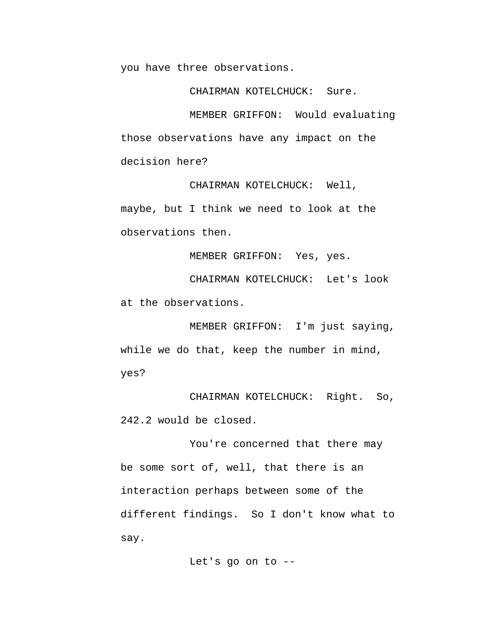you have three observations.

CHAIRMAN KOTELCHUCK: Sure.

MEMBER GRIFFON: Would evaluating those observations have any impact on the decision here?

CHAIRMAN KOTELCHUCK: Well,

maybe, but I think we need to look at the observations then.

MEMBER GRIFFON: Yes, yes.

CHAIRMAN KOTELCHUCK: Let's look at the observations.

MEMBER GRIFFON: I'm just saying, while we do that, keep the number in mind, yes?

CHAIRMAN KOTELCHUCK: Right. So, 242.2 would be closed.

You're concerned that there may be some sort of, well, that there is an interaction perhaps between some of the different findings. So I don't know what to say.

Let's go on to --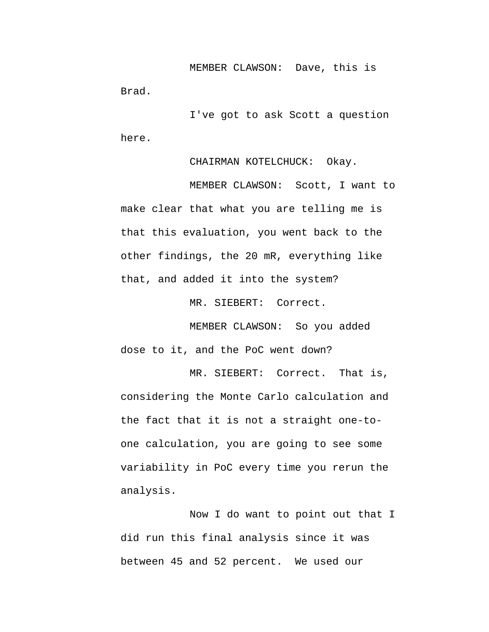MEMBER CLAWSON: Dave, this is Brad.

I've got to ask Scott a question here.

CHAIRMAN KOTELCHUCK: Okay. MEMBER CLAWSON: Scott, I want to make clear that what you are telling me is that this evaluation, you went back to the other findings, the 20 mR, everything like that, and added it into the system?

MR. SIEBERT: Correct.

MEMBER CLAWSON: So you added dose to it, and the PoC went down?

MR. SIEBERT: Correct. That is, considering the Monte Carlo calculation and the fact that it is not a straight one-toone calculation, you are going to see some variability in PoC every time you rerun the analysis.

Now I do want to point out that I did run this final analysis since it was between 45 and 52 percent. We used our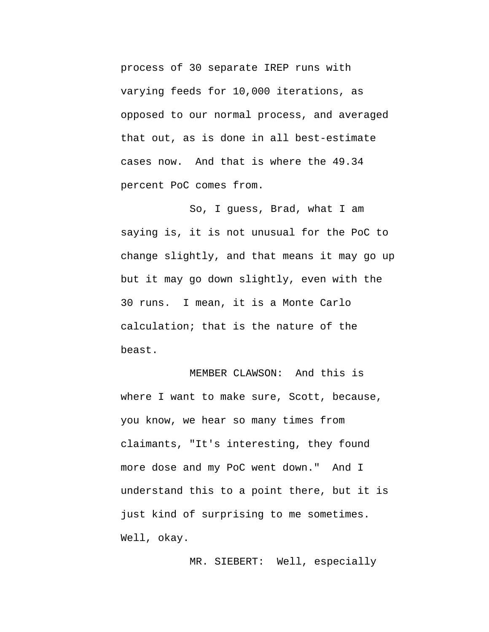process of 30 separate IREP runs with varying feeds for 10,000 iterations, as opposed to our normal process, and averaged that out, as is done in all best-estimate cases now. And that is where the 49.34 percent PoC comes from.

So, I guess, Brad, what I am saying is, it is not unusual for the PoC to change slightly, and that means it may go up but it may go down slightly, even with the 30 runs. I mean, it is a Monte Carlo calculation; that is the nature of the beast.

MEMBER CLAWSON: And this is where I want to make sure, Scott, because, you know, we hear so many times from claimants, "It's interesting, they found more dose and my PoC went down." And I understand this to a point there, but it is just kind of surprising to me sometimes. Well, okay.

MR. SIEBERT: Well, especially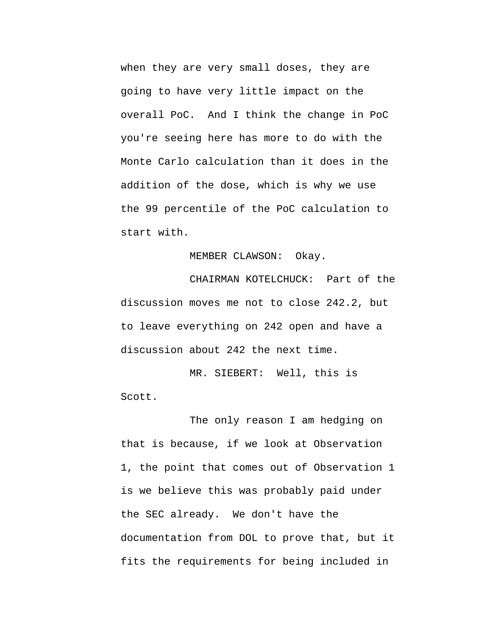when they are very small doses, they are going to have very little impact on the overall PoC. And I think the change in PoC you're seeing here has more to do with the Monte Carlo calculation than it does in the addition of the dose, which is why we use the 99 percentile of the PoC calculation to start with.

### MEMBER CLAWSON: Okay.

CHAIRMAN KOTELCHUCK: Part of the discussion moves me not to close 242.2, but to leave everything on 242 open and have a discussion about 242 the next time.

MR. SIEBERT: Well, this is Scott.

The only reason I am hedging on that is because, if we look at Observation 1, the point that comes out of Observation 1 is we believe this was probably paid under the SEC already. We don't have the documentation from DOL to prove that, but it fits the requirements for being included in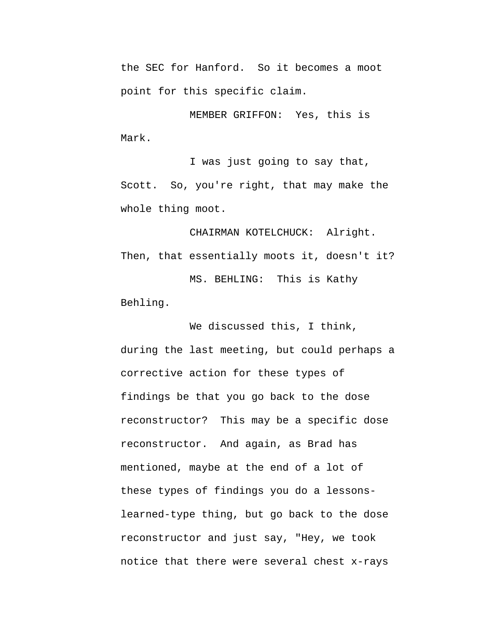the SEC for Hanford. So it becomes a moot point for this specific claim.

MEMBER GRIFFON: Yes, this is Mark.

I was just going to say that, Scott. So, you're right, that may make the whole thing moot.

CHAIRMAN KOTELCHUCK: Alright. Then, that essentially moots it, doesn't it? MS. BEHLING: This is Kathy Behling.

We discussed this, I think, during the last meeting, but could perhaps a corrective action for these types of findings be that you go back to the dose reconstructor? This may be a specific dose reconstructor. And again, as Brad has mentioned, maybe at the end of a lot of these types of findings you do a lessonslearned-type thing, but go back to the dose reconstructor and just say, "Hey, we took notice that there were several chest x-rays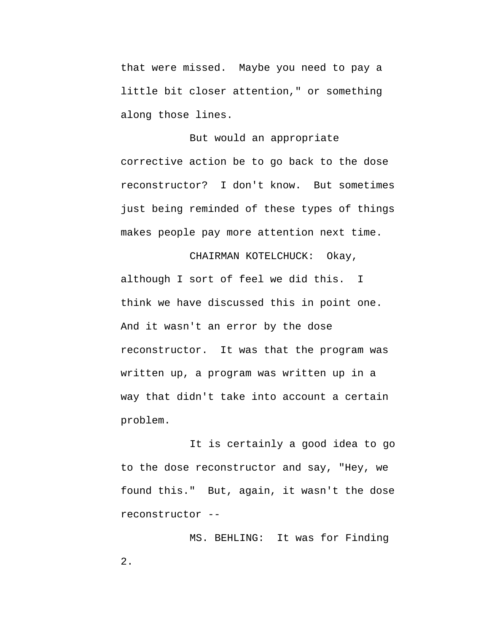that were missed. Maybe you need to pay a little bit closer attention," or something along those lines.

But would an appropriate corrective action be to go back to the dose reconstructor? I don't know. But sometimes just being reminded of these types of things makes people pay more attention next time.

# CHAIRMAN KOTELCHUCK: Okay, although I sort of feel we did this. I think we have discussed this in point one. And it wasn't an error by the dose reconstructor. It was that the program was written up, a program was written up in a way that didn't take into account a certain problem.

It is certainly a good idea to go to the dose reconstructor and say, "Hey, we found this." But, again, it wasn't the dose reconstructor --

MS. BEHLING: It was for Finding 2.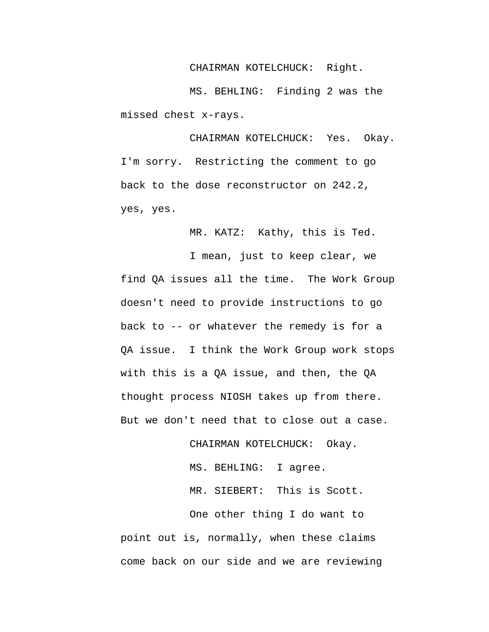CHAIRMAN KOTELCHUCK: Right.

MS. BEHLING: Finding 2 was the missed chest x-rays.

CHAIRMAN KOTELCHUCK: Yes. Okay. I'm sorry. Restricting the comment to go back to the dose reconstructor on 242.2, yes, yes.

MR. KATZ: Kathy, this is Ted.

I mean, just to keep clear, we find QA issues all the time. The Work Group doesn't need to provide instructions to go back to -- or whatever the remedy is for a QA issue. I think the Work Group work stops with this is a QA issue, and then, the QA thought process NIOSH takes up from there. But we don't need that to close out a case.

CHAIRMAN KOTELCHUCK: Okay.

MS. BEHLING: I agree.

MR. SIEBERT: This is Scott.

One other thing I do want to point out is, normally, when these claims come back on our side and we are reviewing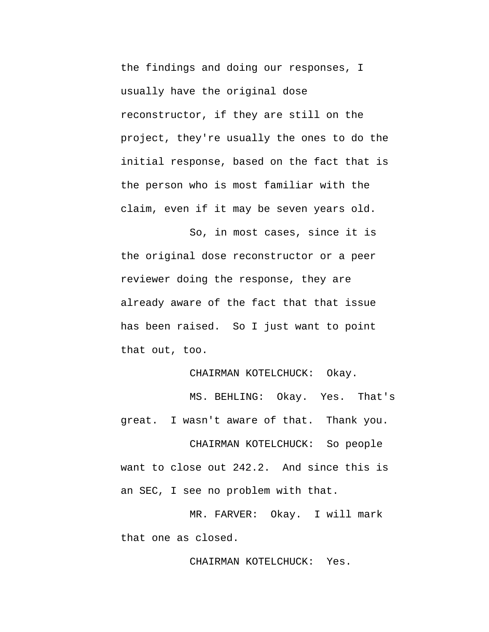the findings and doing our responses, I usually have the original dose reconstructor, if they are still on the project, they're usually the ones to do the initial response, based on the fact that is the person who is most familiar with the claim, even if it may be seven years old.

So, in most cases, since it is the original dose reconstructor or a peer reviewer doing the response, they are already aware of the fact that that issue has been raised. So I just want to point that out, too.

#### CHAIRMAN KOTELCHUCK: Okay.

MS. BEHLING: Okay. Yes. That's great. I wasn't aware of that. Thank you.

CHAIRMAN KOTELCHUCK: So people want to close out 242.2. And since this is an SEC, I see no problem with that.

MR. FARVER: Okay. I will mark that one as closed.

CHAIRMAN KOTELCHUCK: Yes.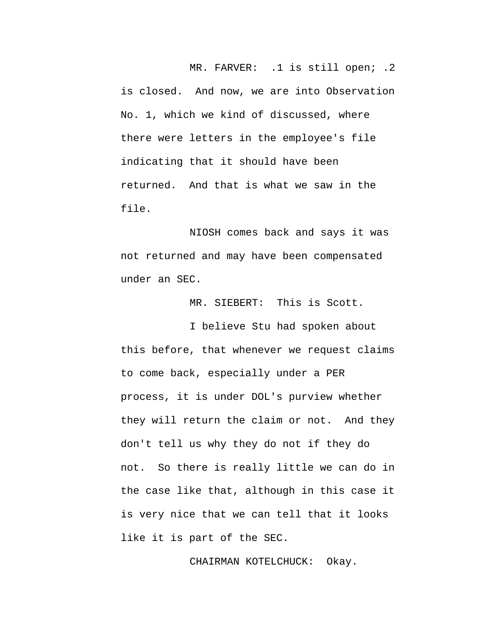MR. FARVER: .1 is still open; .2 is closed. And now, we are into Observation No. 1, which we kind of discussed, where there were letters in the employee's file indicating that it should have been returned. And that is what we saw in the file.

NIOSH comes back and says it was not returned and may have been compensated under an SEC.

MR. SIEBERT: This is Scott.

I believe Stu had spoken about this before, that whenever we request claims to come back, especially under a PER process, it is under DOL's purview whether they will return the claim or not. And they don't tell us why they do not if they do not. So there is really little we can do in the case like that, although in this case it is very nice that we can tell that it looks like it is part of the SEC.

CHAIRMAN KOTELCHUCK: Okay.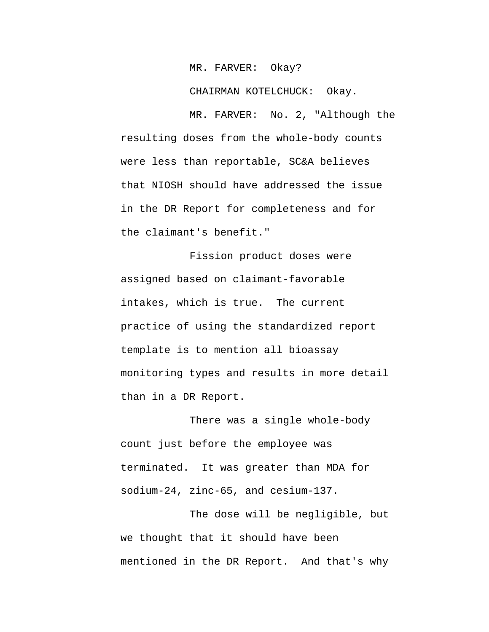MR. FARVER: Okay?

CHAIRMAN KOTELCHUCK: Okay.

MR. FARVER: No. 2, "Although the resulting doses from the whole-body counts were less than reportable, SC&A believes that NIOSH should have addressed the issue in the DR Report for completeness and for the claimant's benefit."

Fission product doses were assigned based on claimant-favorable intakes, which is true. The current practice of using the standardized report template is to mention all bioassay monitoring types and results in more detail than in a DR Report.

There was a single whole-body count just before the employee was terminated. It was greater than MDA for sodium-24, zinc-65, and cesium-137.

The dose will be negligible, but we thought that it should have been mentioned in the DR Report. And that's why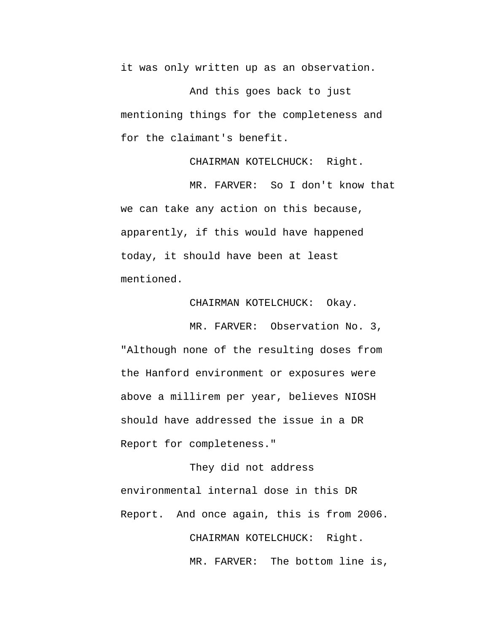it was only written up as an observation.

And this goes back to just mentioning things for the completeness and for the claimant's benefit.

CHAIRMAN KOTELCHUCK: Right.

MR. FARVER: So I don't know that we can take any action on this because, apparently, if this would have happened today, it should have been at least mentioned.

CHAIRMAN KOTELCHUCK: Okay.

MR. FARVER: Observation No. 3, "Although none of the resulting doses from the Hanford environment or exposures were above a millirem per year, believes NIOSH should have addressed the issue in a DR Report for completeness."

They did not address environmental internal dose in this DR Report. And once again, this is from 2006.

> CHAIRMAN KOTELCHUCK: Right. MR. FARVER: The bottom line is,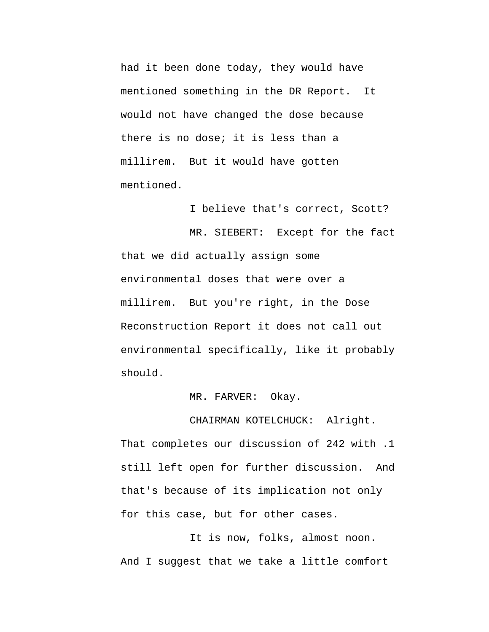had it been done today, they would have mentioned something in the DR Report. It would not have changed the dose because there is no dose; it is less than a millirem. But it would have gotten mentioned.

I believe that's correct, Scott?

MR. SIEBERT: Except for the fact that we did actually assign some environmental doses that were over a millirem. But you're right, in the Dose Reconstruction Report it does not call out environmental specifically, like it probably should.

MR. FARVER: Okay.

CHAIRMAN KOTELCHUCK: Alright.

That completes our discussion of 242 with .1 still left open for further discussion. And that's because of its implication not only for this case, but for other cases.

It is now, folks, almost noon. And I suggest that we take a little comfort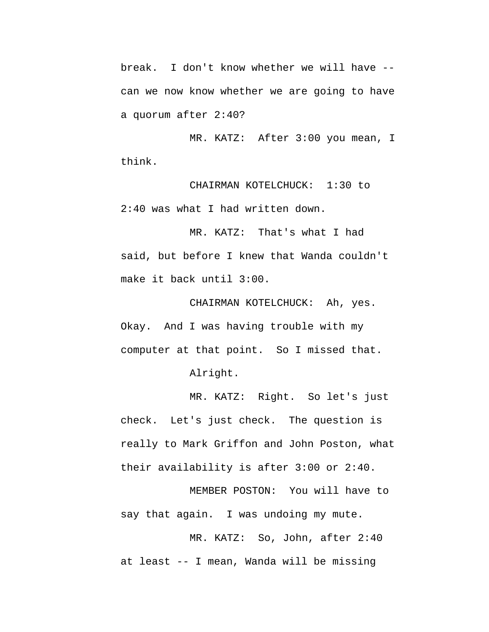break. I don't know whether we will have - can we now know whether we are going to have a quorum after 2:40?

MR. KATZ: After 3:00 you mean, I think.

CHAIRMAN KOTELCHUCK: 1:30 to 2:40 was what I had written down.

MR. KATZ: That's what I had said, but before I knew that Wanda couldn't make it back until 3:00.

CHAIRMAN KOTELCHUCK: Ah, yes. Okay. And I was having trouble with my computer at that point. So I missed that.

Alright.

MR. KATZ: Right. So let's just check. Let's just check. The question is really to Mark Griffon and John Poston, what their availability is after 3:00 or 2:40.

MEMBER POSTON: You will have to say that again. I was undoing my mute.

MR. KATZ: So, John, after 2:40 at least -- I mean, Wanda will be missing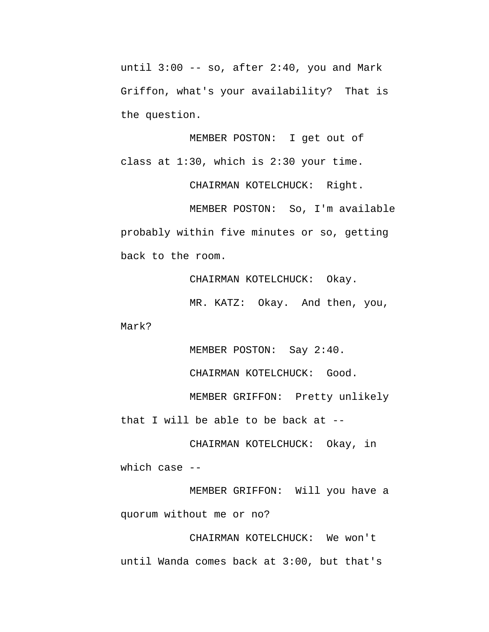until 3:00 -- so, after 2:40, you and Mark Griffon, what's your availability? That is the question.

MEMBER POSTON: I get out of class at 1:30, which is 2:30 your time.

CHAIRMAN KOTELCHUCK: Right.

MEMBER POSTON: So, I'm available probably within five minutes or so, getting back to the room.

CHAIRMAN KOTELCHUCK: Okay.

MR. KATZ: Okay. And then, you,

Mark?

MEMBER POSTON: Say 2:40.

CHAIRMAN KOTELCHUCK: Good.

MEMBER GRIFFON: Pretty unlikely that I will be able to be back at --

CHAIRMAN KOTELCHUCK: Okay, in which case  $-$ 

MEMBER GRIFFON: Will you have a quorum without me or no?

CHAIRMAN KOTELCHUCK: We won't until Wanda comes back at 3:00, but that's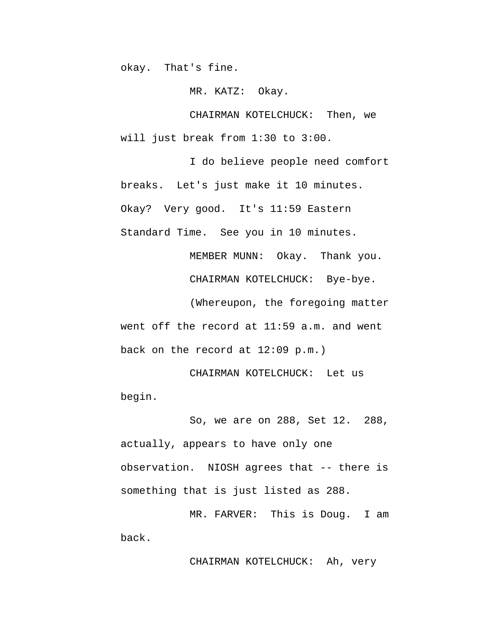okay. That's fine.

MR. KATZ: Okay.

CHAIRMAN KOTELCHUCK: Then, we will just break from 1:30 to 3:00.

I do believe people need comfort breaks. Let's just make it 10 minutes. Okay? Very good. It's 11:59 Eastern Standard Time. See you in 10 minutes.

> MEMBER MUNN: Okay. Thank you. CHAIRMAN KOTELCHUCK: Bye-bye.

(Whereupon, the foregoing matter went off the record at 11:59 a.m. and went back on the record at 12:09 p.m.)

CHAIRMAN KOTELCHUCK: Let us begin.

So, we are on 288, Set 12. 288, actually, appears to have only one observation. NIOSH agrees that -- there is something that is just listed as 288.

MR. FARVER: This is Doug. I am back.

CHAIRMAN KOTELCHUCK: Ah, very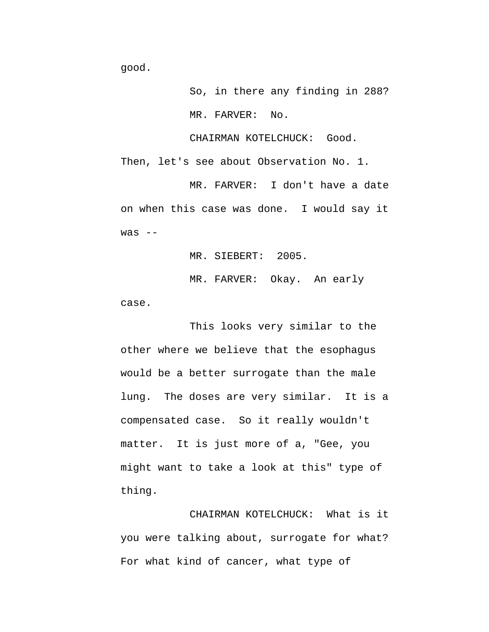good.

So, in there any finding in 288? MR. FARVER: No.

CHAIRMAN KOTELCHUCK: Good.

Then, let's see about Observation No. 1.

MR. FARVER: I don't have a date on when this case was done. I would say it was --

MR. SIEBERT: 2005.

MR. FARVER: Okay. An early case.

This looks very similar to the other where we believe that the esophagus would be a better surrogate than the male lung. The doses are very similar. It is a compensated case. So it really wouldn't matter. It is just more of a, "Gee, you might want to take a look at this" type of thing.

CHAIRMAN KOTELCHUCK: What is it you were talking about, surrogate for what? For what kind of cancer, what type of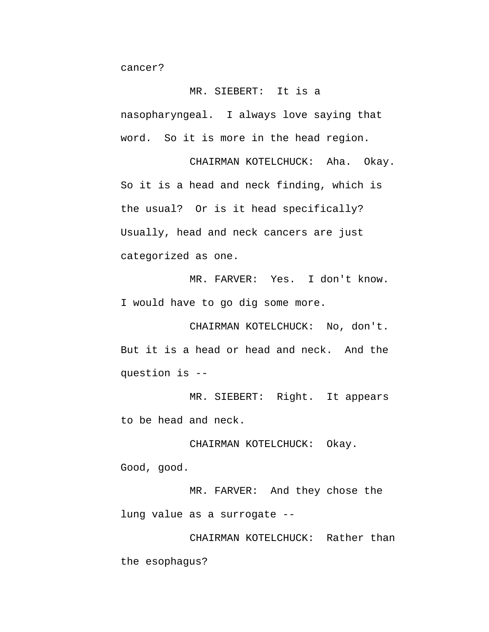cancer?

## MR. SIEBERT: It is a

nasopharyngeal. I always love saying that word. So it is more in the head region.

CHAIRMAN KOTELCHUCK: Aha. Okay. So it is a head and neck finding, which is the usual? Or is it head specifically? Usually, head and neck cancers are just categorized as one.

MR. FARVER: Yes. I don't know. I would have to go dig some more.

CHAIRMAN KOTELCHUCK: No, don't. But it is a head or head and neck. And the question is --

MR. SIEBERT: Right. It appears to be head and neck.

CHAIRMAN KOTELCHUCK: Okay. Good, good.

MR. FARVER: And they chose the lung value as a surrogate --

CHAIRMAN KOTELCHUCK: Rather than the esophagus?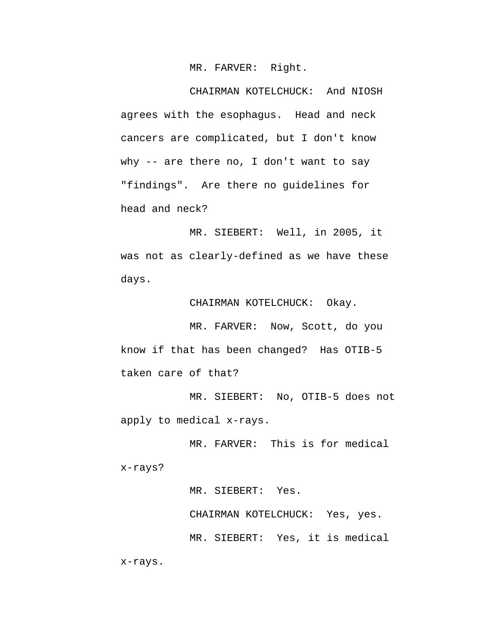MR. FARVER: Right.

CHAIRMAN KOTELCHUCK: And NIOSH agrees with the esophagus. Head and neck cancers are complicated, but I don't know why -- are there no, I don't want to say "findings". Are there no guidelines for head and neck?

MR. SIEBERT: Well, in 2005, it was not as clearly-defined as we have these days.

CHAIRMAN KOTELCHUCK: Okay.

MR. FARVER: Now, Scott, do you know if that has been changed? Has OTIB-5 taken care of that?

MR. SIEBERT: No, OTIB-5 does not apply to medical x-rays.

MR. FARVER: This is for medical x-rays?

> MR. SIEBERT: Yes. CHAIRMAN KOTELCHUCK: Yes, yes. MR. SIEBERT: Yes, it is medical

x-rays.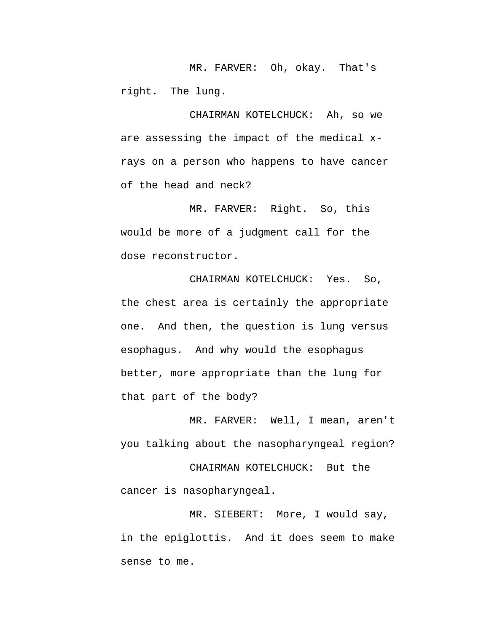MR. FARVER: Oh, okay. That's right. The lung.

CHAIRMAN KOTELCHUCK: Ah, so we are assessing the impact of the medical xrays on a person who happens to have cancer of the head and neck?

MR. FARVER: Right. So, this would be more of a judgment call for the dose reconstructor.

CHAIRMAN KOTELCHUCK: Yes. So, the chest area is certainly the appropriate one. And then, the question is lung versus esophagus. And why would the esophagus better, more appropriate than the lung for that part of the body?

MR. FARVER: Well, I mean, aren't you talking about the nasopharyngeal region?

CHAIRMAN KOTELCHUCK: But the cancer is nasopharyngeal.

MR. SIEBERT: More, I would say, in the epiglottis. And it does seem to make sense to me.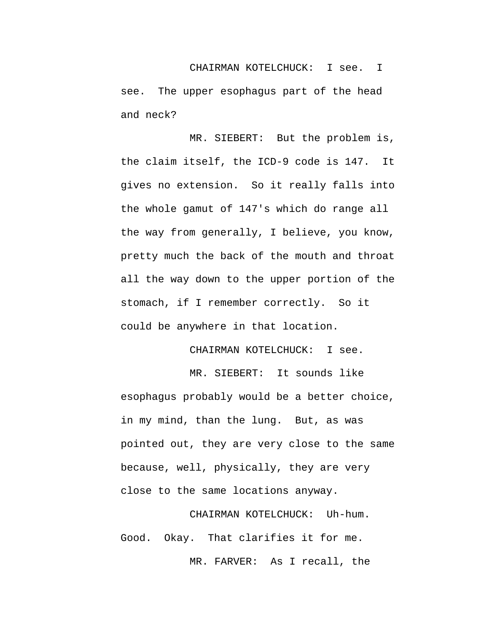CHAIRMAN KOTELCHUCK: I see. I see. The upper esophagus part of the head and neck?

MR. SIEBERT: But the problem is, the claim itself, the ICD-9 code is 147. It gives no extension. So it really falls into the whole gamut of 147's which do range all the way from generally, I believe, you know, pretty much the back of the mouth and throat all the way down to the upper portion of the stomach, if I remember correctly. So it could be anywhere in that location.

CHAIRMAN KOTELCHUCK: I see.

MR. SIEBERT: It sounds like esophagus probably would be a better choice, in my mind, than the lung. But, as was pointed out, they are very close to the same because, well, physically, they are very close to the same locations anyway.

CHAIRMAN KOTELCHUCK: Uh-hum. Good. Okay. That clarifies it for me.

MR. FARVER: As I recall, the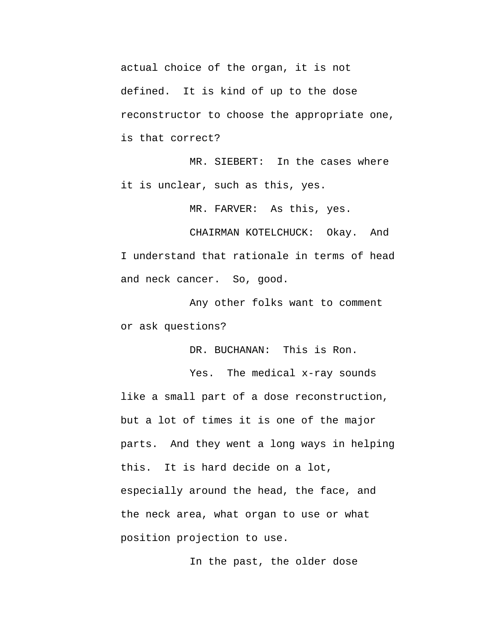actual choice of the organ, it is not defined. It is kind of up to the dose reconstructor to choose the appropriate one, is that correct?

MR. SIEBERT: In the cases where it is unclear, such as this, yes.

MR. FARVER: As this, yes.

CHAIRMAN KOTELCHUCK: Okay. And I understand that rationale in terms of head and neck cancer. So, good.

Any other folks want to comment or ask questions?

DR. BUCHANAN: This is Ron.

Yes. The medical x-ray sounds like a small part of a dose reconstruction, but a lot of times it is one of the major parts. And they went a long ways in helping this. It is hard decide on a lot, especially around the head, the face, and the neck area, what organ to use or what position projection to use.

In the past, the older dose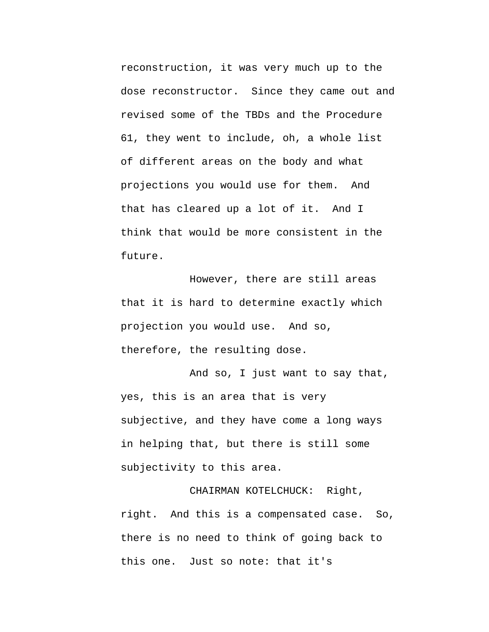reconstruction, it was very much up to the dose reconstructor. Since they came out and revised some of the TBDs and the Procedure 61, they went to include, oh, a whole list of different areas on the body and what projections you would use for them. And that has cleared up a lot of it. And I think that would be more consistent in the future.

However, there are still areas that it is hard to determine exactly which projection you would use. And so, therefore, the resulting dose.

And so, I just want to say that, yes, this is an area that is very subjective, and they have come a long ways in helping that, but there is still some subjectivity to this area.

CHAIRMAN KOTELCHUCK: Right, right. And this is a compensated case. So, there is no need to think of going back to this one. Just so note: that it's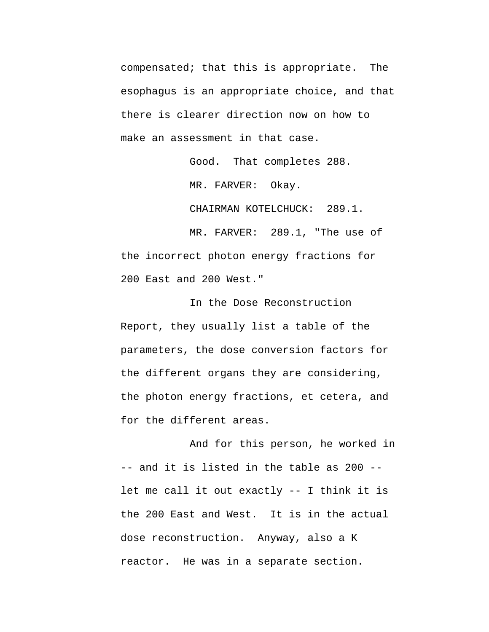compensated; that this is appropriate. The esophagus is an appropriate choice, and that there is clearer direction now on how to make an assessment in that case.

> Good. That completes 288. MR. FARVER: Okay.

CHAIRMAN KOTELCHUCK: 289.1.

MR. FARVER: 289.1, "The use of the incorrect photon energy fractions for 200 East and 200 West."

In the Dose Reconstruction Report, they usually list a table of the parameters, the dose conversion factors for the different organs they are considering, the photon energy fractions, et cetera, and for the different areas.

And for this person, he worked in -- and it is listed in the table as 200 - let me call it out exactly -- I think it is the 200 East and West. It is in the actual dose reconstruction. Anyway, also a K reactor. He was in a separate section.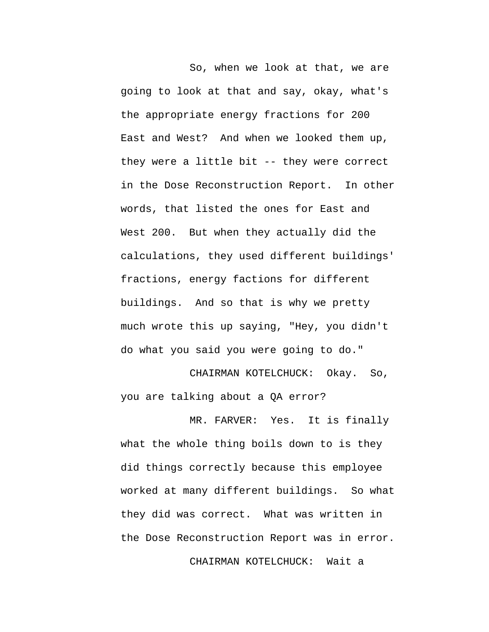So, when we look at that, we are going to look at that and say, okay, what's the appropriate energy fractions for 200 East and West? And when we looked them up, they were a little bit -- they were correct in the Dose Reconstruction Report. In other words, that listed the ones for East and West 200. But when they actually did the calculations, they used different buildings' fractions, energy factions for different buildings. And so that is why we pretty much wrote this up saying, "Hey, you didn't do what you said you were going to do."

CHAIRMAN KOTELCHUCK: Okay. So, you are talking about a QA error?

MR. FARVER: Yes. It is finally what the whole thing boils down to is they did things correctly because this employee worked at many different buildings. So what they did was correct. What was written in the Dose Reconstruction Report was in error.

CHAIRMAN KOTELCHUCK: Wait a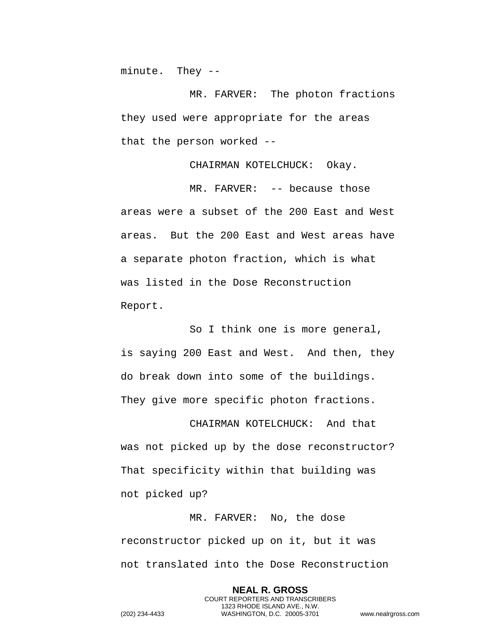minute. They --

MR. FARVER: The photon fractions they used were appropriate for the areas that the person worked --

CHAIRMAN KOTELCHUCK: Okay.

MR. FARVER: -- because those areas were a subset of the 200 East and West areas. But the 200 East and West areas have a separate photon fraction, which is what was listed in the Dose Reconstruction Report.

So I think one is more general, is saying 200 East and West. And then, they do break down into some of the buildings. They give more specific photon fractions.

CHAIRMAN KOTELCHUCK: And that was not picked up by the dose reconstructor? That specificity within that building was not picked up?

MR. FARVER: No, the dose reconstructor picked up on it, but it was not translated into the Dose Reconstruction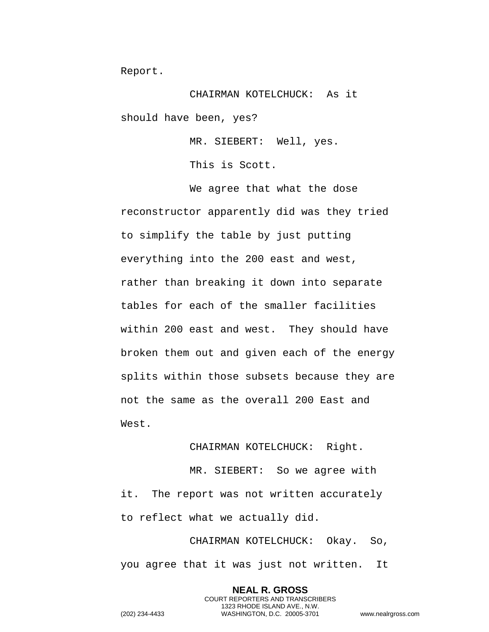Report.

CHAIRMAN KOTELCHUCK: As it should have been, yes?

MR. SIEBERT: Well, yes.

This is Scott.

We agree that what the dose reconstructor apparently did was they tried to simplify the table by just putting everything into the 200 east and west, rather than breaking it down into separate tables for each of the smaller facilities within 200 east and west. They should have broken them out and given each of the energy splits within those subsets because they are not the same as the overall 200 East and West.

CHAIRMAN KOTELCHUCK: Right.

MR. SIEBERT: So we agree with it. The report was not written accurately to reflect what we actually did.

CHAIRMAN KOTELCHUCK: Okay. So, you agree that it was just not written. It

> **NEAL R. GROSS** COURT REPORTERS AND TRANSCRIBERS 1323 RHODE ISLAND AVE., N.W.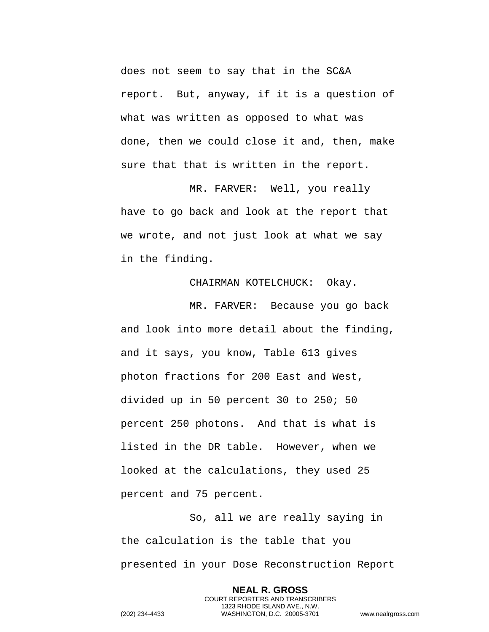does not seem to say that in the SC&A report. But, anyway, if it is a question of what was written as opposed to what was done, then we could close it and, then, make sure that that is written in the report.

MR. FARVER: Well, you really have to go back and look at the report that we wrote, and not just look at what we say in the finding.

## CHAIRMAN KOTELCHUCK: Okay.

MR. FARVER: Because you go back and look into more detail about the finding, and it says, you know, Table 613 gives photon fractions for 200 East and West, divided up in 50 percent 30 to 250; 50 percent 250 photons. And that is what is listed in the DR table. However, when we looked at the calculations, they used 25 percent and 75 percent.

So, all we are really saying in the calculation is the table that you presented in your Dose Reconstruction Report

> **NEAL R. GROSS** COURT REPORTERS AND TRANSCRIBERS 1323 RHODE ISLAND AVE., N.W.

(202) 234-4433 WASHINGTON, D.C. 20005-3701 www.nealrgross.com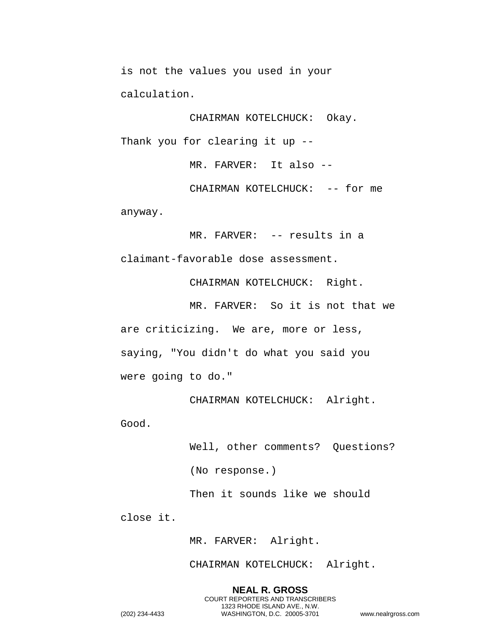is not the values you used in your calculation.

CHAIRMAN KOTELCHUCK: Okay. Thank you for clearing it up --

MR. FARVER: It also --

CHAIRMAN KOTELCHUCK: -- for me anyway.

MR. FARVER: -- results in a claimant-favorable dose assessment.

CHAIRMAN KOTELCHUCK: Right.

MR. FARVER: So it is not that we are criticizing. We are, more or less, saying, "You didn't do what you said you were going to do."

CHAIRMAN KOTELCHUCK: Alright.

Good.

Well, other comments? Questions?

(No response.)

Then it sounds like we should

close it.

MR. FARVER: Alright.

CHAIRMAN KOTELCHUCK: Alright.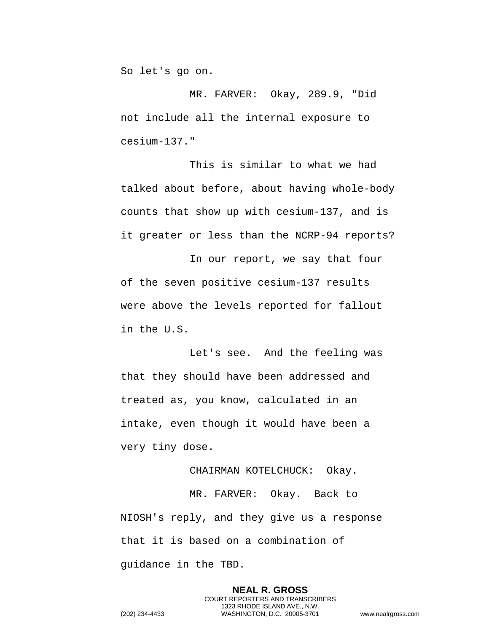So let's go on.

MR. FARVER: Okay, 289.9, "Did not include all the internal exposure to cesium-137."

This is similar to what we had talked about before, about having whole-body counts that show up with cesium-137, and is it greater or less than the NCRP-94 reports?

In our report, we say that four of the seven positive cesium-137 results were above the levels reported for fallout in the U.S.

Let's see. And the feeling was that they should have been addressed and treated as, you know, calculated in an intake, even though it would have been a very tiny dose.

CHAIRMAN KOTELCHUCK: Okay. MR. FARVER: Okay. Back to NIOSH's reply, and they give us a response that it is based on a combination of guidance in the TBD.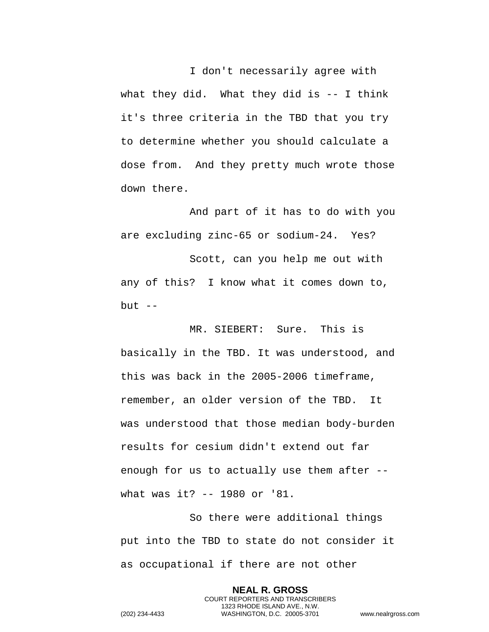I don't necessarily agree with what they did. What they did is  $-$ - I think it's three criteria in the TBD that you try to determine whether you should calculate a dose from. And they pretty much wrote those down there.

And part of it has to do with you are excluding zinc-65 or sodium-24. Yes?

Scott, can you help me out with any of this? I know what it comes down to, but  $--$ 

MR. SIEBERT: Sure. This is basically in the TBD. It was understood, and this was back in the 2005-2006 timeframe, remember, an older version of the TBD. It was understood that those median body-burden results for cesium didn't extend out far enough for us to actually use them after - what was it? -- 1980 or '81.

So there were additional things put into the TBD to state do not consider it as occupational if there are not other

> **NEAL R. GROSS** COURT REPORTERS AND TRANSCRIBERS 1323 RHODE ISLAND AVE., N.W.

(202) 234-4433 WASHINGTON, D.C. 20005-3701 www.nealrgross.com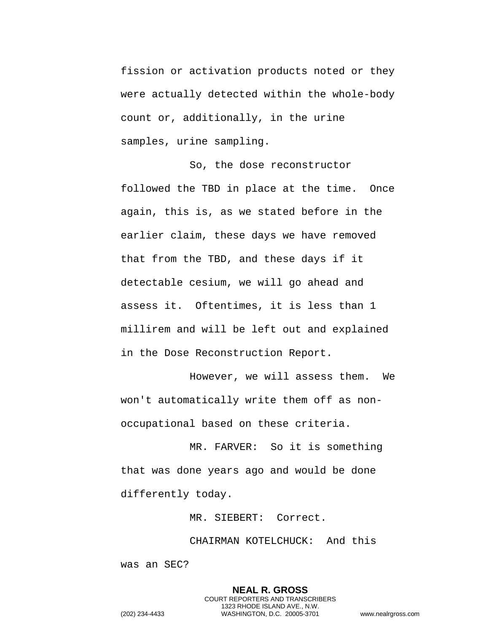fission or activation products noted or they were actually detected within the whole-body count or, additionally, in the urine samples, urine sampling.

So, the dose reconstructor followed the TBD in place at the time. Once again, this is, as we stated before in the earlier claim, these days we have removed that from the TBD, and these days if it detectable cesium, we will go ahead and assess it. Oftentimes, it is less than 1 millirem and will be left out and explained in the Dose Reconstruction Report.

However, we will assess them. We won't automatically write them off as nonoccupational based on these criteria.

MR. FARVER: So it is something that was done years ago and would be done differently today.

MR. SIEBERT: Correct.

CHAIRMAN KOTELCHUCK: And this was an SEC?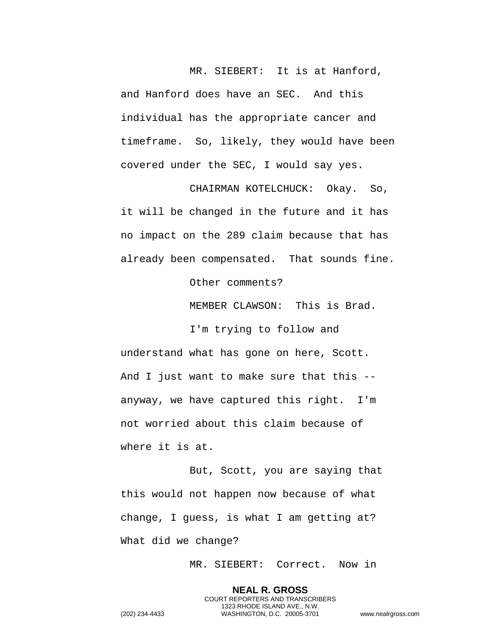MR. SIEBERT: It is at Hanford, and Hanford does have an SEC. And this individual has the appropriate cancer and timeframe. So, likely, they would have been covered under the SEC, I would say yes.

CHAIRMAN KOTELCHUCK: Okay. So, it will be changed in the future and it has no impact on the 289 claim because that has already been compensated. That sounds fine.

Other comments?

MEMBER CLAWSON: This is Brad.

I'm trying to follow and understand what has gone on here, Scott. And I just want to make sure that this - anyway, we have captured this right. I'm not worried about this claim because of where it is at.

But, Scott, you are saying that this would not happen now because of what change, I guess, is what I am getting at? What did we change?

MR. SIEBERT: Correct. Now in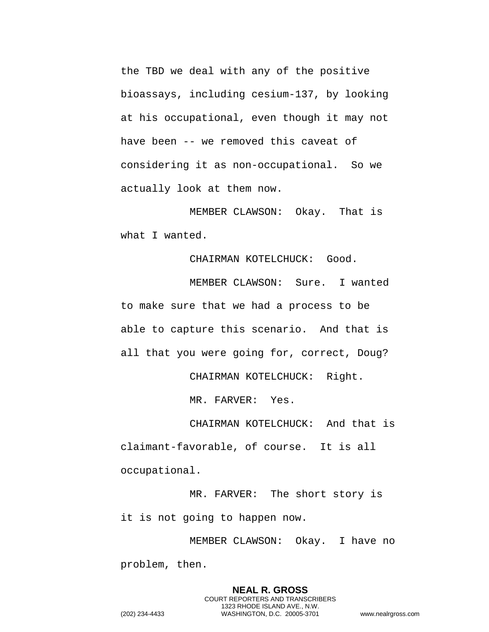the TBD we deal with any of the positive bioassays, including cesium-137, by looking at his occupational, even though it may not have been -- we removed this caveat of considering it as non-occupational. So we actually look at them now.

MEMBER CLAWSON: Okay. That is what I wanted.

CHAIRMAN KOTELCHUCK: Good.

MEMBER CLAWSON: Sure. I wanted to make sure that we had a process to be able to capture this scenario. And that is all that you were going for, correct, Doug?

CHAIRMAN KOTELCHUCK: Right.

MR. FARVER: Yes.

CHAIRMAN KOTELCHUCK: And that is claimant-favorable, of course. It is all occupational.

MR. FARVER: The short story is it is not going to happen now.

MEMBER CLAWSON: Okay. I have no problem, then.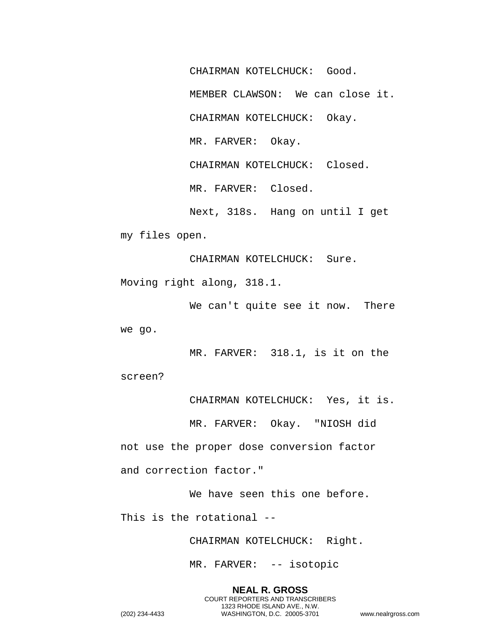CHAIRMAN KOTELCHUCK: Good.

MEMBER CLAWSON: We can close it.

CHAIRMAN KOTELCHUCK: Okay.

MR. FARVER: Okay.

CHAIRMAN KOTELCHUCK: Closed.

MR. FARVER: Closed.

Next, 318s. Hang on until I get my files open.

CHAIRMAN KOTELCHUCK: Sure. Moving right along, 318.1.

We can't quite see it now. There we go.

MR. FARVER: 318.1, is it on the screen?

CHAIRMAN KOTELCHUCK: Yes, it is.

MR. FARVER: Okay. "NIOSH did

not use the proper dose conversion factor

and correction factor."

We have seen this one before.

This is the rotational --

CHAIRMAN KOTELCHUCK: Right.

MR. FARVER: -- isotopic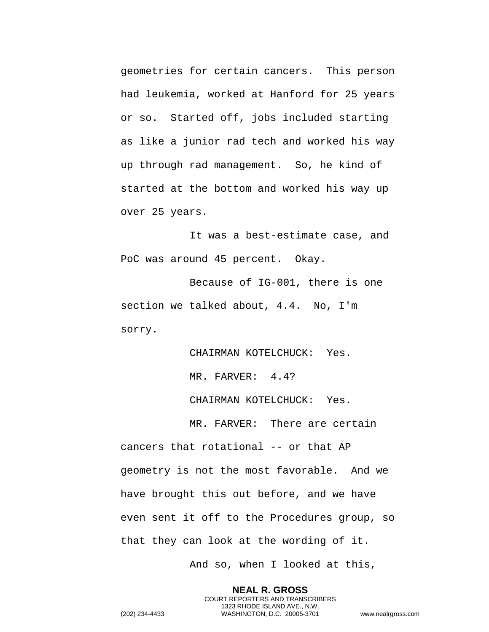geometries for certain cancers. This person had leukemia, worked at Hanford for 25 years or so. Started off, jobs included starting as like a junior rad tech and worked his way up through rad management. So, he kind of started at the bottom and worked his way up over 25 years.

It was a best-estimate case, and PoC was around 45 percent. Okay.

Because of IG-001, there is one section we talked about, 4.4. No, I'm sorry.

CHAIRMAN KOTELCHUCK: Yes.

MR. FARVER: 4.4?

CHAIRMAN KOTELCHUCK: Yes.

MR. FARVER: There are certain cancers that rotational -- or that AP geometry is not the most favorable. And we have brought this out before, and we have even sent it off to the Procedures group, so that they can look at the wording of it.

And so, when I looked at this,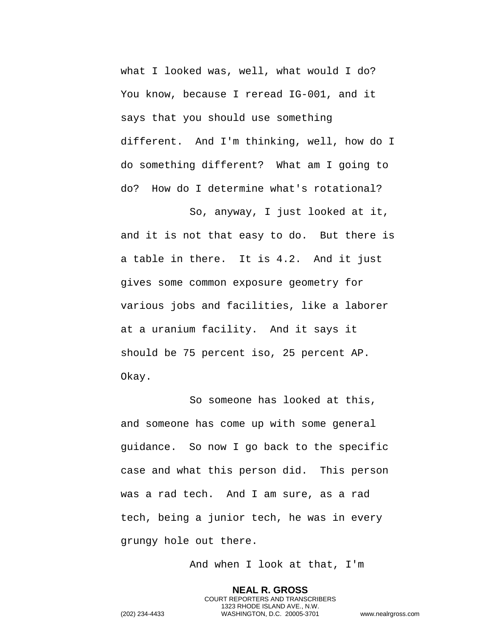what I looked was, well, what would I do? You know, because I reread IG-001, and it says that you should use something different. And I'm thinking, well, how do I do something different? What am I going to do? How do I determine what's rotational?

So, anyway, I just looked at it, and it is not that easy to do. But there is a table in there. It is 4.2. And it just gives some common exposure geometry for various jobs and facilities, like a laborer at a uranium facility. And it says it should be 75 percent iso, 25 percent AP. Okay.

So someone has looked at this, and someone has come up with some general guidance. So now I go back to the specific case and what this person did. This person was a rad tech. And I am sure, as a rad tech, being a junior tech, he was in every grungy hole out there.

And when I look at that, I'm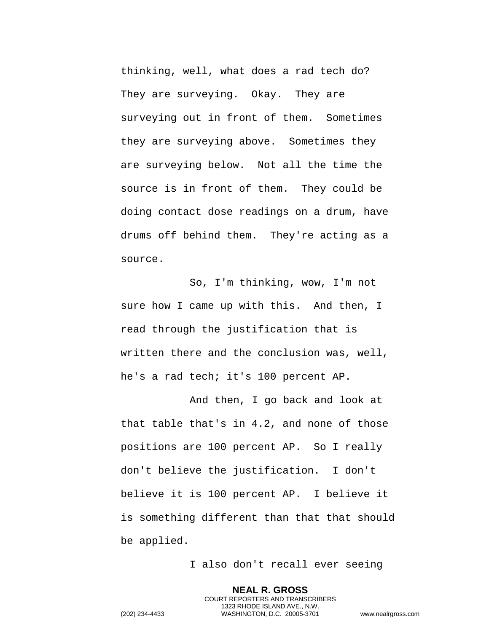thinking, well, what does a rad tech do? They are surveying. Okay. They are surveying out in front of them. Sometimes they are surveying above. Sometimes they are surveying below. Not all the time the source is in front of them. They could be doing contact dose readings on a drum, have drums off behind them. They're acting as a source.

So, I'm thinking, wow, I'm not sure how I came up with this. And then, I read through the justification that is written there and the conclusion was, well, he's a rad tech; it's 100 percent AP.

And then, I go back and look at that table that's in 4.2, and none of those positions are 100 percent AP. So I really don't believe the justification. I don't believe it is 100 percent AP. I believe it is something different than that that should be applied.

I also don't recall ever seeing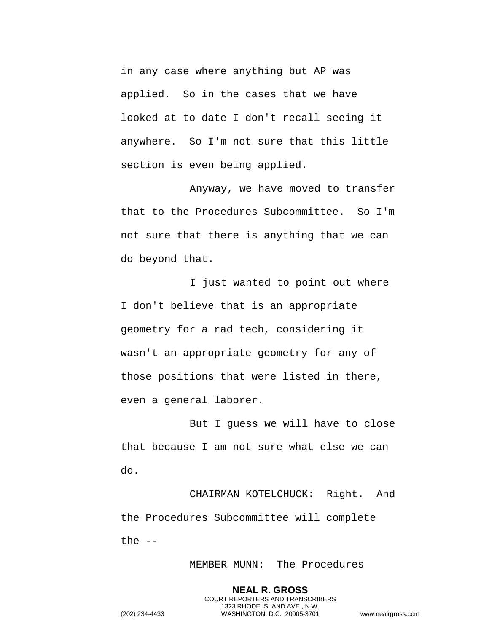in any case where anything but AP was applied. So in the cases that we have looked at to date I don't recall seeing it anywhere. So I'm not sure that this little section is even being applied.

Anyway, we have moved to transfer that to the Procedures Subcommittee. So I'm not sure that there is anything that we can do beyond that.

I just wanted to point out where I don't believe that is an appropriate geometry for a rad tech, considering it wasn't an appropriate geometry for any of those positions that were listed in there, even a general laborer.

But I guess we will have to close that because I am not sure what else we can do.

CHAIRMAN KOTELCHUCK: Right. And the Procedures Subcommittee will complete the  $--$ 

MEMBER MUNN: The Procedures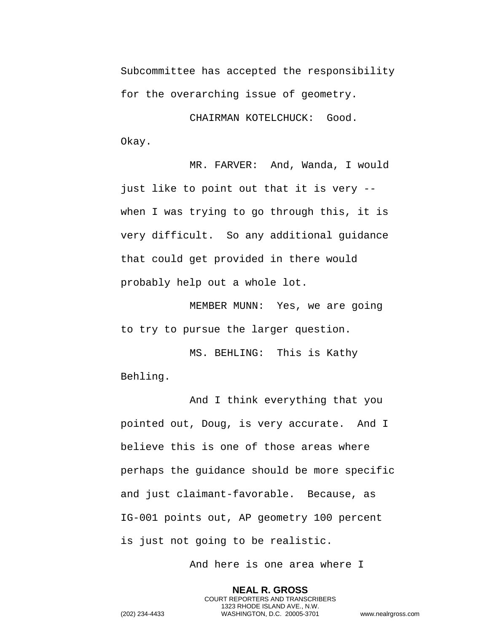Subcommittee has accepted the responsibility for the overarching issue of geometry.

CHAIRMAN KOTELCHUCK: Good. Okay.

MR. FARVER: And, Wanda, I would just like to point out that it is very - when I was trying to go through this, it is very difficult. So any additional guidance that could get provided in there would probably help out a whole lot.

MEMBER MUNN: Yes, we are going to try to pursue the larger question.

MS. BEHLING: This is Kathy Behling.

And I think everything that you pointed out, Doug, is very accurate. And I believe this is one of those areas where perhaps the guidance should be more specific and just claimant-favorable. Because, as IG-001 points out, AP geometry 100 percent is just not going to be realistic.

And here is one area where I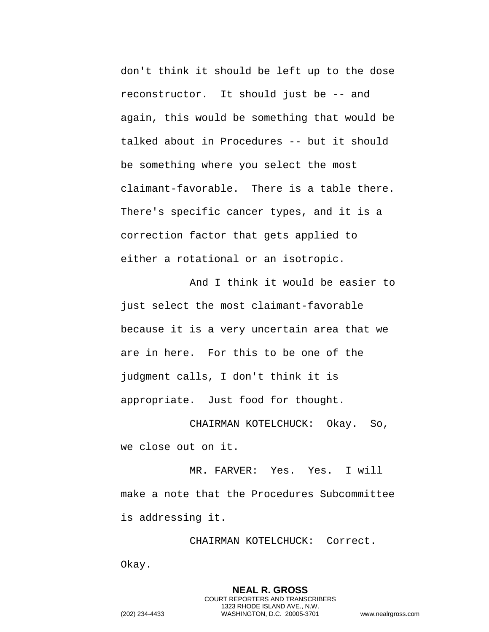don't think it should be left up to the dose reconstructor. It should just be -- and again, this would be something that would be talked about in Procedures -- but it should be something where you select the most claimant-favorable. There is a table there. There's specific cancer types, and it is a correction factor that gets applied to either a rotational or an isotropic.

And I think it would be easier to just select the most claimant-favorable because it is a very uncertain area that we are in here. For this to be one of the judgment calls, I don't think it is appropriate. Just food for thought.

CHAIRMAN KOTELCHUCK: Okay. So, we close out on it.

MR. FARVER: Yes. Yes. I will make a note that the Procedures Subcommittee is addressing it.

CHAIRMAN KOTELCHUCK: Correct. Okay.

> **NEAL R. GROSS** COURT REPORTERS AND TRANSCRIBERS 1323 RHODE ISLAND AVE., N.W.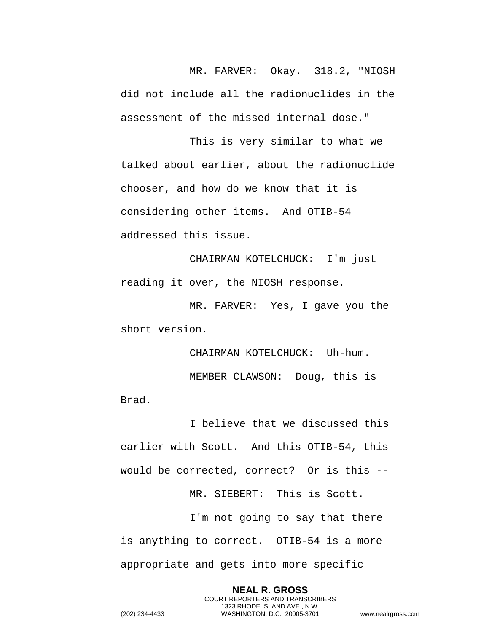MR. FARVER: Okay. 318.2, "NIOSH did not include all the radionuclides in the assessment of the missed internal dose."

This is very similar to what we talked about earlier, about the radionuclide chooser, and how do we know that it is considering other items. And OTIB-54 addressed this issue.

CHAIRMAN KOTELCHUCK: I'm just reading it over, the NIOSH response.

MR. FARVER: Yes, I gave you the short version.

CHAIRMAN KOTELCHUCK: Uh-hum. MEMBER CLAWSON: Doug, this is Brad.

I believe that we discussed this earlier with Scott. And this OTIB-54, this would be corrected, correct? Or is this --

MR. SIEBERT: This is Scott.

**NEAL R. GROSS** COURT REPORTERS AND TRANSCRIBERS 1323 RHODE ISLAND AVE., N.W.

I'm not going to say that there is anything to correct. OTIB-54 is a more appropriate and gets into more specific

(202) 234-4433 WASHINGTON, D.C. 20005-3701 www.nealrgross.com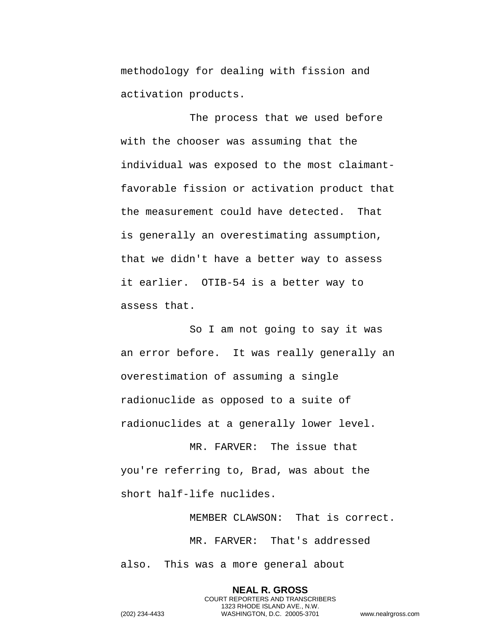methodology for dealing with fission and activation products.

The process that we used before with the chooser was assuming that the individual was exposed to the most claimantfavorable fission or activation product that the measurement could have detected. That is generally an overestimating assumption, that we didn't have a better way to assess it earlier. OTIB-54 is a better way to assess that.

So I am not going to say it was an error before. It was really generally an overestimation of assuming a single radionuclide as opposed to a suite of radionuclides at a generally lower level.

MR. FARVER: The issue that you're referring to, Brad, was about the short half-life nuclides.

MEMBER CLAWSON: That is correct. MR. FARVER: That's addressed also. This was a more general about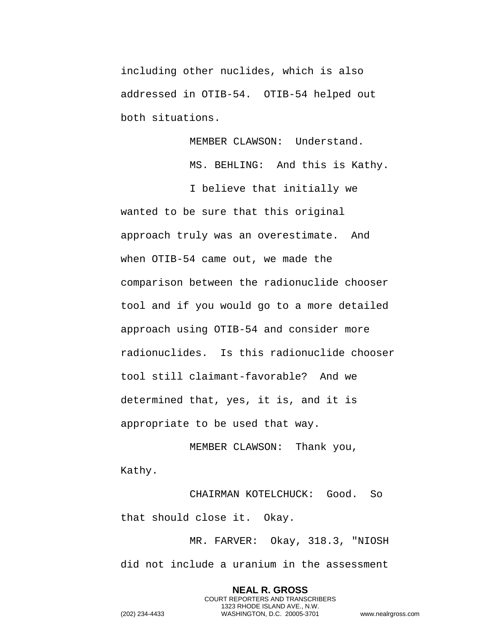including other nuclides, which is also addressed in OTIB-54. OTIB-54 helped out both situations.

MEMBER CLAWSON: Understand. MS. BEHLING: And this is Kathy. I believe that initially we wanted to be sure that this original approach truly was an overestimate. And when OTIB-54 came out, we made the comparison between the radionuclide chooser tool and if you would go to a more detailed approach using OTIB-54 and consider more radionuclides. Is this radionuclide chooser tool still claimant-favorable? And we determined that, yes, it is, and it is appropriate to be used that way.

MEMBER CLAWSON: Thank you, Kathy.

CHAIRMAN KOTELCHUCK: Good. So that should close it. Okay.

MR. FARVER: Okay, 318.3, "NIOSH did not include a uranium in the assessment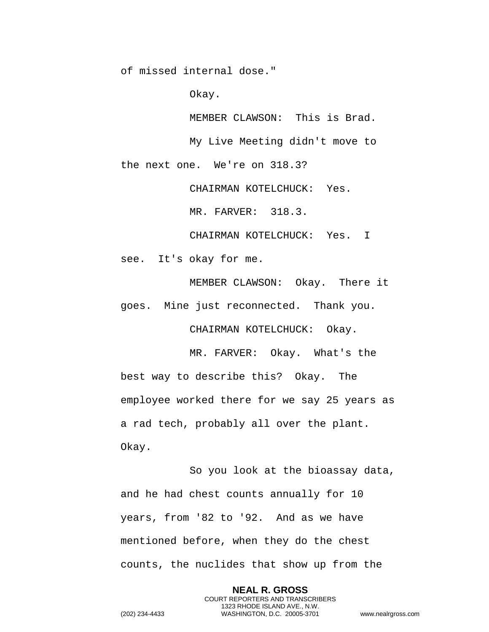of missed internal dose."

Okay.

MEMBER CLAWSON: This is Brad.

My Live Meeting didn't move to the next one. We're on 318.3?

CHAIRMAN KOTELCHUCK: Yes.

MR. FARVER: 318.3.

CHAIRMAN KOTELCHUCK: Yes. I

see. It's okay for me.

MEMBER CLAWSON: Okay. There it goes. Mine just reconnected. Thank you.

CHAIRMAN KOTELCHUCK: Okay.

MR. FARVER: Okay. What's the best way to describe this? Okay. The employee worked there for we say 25 years as a rad tech, probably all over the plant. Okay.

So you look at the bioassay data, and he had chest counts annually for 10 years, from '82 to '92. And as we have mentioned before, when they do the chest counts, the nuclides that show up from the

> **NEAL R. GROSS** COURT REPORTERS AND TRANSCRIBERS 1323 RHODE ISLAND AVE., N.W.

(202) 234-4433 WASHINGTON, D.C. 20005-3701 www.nealrgross.com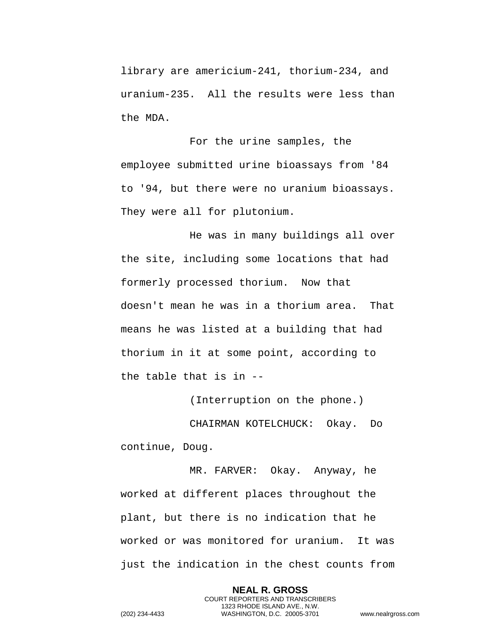library are americium-241, thorium-234, and uranium-235. All the results were less than the MDA.

For the urine samples, the employee submitted urine bioassays from '84 to '94, but there were no uranium bioassays. They were all for plutonium.

He was in many buildings all over the site, including some locations that had formerly processed thorium. Now that doesn't mean he was in a thorium area. That means he was listed at a building that had thorium in it at some point, according to the table that is in --

(Interruption on the phone.) CHAIRMAN KOTELCHUCK: Okay. Do continue, Doug.

MR. FARVER: Okay. Anyway, he worked at different places throughout the plant, but there is no indication that he worked or was monitored for uranium. It was just the indication in the chest counts from

> **NEAL R. GROSS** COURT REPORTERS AND TRANSCRIBERS 1323 RHODE ISLAND AVE., N.W.

(202) 234-4433 WASHINGTON, D.C. 20005-3701 www.nealrgross.com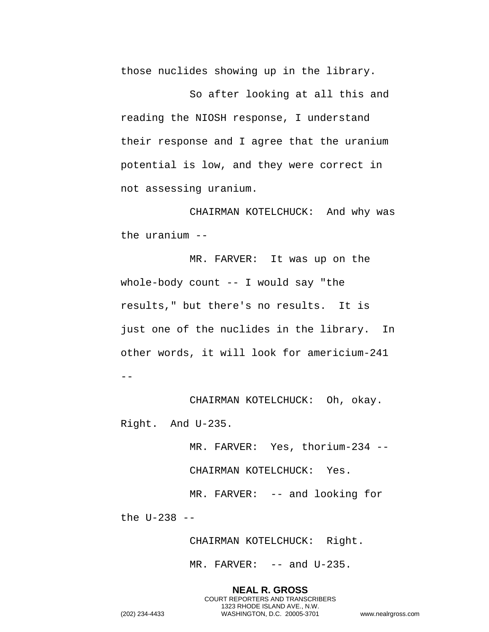those nuclides showing up in the library.

So after looking at all this and reading the NIOSH response, I understand their response and I agree that the uranium potential is low, and they were correct in not assessing uranium.

CHAIRMAN KOTELCHUCK: And why was the uranium --

MR. FARVER: It was up on the whole-body count -- I would say "the results," but there's no results. It is just one of the nuclides in the library. In other words, it will look for americium-241  $- -$ 

CHAIRMAN KOTELCHUCK: Oh, okay. Right. And U-235.

MR. FARVER: Yes, thorium-234 --

CHAIRMAN KOTELCHUCK: Yes.

MR. FARVER: -- and looking for

the U-238 --

CHAIRMAN KOTELCHUCK: Right.

MR. FARVER: -- and U-235.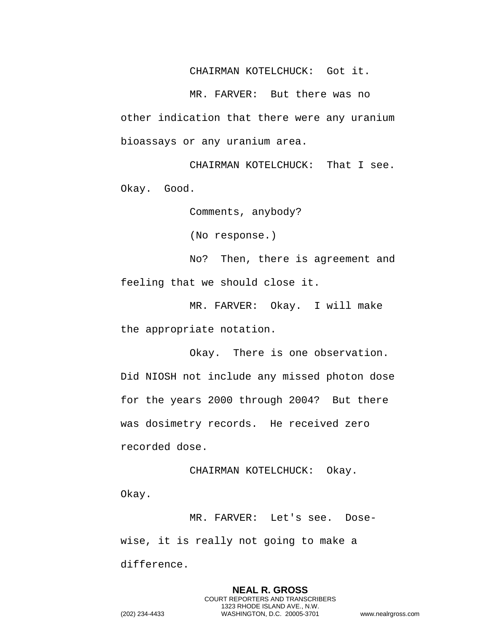CHAIRMAN KOTELCHUCK: Got it.

MR. FARVER: But there was no other indication that there were any uranium bioassays or any uranium area.

CHAIRMAN KOTELCHUCK: That I see. Okay. Good.

Comments, anybody?

(No response.)

No? Then, there is agreement and feeling that we should close it.

MR. FARVER: Okay. I will make the appropriate notation.

Okay. There is one observation. Did NIOSH not include any missed photon dose for the years 2000 through 2004? But there was dosimetry records. He received zero recorded dose.

CHAIRMAN KOTELCHUCK: Okay. Okay.

MR. FARVER: Let's see. Dosewise, it is really not going to make a difference.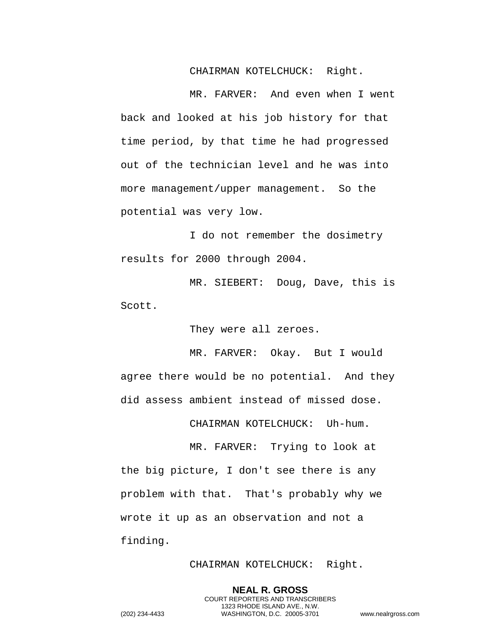CHAIRMAN KOTELCHUCK: Right.

MR. FARVER: And even when I went back and looked at his job history for that time period, by that time he had progressed out of the technician level and he was into more management/upper management. So the potential was very low.

I do not remember the dosimetry results for 2000 through 2004.

MR. SIEBERT: Doug, Dave, this is Scott.

They were all zeroes.

MR. FARVER: Okay. But I would agree there would be no potential. And they did assess ambient instead of missed dose.

CHAIRMAN KOTELCHUCK: Uh-hum.

MR. FARVER: Trying to look at the big picture, I don't see there is any problem with that. That's probably why we wrote it up as an observation and not a finding.

CHAIRMAN KOTELCHUCK: Right.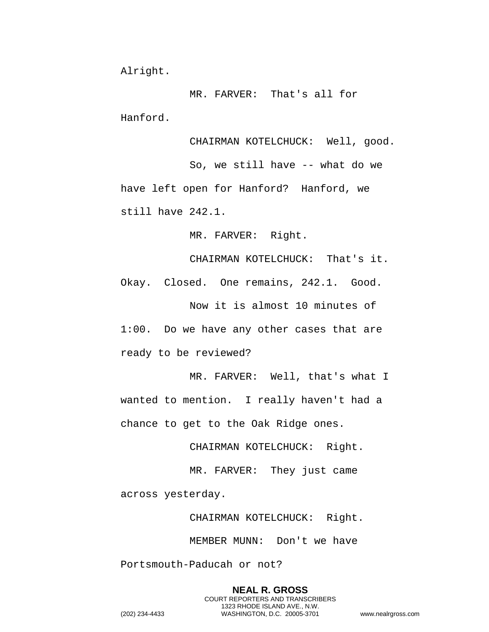Alright.

MR. FARVER: That's all for Hanford.

CHAIRMAN KOTELCHUCK: Well, good. So, we still have -- what do we have left open for Hanford? Hanford, we

still have 242.1.

MR. FARVER: Right.

CHAIRMAN KOTELCHUCK: That's it. Okay. Closed. One remains, 242.1. Good.

Now it is almost 10 minutes of 1:00. Do we have any other cases that are ready to be reviewed?

MR. FARVER: Well, that's what I wanted to mention. I really haven't had a chance to get to the Oak Ridge ones.

CHAIRMAN KOTELCHUCK: Right.

MR. FARVER: They just came across yesterday.

CHAIRMAN KOTELCHUCK: Right.

MEMBER MUNN: Don't we have

Portsmouth-Paducah or not?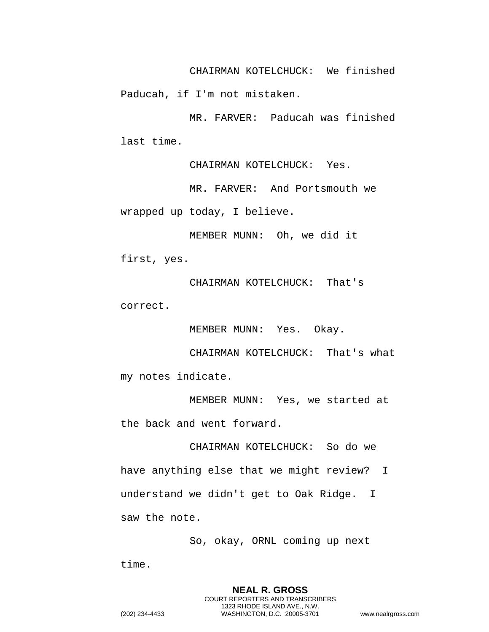CHAIRMAN KOTELCHUCK: We finished Paducah, if I'm not mistaken.

MR. FARVER: Paducah was finished last time.

CHAIRMAN KOTELCHUCK: Yes.

MR. FARVER: And Portsmouth we wrapped up today, I believe.

MEMBER MUNN: Oh, we did it

first, yes.

CHAIRMAN KOTELCHUCK: That's correct.

MEMBER MUNN: Yes. Okay.

CHAIRMAN KOTELCHUCK: That's what my notes indicate.

MEMBER MUNN: Yes, we started at the back and went forward.

CHAIRMAN KOTELCHUCK: So do we have anything else that we might review? I understand we didn't get to Oak Ridge. I saw the note.

So, okay, ORNL coming up next time.

> **NEAL R. GROSS** COURT REPORTERS AND TRANSCRIBERS 1323 RHODE ISLAND AVE., N.W.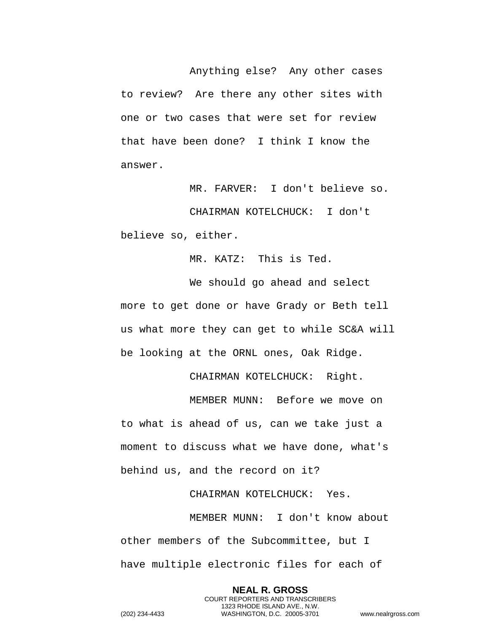Anything else? Any other cases to review? Are there any other sites with one or two cases that were set for review that have been done? I think I know the answer.

MR. FARVER: I don't believe so. CHAIRMAN KOTELCHUCK: I don't believe so, either.

MR. KATZ: This is Ted.

We should go ahead and select more to get done or have Grady or Beth tell us what more they can get to while SC&A will be looking at the ORNL ones, Oak Ridge.

CHAIRMAN KOTELCHUCK: Right.

MEMBER MUNN: Before we move on to what is ahead of us, can we take just a moment to discuss what we have done, what's behind us, and the record on it?

CHAIRMAN KOTELCHUCK: Yes.

MEMBER MUNN: I don't know about other members of the Subcommittee, but I have multiple electronic files for each of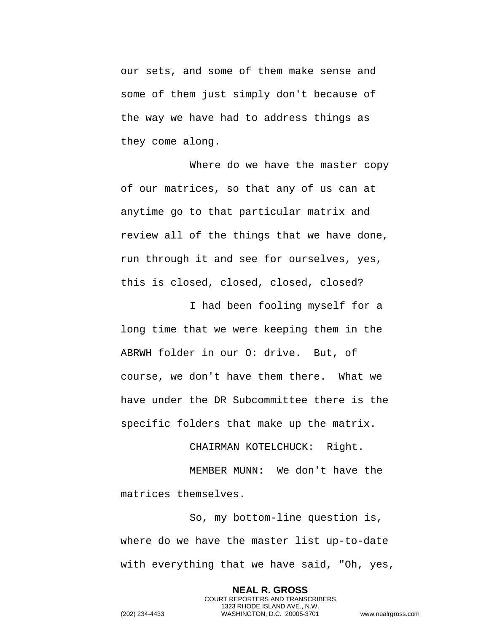our sets, and some of them make sense and some of them just simply don't because of the way we have had to address things as they come along.

Where do we have the master copy of our matrices, so that any of us can at anytime go to that particular matrix and review all of the things that we have done, run through it and see for ourselves, yes, this is closed, closed, closed, closed?

I had been fooling myself for a long time that we were keeping them in the ABRWH folder in our O: drive. But, of course, we don't have them there. What we have under the DR Subcommittee there is the specific folders that make up the matrix.

CHAIRMAN KOTELCHUCK: Right.

MEMBER MUNN: We don't have the matrices themselves.

So, my bottom-line question is, where do we have the master list up-to-date with everything that we have said, "Oh, yes,

> **NEAL R. GROSS** COURT REPORTERS AND TRANSCRIBERS 1323 RHODE ISLAND AVE., N.W.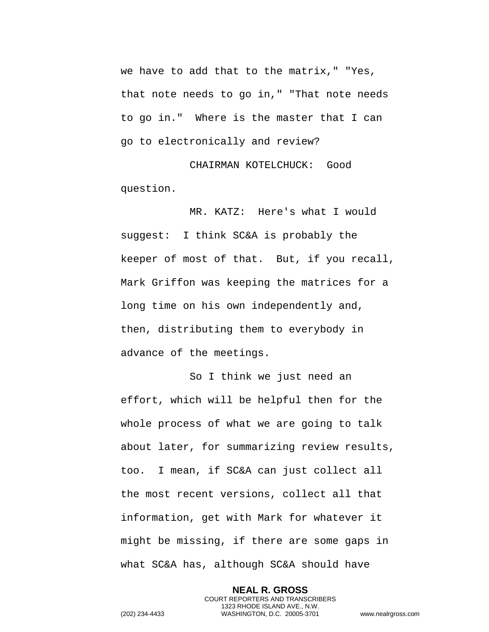we have to add that to the matrix," "Yes, that note needs to go in," "That note needs to go in." Where is the master that I can go to electronically and review?

CHAIRMAN KOTELCHUCK: Good question.

MR. KATZ: Here's what I would suggest: I think SC&A is probably the keeper of most of that. But, if you recall, Mark Griffon was keeping the matrices for a long time on his own independently and, then, distributing them to everybody in advance of the meetings.

So I think we just need an effort, which will be helpful then for the whole process of what we are going to talk about later, for summarizing review results, too. I mean, if SC&A can just collect all the most recent versions, collect all that information, get with Mark for whatever it might be missing, if there are some gaps in what SC&A has, although SC&A should have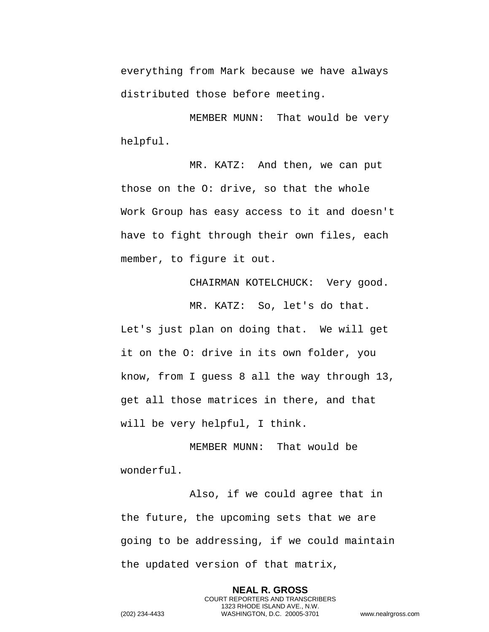everything from Mark because we have always distributed those before meeting.

MEMBER MUNN: That would be very helpful.

MR. KATZ: And then, we can put those on the O: drive, so that the whole Work Group has easy access to it and doesn't have to fight through their own files, each member, to figure it out.

CHAIRMAN KOTELCHUCK: Very good.

MR. KATZ: So, let's do that. Let's just plan on doing that. We will get it on the O: drive in its own folder, you know, from I guess 8 all the way through 13, get all those matrices in there, and that will be very helpful, I think.

MEMBER MUNN: That would be wonderful.

Also, if we could agree that in the future, the upcoming sets that we are going to be addressing, if we could maintain the updated version of that matrix,

> **NEAL R. GROSS** COURT REPORTERS AND TRANSCRIBERS 1323 RHODE ISLAND AVE., N.W.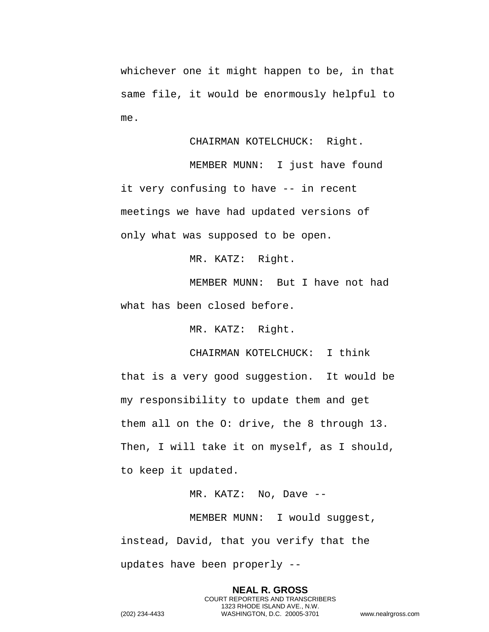whichever one it might happen to be, in that same file, it would be enormously helpful to me.

CHAIRMAN KOTELCHUCK: Right.

MEMBER MUNN: I just have found it very confusing to have -- in recent meetings we have had updated versions of only what was supposed to be open.

MR. KATZ: Right.

MEMBER MUNN: But I have not had what has been closed before.

MR. KATZ: Right.

CHAIRMAN KOTELCHUCK: I think

that is a very good suggestion. It would be my responsibility to update them and get them all on the O: drive, the 8 through 13. Then, I will take it on myself, as I should, to keep it updated.

MR. KATZ: No, Dave --

MEMBER MUNN: I would suggest, instead, David, that you verify that the updates have been properly --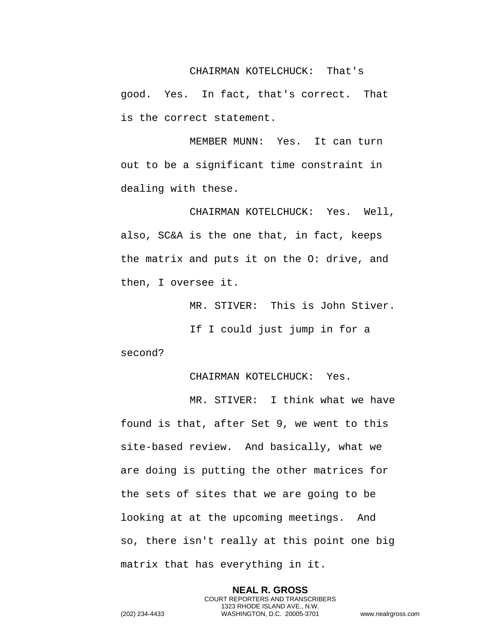## CHAIRMAN KOTELCHUCK: That's

good. Yes. In fact, that's correct. That is the correct statement.

MEMBER MUNN: Yes. It can turn out to be a significant time constraint in dealing with these.

CHAIRMAN KOTELCHUCK: Yes. Well, also, SC&A is the one that, in fact, keeps the matrix and puts it on the O: drive, and then, I oversee it.

MR. STIVER: This is John Stiver.

If I could just jump in for a

second?

#### CHAIRMAN KOTELCHUCK: Yes.

MR. STIVER: I think what we have found is that, after Set 9, we went to this site-based review. And basically, what we are doing is putting the other matrices for the sets of sites that we are going to be looking at at the upcoming meetings. And so, there isn't really at this point one big matrix that has everything in it.

> **NEAL R. GROSS** COURT REPORTERS AND TRANSCRIBERS 1323 RHODE ISLAND AVE., N.W.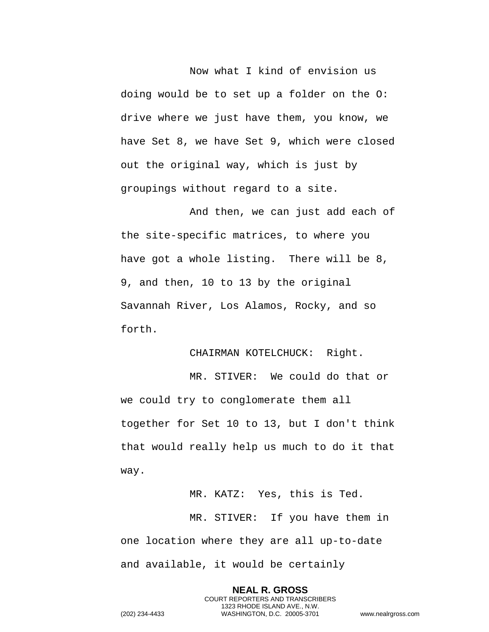Now what I kind of envision us doing would be to set up a folder on the O: drive where we just have them, you know, we have Set 8, we have Set 9, which were closed out the original way, which is just by groupings without regard to a site.

And then, we can just add each of the site-specific matrices, to where you have got a whole listing. There will be 8, 9, and then, 10 to 13 by the original Savannah River, Los Alamos, Rocky, and so forth.

## CHAIRMAN KOTELCHUCK: Right.

MR. STIVER: We could do that or we could try to conglomerate them all together for Set 10 to 13, but I don't think that would really help us much to do it that way.

MR. KATZ: Yes, this is Ted.

MR. STIVER: If you have them in one location where they are all up-to-date and available, it would be certainly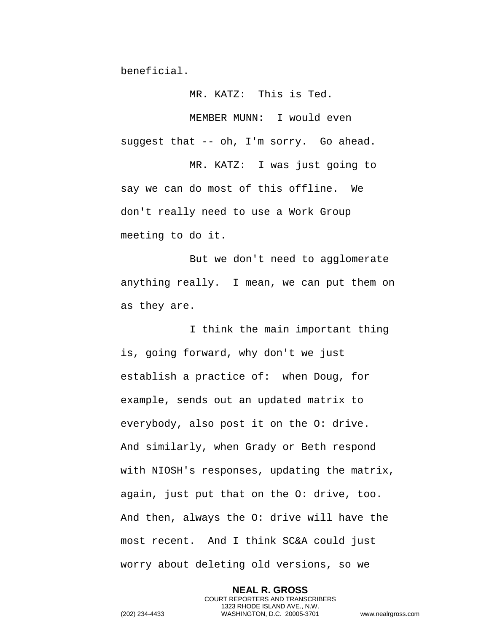beneficial.

MR. KATZ: This is Ted.

MEMBER MUNN: I would even suggest that -- oh, I'm sorry. Go ahead.

MR. KATZ: I was just going to say we can do most of this offline. We don't really need to use a Work Group meeting to do it.

But we don't need to agglomerate anything really. I mean, we can put them on as they are.

I think the main important thing is, going forward, why don't we just establish a practice of: when Doug, for example, sends out an updated matrix to everybody, also post it on the O: drive. And similarly, when Grady or Beth respond with NIOSH's responses, updating the matrix, again, just put that on the O: drive, too. And then, always the O: drive will have the most recent. And I think SC&A could just worry about deleting old versions, so we

> **NEAL R. GROSS** COURT REPORTERS AND TRANSCRIBERS 1323 RHODE ISLAND AVE., N.W.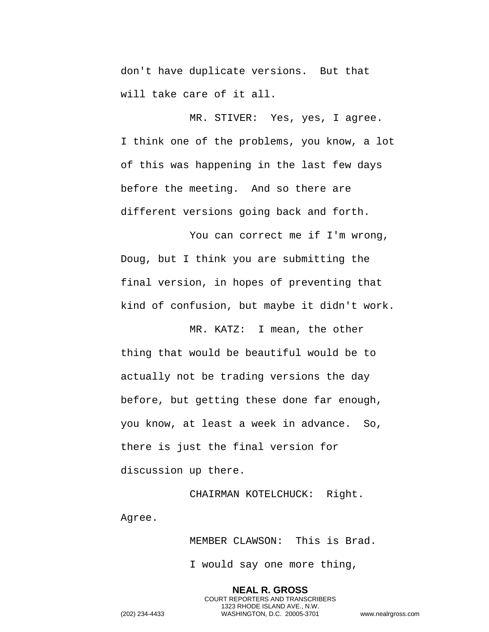don't have duplicate versions. But that will take care of it all.

MR. STIVER: Yes, yes, I agree. I think one of the problems, you know, a lot of this was happening in the last few days before the meeting. And so there are different versions going back and forth.

You can correct me if I'm wrong, Doug, but I think you are submitting the final version, in hopes of preventing that kind of confusion, but maybe it didn't work.

MR. KATZ: I mean, the other thing that would be beautiful would be to actually not be trading versions the day before, but getting these done far enough, you know, at least a week in advance. So, there is just the final version for discussion up there.

CHAIRMAN KOTELCHUCK: Right. Agree.

MEMBER CLAWSON: This is Brad.

I would say one more thing,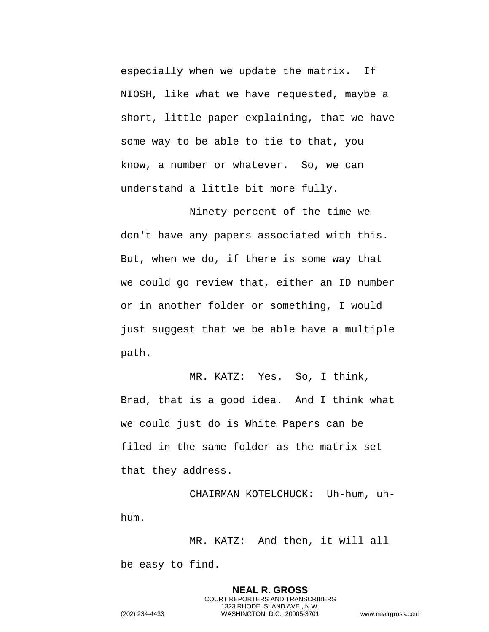especially when we update the matrix. If NIOSH, like what we have requested, maybe a short, little paper explaining, that we have some way to be able to tie to that, you know, a number or whatever. So, we can understand a little bit more fully.

Ninety percent of the time we don't have any papers associated with this. But, when we do, if there is some way that we could go review that, either an ID number or in another folder or something, I would just suggest that we be able have a multiple path.

MR. KATZ: Yes. So, I think, Brad, that is a good idea. And I think what we could just do is White Papers can be filed in the same folder as the matrix set that they address.

CHAIRMAN KOTELCHUCK: Uh-hum, uhhum.

MR. KATZ: And then, it will all be easy to find.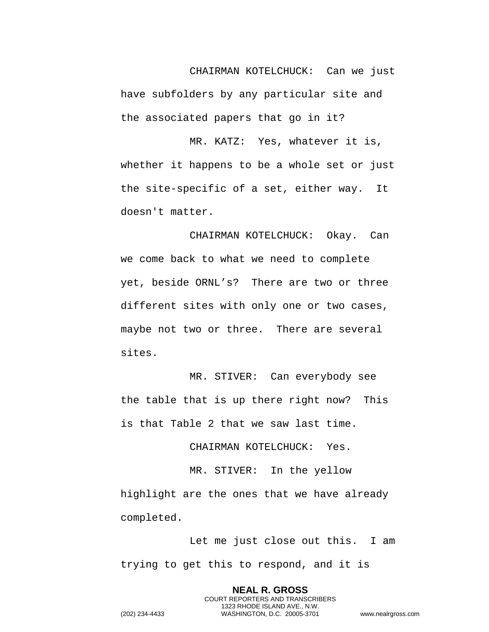CHAIRMAN KOTELCHUCK: Can we just have subfolders by any particular site and the associated papers that go in it?

MR. KATZ: Yes, whatever it is, whether it happens to be a whole set or just the site-specific of a set, either way. It doesn't matter.

CHAIRMAN KOTELCHUCK: Okay. Can we come back to what we need to complete yet, beside ORNL's? There are two or three different sites with only one or two cases, maybe not two or three. There are several sites.

MR. STIVER: Can everybody see the table that is up there right now? This is that Table 2 that we saw last time.

CHAIRMAN KOTELCHUCK: Yes.

MR. STIVER: In the yellow highlight are the ones that we have already completed.

Let me just close out this. I am trying to get this to respond, and it is

> **NEAL R. GROSS** COURT REPORTERS AND TRANSCRIBERS 1323 RHODE ISLAND AVE., N.W.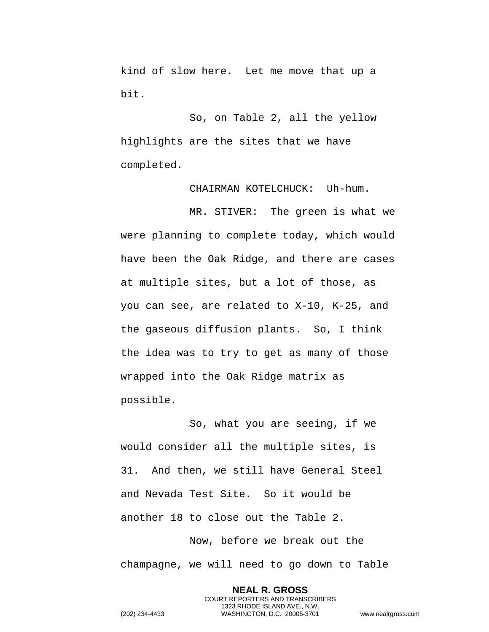kind of slow here. Let me move that up a bit.

So, on Table 2, all the yellow highlights are the sites that we have completed.

CHAIRMAN KOTELCHUCK: Uh-hum.

MR. STIVER: The green is what we were planning to complete today, which would have been the Oak Ridge, and there are cases at multiple sites, but a lot of those, as you can see, are related to X-10, K-25, and the gaseous diffusion plants. So, I think the idea was to try to get as many of those wrapped into the Oak Ridge matrix as possible.

So, what you are seeing, if we would consider all the multiple sites, is 31. And then, we still have General Steel and Nevada Test Site. So it would be another 18 to close out the Table 2.

Now, before we break out the champagne, we will need to go down to Table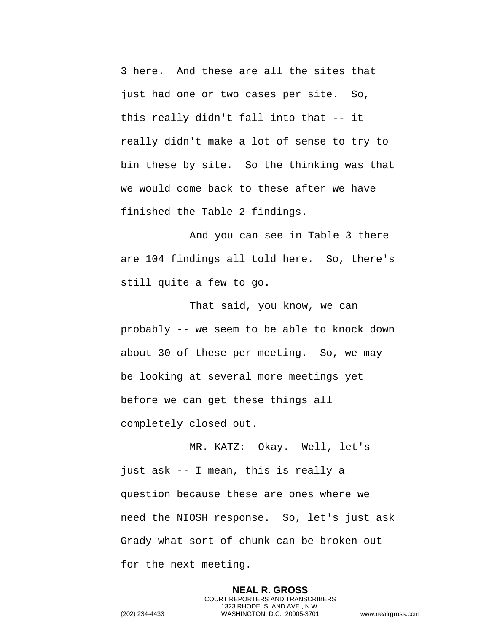3 here. And these are all the sites that just had one or two cases per site. So, this really didn't fall into that -- it really didn't make a lot of sense to try to bin these by site. So the thinking was that we would come back to these after we have finished the Table 2 findings.

And you can see in Table 3 there are 104 findings all told here. So, there's still quite a few to go.

That said, you know, we can probably -- we seem to be able to knock down about 30 of these per meeting. So, we may be looking at several more meetings yet before we can get these things all completely closed out.

MR. KATZ: Okay. Well, let's just ask -- I mean, this is really a question because these are ones where we need the NIOSH response. So, let's just ask Grady what sort of chunk can be broken out for the next meeting.

> **NEAL R. GROSS** COURT REPORTERS AND TRANSCRIBERS 1323 RHODE ISLAND AVE., N.W.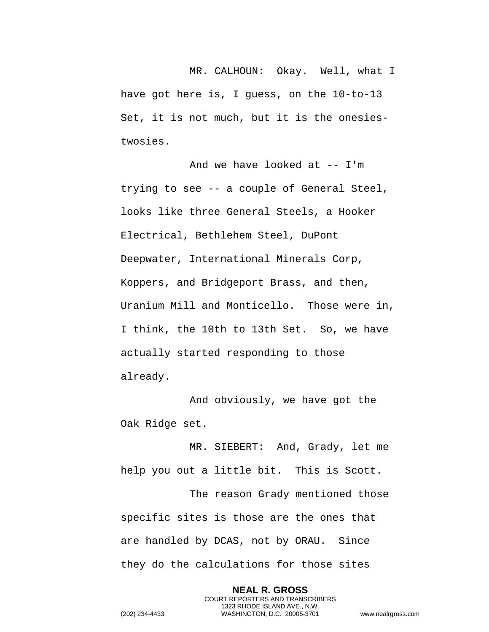MR. CALHOUN: Okay. Well, what I have got here is, I guess, on the 10-to-13 Set, it is not much, but it is the onesiestwosies.

And we have looked at -- I'm trying to see -- a couple of General Steel, looks like three General Steels, a Hooker Electrical, Bethlehem Steel, DuPont Deepwater, International Minerals Corp, Koppers, and Bridgeport Brass, and then, Uranium Mill and Monticello. Those were in, I think, the 10th to 13th Set. So, we have actually started responding to those already.

And obviously, we have got the Oak Ridge set.

MR. SIEBERT: And, Grady, let me help you out a little bit. This is Scott.

The reason Grady mentioned those specific sites is those are the ones that are handled by DCAS, not by ORAU. Since they do the calculations for those sites

> **NEAL R. GROSS** COURT REPORTERS AND TRANSCRIBERS 1323 RHODE ISLAND AVE., N.W.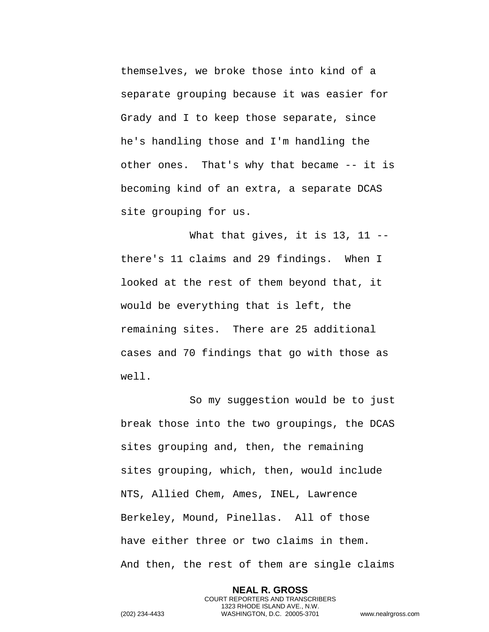themselves, we broke those into kind of a separate grouping because it was easier for Grady and I to keep those separate, since he's handling those and I'm handling the other ones. That's why that became -- it is becoming kind of an extra, a separate DCAS site grouping for us.

What that gives, it is 13, 11 -there's 11 claims and 29 findings. When I looked at the rest of them beyond that, it would be everything that is left, the remaining sites. There are 25 additional cases and 70 findings that go with those as well.

So my suggestion would be to just break those into the two groupings, the DCAS sites grouping and, then, the remaining sites grouping, which, then, would include NTS, Allied Chem, Ames, INEL, Lawrence Berkeley, Mound, Pinellas. All of those have either three or two claims in them. And then, the rest of them are single claims

> **NEAL R. GROSS** COURT REPORTERS AND TRANSCRIBERS 1323 RHODE ISLAND AVE., N.W.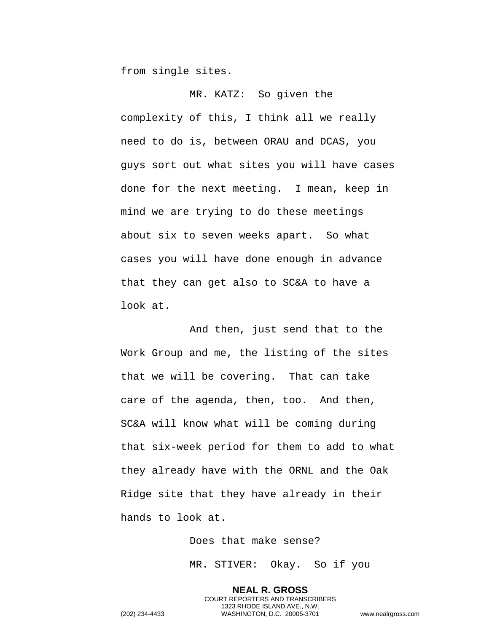from single sites.

MR. KATZ: So given the complexity of this, I think all we really need to do is, between ORAU and DCAS, you guys sort out what sites you will have cases done for the next meeting. I mean, keep in mind we are trying to do these meetings about six to seven weeks apart. So what cases you will have done enough in advance that they can get also to SC&A to have a look at.

And then, just send that to the Work Group and me, the listing of the sites that we will be covering. That can take care of the agenda, then, too. And then, SC&A will know what will be coming during that six-week period for them to add to what they already have with the ORNL and the Oak Ridge site that they have already in their hands to look at.

> Does that make sense? MR. STIVER: Okay. So if you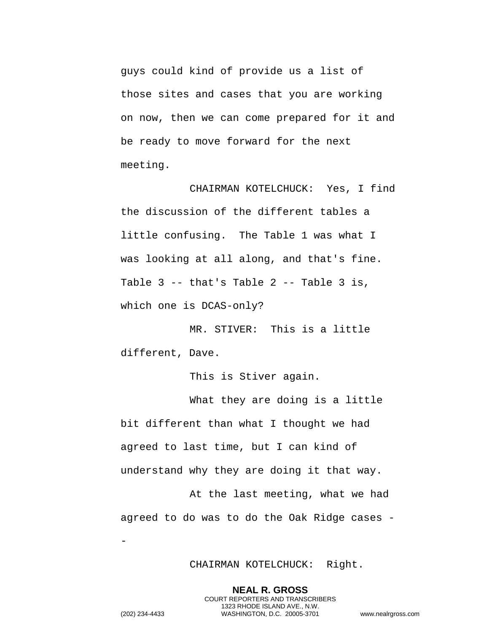guys could kind of provide us a list of those sites and cases that you are working on now, then we can come prepared for it and be ready to move forward for the next meeting.

CHAIRMAN KOTELCHUCK: Yes, I find the discussion of the different tables a little confusing. The Table 1 was what I was looking at all along, and that's fine. Table  $3$  -- that's Table  $2$  -- Table  $3$  is, which one is DCAS-only?

MR. STIVER: This is a little different, Dave.

This is Stiver again.

What they are doing is a little bit different than what I thought we had agreed to last time, but I can kind of understand why they are doing it that way.

At the last meeting, what we had agreed to do was to do the Oak Ridge cases -

CHAIRMAN KOTELCHUCK: Right.

-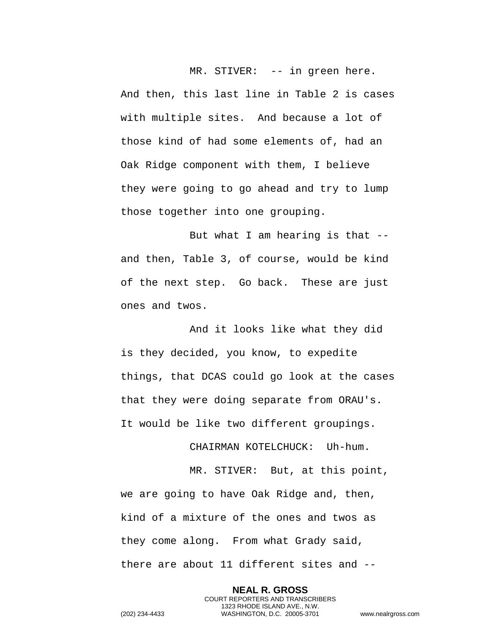MR. STIVER: -- in green here. And then, this last line in Table 2 is cases with multiple sites. And because a lot of those kind of had some elements of, had an Oak Ridge component with them, I believe they were going to go ahead and try to lump those together into one grouping.

But what I am hearing is that - and then, Table 3, of course, would be kind of the next step. Go back. These are just ones and twos.

And it looks like what they did is they decided, you know, to expedite things, that DCAS could go look at the cases that they were doing separate from ORAU's. It would be like two different groupings.

CHAIRMAN KOTELCHUCK: Uh-hum.

MR. STIVER: But, at this point, we are going to have Oak Ridge and, then, kind of a mixture of the ones and twos as they come along. From what Grady said, there are about 11 different sites and --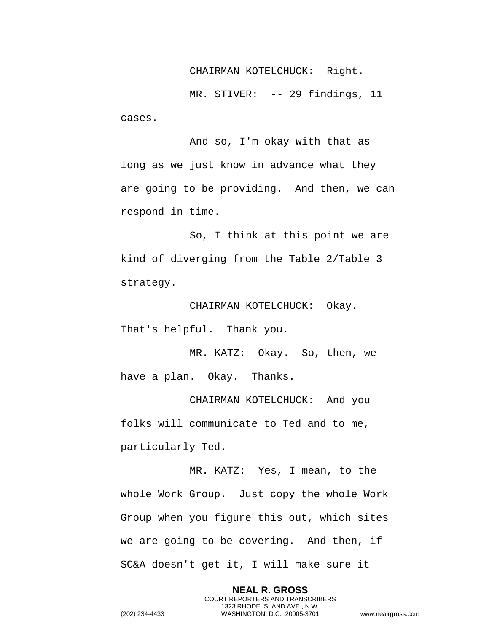CHAIRMAN KOTELCHUCK: Right.

MR. STIVER: -- 29 findings, 11 cases.

And so, I'm okay with that as long as we just know in advance what they are going to be providing. And then, we can respond in time.

So, I think at this point we are kind of diverging from the Table 2/Table 3 strategy.

CHAIRMAN KOTELCHUCK: Okay. That's helpful. Thank you.

MR. KATZ: Okay. So, then, we have a plan. Okay. Thanks.

CHAIRMAN KOTELCHUCK: And you folks will communicate to Ted and to me, particularly Ted.

MR. KATZ: Yes, I mean, to the whole Work Group. Just copy the whole Work Group when you figure this out, which sites we are going to be covering. And then, if SC&A doesn't get it, I will make sure it

> **NEAL R. GROSS** COURT REPORTERS AND TRANSCRIBERS 1323 RHODE ISLAND AVE., N.W.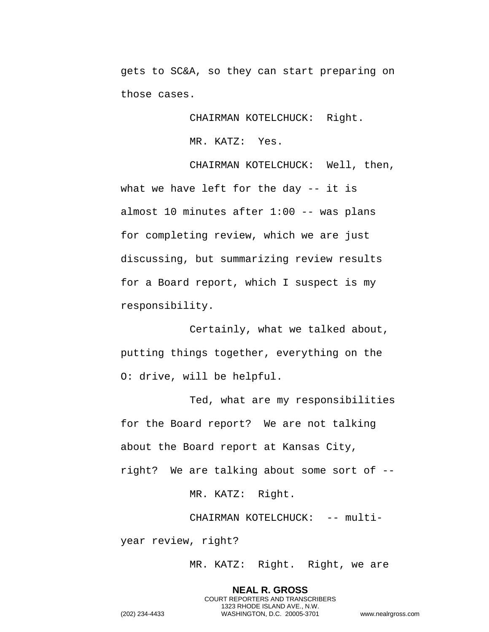gets to SC&A, so they can start preparing on those cases.

CHAIRMAN KOTELCHUCK: Right.

MR. KATZ: Yes.

CHAIRMAN KOTELCHUCK: Well, then, what we have left for the day -- it is almost 10 minutes after 1:00 -- was plans for completing review, which we are just discussing, but summarizing review results for a Board report, which I suspect is my responsibility.

Certainly, what we talked about, putting things together, everything on the O: drive, will be helpful.

Ted, what are my responsibilities for the Board report? We are not talking about the Board report at Kansas City, right? We are talking about some sort of --

MR. KATZ: Right.

CHAIRMAN KOTELCHUCK: -- multi-

year review, right?

MR. KATZ: Right. Right, we are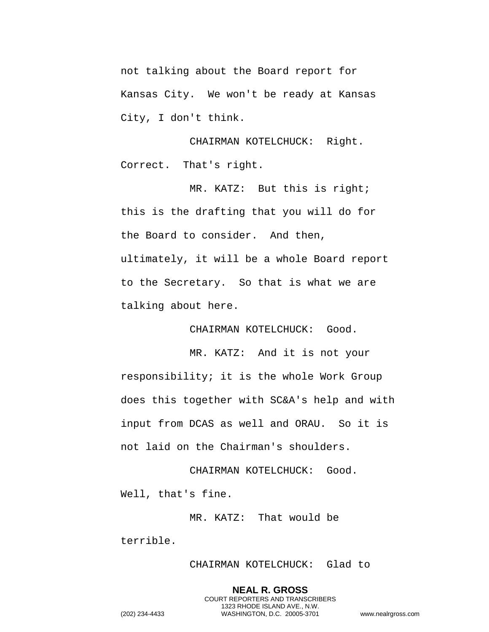not talking about the Board report for Kansas City. We won't be ready at Kansas City, I don't think.

CHAIRMAN KOTELCHUCK: Right. Correct. That's right.

MR. KATZ: But this is right; this is the drafting that you will do for the Board to consider. And then, ultimately, it will be a whole Board report to the Secretary. So that is what we are talking about here.

CHAIRMAN KOTELCHUCK: Good.

MR. KATZ: And it is not your responsibility; it is the whole Work Group does this together with SC&A's help and with input from DCAS as well and ORAU. So it is not laid on the Chairman's shoulders.

CHAIRMAN KOTELCHUCK: Good. Well, that's fine.

MR. KATZ: That would be

terrible.

#### CHAIRMAN KOTELCHUCK: Glad to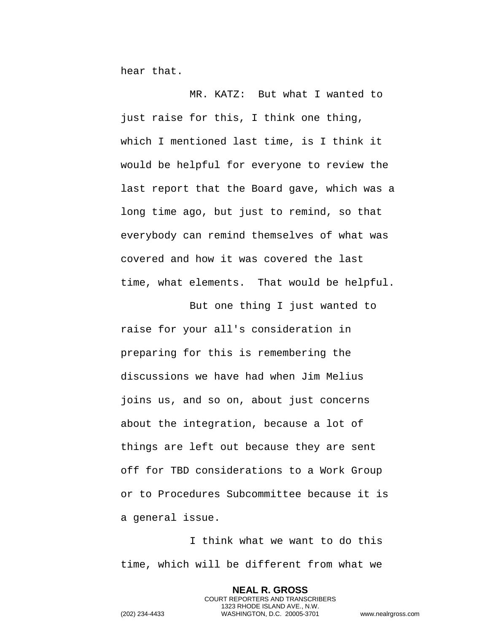hear that.

MR. KATZ: But what I wanted to just raise for this, I think one thing, which I mentioned last time, is I think it would be helpful for everyone to review the last report that the Board gave, which was a long time ago, but just to remind, so that everybody can remind themselves of what was covered and how it was covered the last time, what elements. That would be helpful.

But one thing I just wanted to raise for your all's consideration in preparing for this is remembering the discussions we have had when Jim Melius joins us, and so on, about just concerns about the integration, because a lot of things are left out because they are sent off for TBD considerations to a Work Group or to Procedures Subcommittee because it is a general issue.

I think what we want to do this time, which will be different from what we

> **NEAL R. GROSS** COURT REPORTERS AND TRANSCRIBERS 1323 RHODE ISLAND AVE., N.W.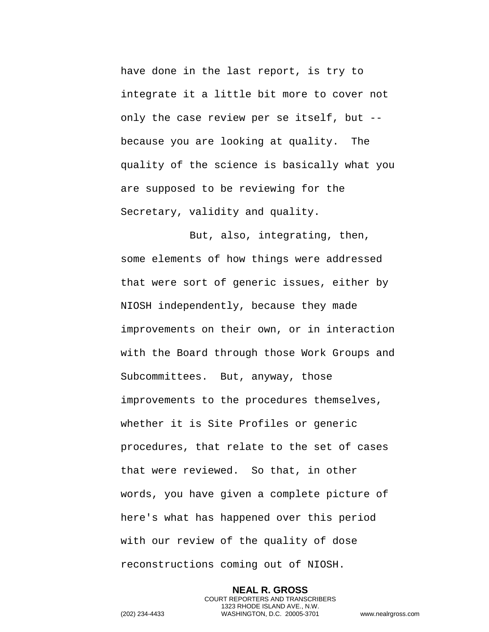have done in the last report, is try to integrate it a little bit more to cover not only the case review per se itself, but - because you are looking at quality. The quality of the science is basically what you are supposed to be reviewing for the Secretary, validity and quality.

But, also, integrating, then, some elements of how things were addressed that were sort of generic issues, either by NIOSH independently, because they made improvements on their own, or in interaction with the Board through those Work Groups and Subcommittees. But, anyway, those improvements to the procedures themselves, whether it is Site Profiles or generic procedures, that relate to the set of cases that were reviewed. So that, in other words, you have given a complete picture of here's what has happened over this period with our review of the quality of dose reconstructions coming out of NIOSH.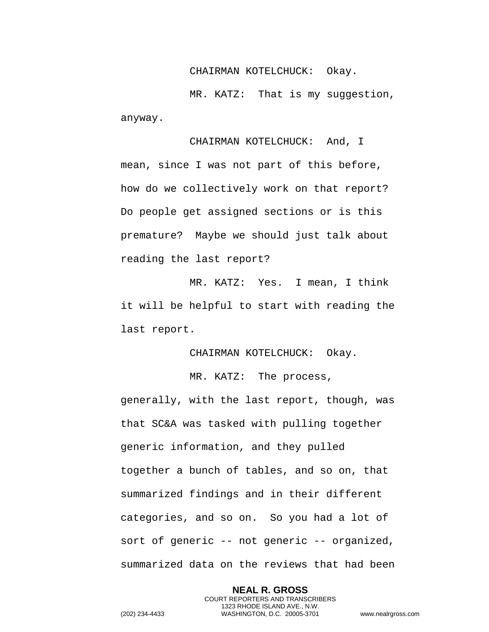## CHAIRMAN KOTELCHUCK: Okay.

MR. KATZ: That is my suggestion, anyway.

CHAIRMAN KOTELCHUCK: And, I mean, since I was not part of this before, how do we collectively work on that report? Do people get assigned sections or is this premature? Maybe we should just talk about reading the last report?

MR. KATZ: Yes. I mean, I think it will be helpful to start with reading the last report.

## CHAIRMAN KOTELCHUCK: Okay.

#### MR. KATZ: The process,

generally, with the last report, though, was that SC&A was tasked with pulling together generic information, and they pulled together a bunch of tables, and so on, that summarized findings and in their different categories, and so on. So you had a lot of sort of generic -- not generic -- organized, summarized data on the reviews that had been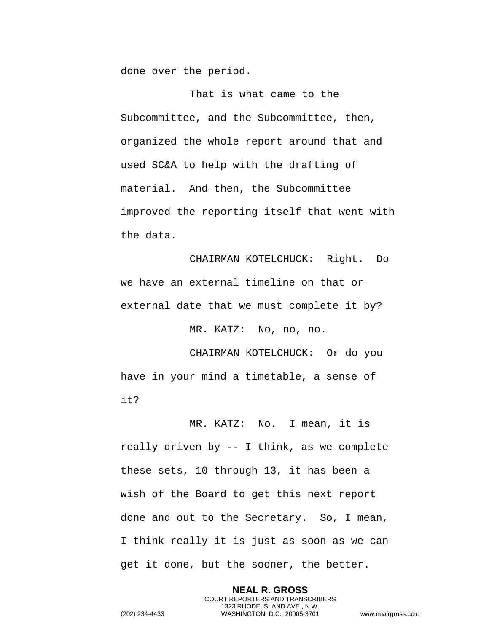done over the period.

That is what came to the Subcommittee, and the Subcommittee, then, organized the whole report around that and used SC&A to help with the drafting of material. And then, the Subcommittee improved the reporting itself that went with the data.

CHAIRMAN KOTELCHUCK: Right. Do we have an external timeline on that or external date that we must complete it by?

MR. KATZ: No, no, no.

CHAIRMAN KOTELCHUCK: Or do you have in your mind a timetable, a sense of it?

MR. KATZ: No. I mean, it is really driven by -- I think, as we complete these sets, 10 through 13, it has been a wish of the Board to get this next report done and out to the Secretary. So, I mean, I think really it is just as soon as we can get it done, but the sooner, the better.

> **NEAL R. GROSS** COURT REPORTERS AND TRANSCRIBERS 1323 RHODE ISLAND AVE., N.W.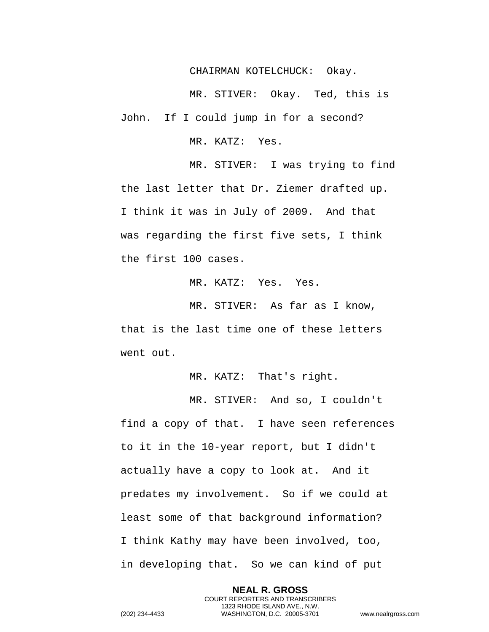CHAIRMAN KOTELCHUCK: Okay.

MR. STIVER: Okay. Ted, this is John. If I could jump in for a second?

MR. KATZ: Yes.

MR. STIVER: I was trying to find the last letter that Dr. Ziemer drafted up. I think it was in July of 2009. And that was regarding the first five sets, I think the first 100 cases.

MR. KATZ: Yes. Yes.

MR. STIVER: As far as I know, that is the last time one of these letters went out.

# MR. KATZ: That's right.

MR. STIVER: And so, I couldn't find a copy of that. I have seen references to it in the 10-year report, but I didn't actually have a copy to look at. And it predates my involvement. So if we could at least some of that background information? I think Kathy may have been involved, too, in developing that. So we can kind of put

> **NEAL R. GROSS** COURT REPORTERS AND TRANSCRIBERS 1323 RHODE ISLAND AVE., N.W.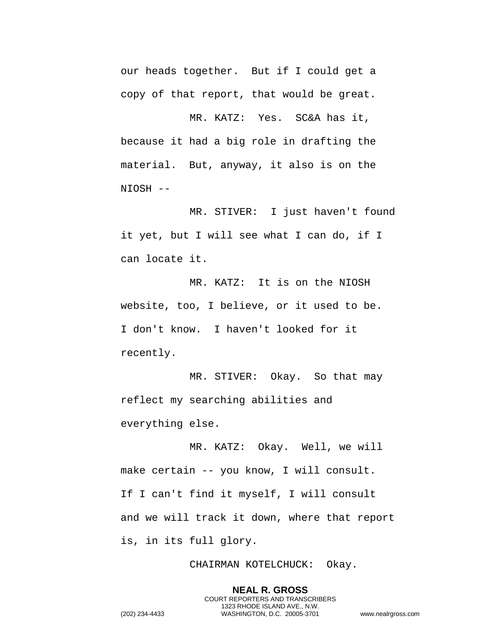our heads together. But if I could get a copy of that report, that would be great.

MR. KATZ: Yes. SC&A has it, because it had a big role in drafting the material. But, anyway, it also is on the NIOSH --

MR. STIVER: I just haven't found it yet, but I will see what I can do, if I can locate it.

MR. KATZ: It is on the NIOSH website, too, I believe, or it used to be. I don't know. I haven't looked for it recently.

MR. STIVER: Okay. So that may reflect my searching abilities and everything else.

MR. KATZ: Okay. Well, we will make certain -- you know, I will consult. If I can't find it myself, I will consult and we will track it down, where that report is, in its full glory.

CHAIRMAN KOTELCHUCK: Okay.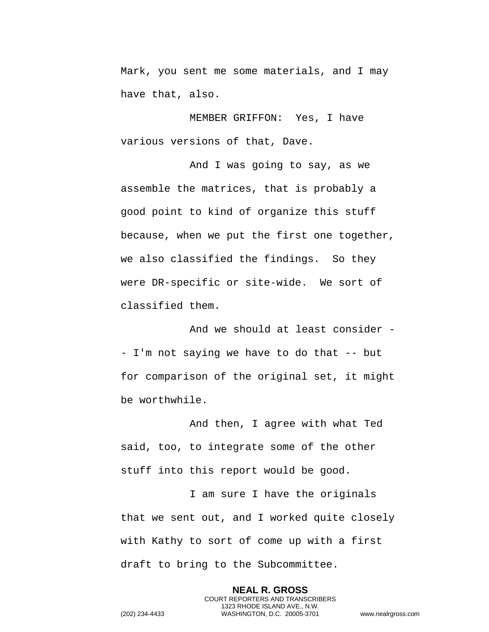Mark, you sent me some materials, and I may have that, also.

MEMBER GRIFFON: Yes, I have various versions of that, Dave.

And I was going to say, as we assemble the matrices, that is probably a good point to kind of organize this stuff because, when we put the first one together, we also classified the findings. So they were DR-specific or site-wide. We sort of classified them.

And we should at least consider - - I'm not saying we have to do that -- but for comparison of the original set, it might be worthwhile.

And then, I agree with what Ted said, too, to integrate some of the other stuff into this report would be good.

I am sure I have the originals that we sent out, and I worked quite closely with Kathy to sort of come up with a first draft to bring to the Subcommittee.

> **NEAL R. GROSS** COURT REPORTERS AND TRANSCRIBERS 1323 RHODE ISLAND AVE., N.W.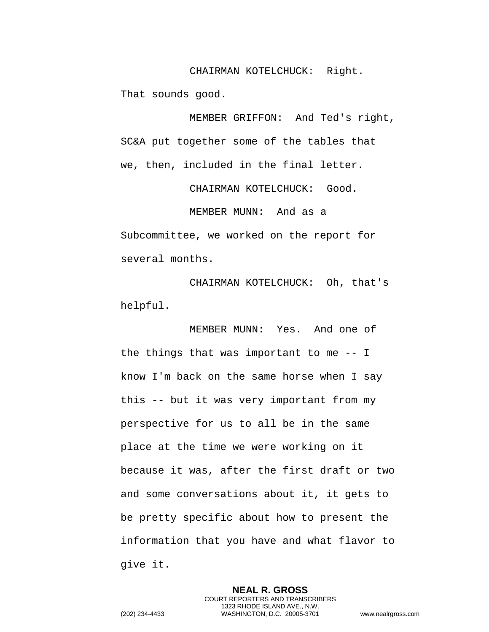CHAIRMAN KOTELCHUCK: Right.

That sounds good.

MEMBER GRIFFON: And Ted's right, SC&A put together some of the tables that we, then, included in the final letter.

CHAIRMAN KOTELCHUCK: Good.

MEMBER MUNN: And as a Subcommittee, we worked on the report for several months.

CHAIRMAN KOTELCHUCK: Oh, that's helpful.

MEMBER MUNN: Yes. And one of the things that was important to me -- I know I'm back on the same horse when I say this -- but it was very important from my perspective for us to all be in the same place at the time we were working on it because it was, after the first draft or two and some conversations about it, it gets to be pretty specific about how to present the information that you have and what flavor to give it.

COURT REPORTERS AND TRANSCRIBERS 1323 RHODE ISLAND AVE., N.W. (202) 234-4433 WASHINGTON, D.C. 20005-3701 www.nealrgross.com

**NEAL R. GROSS**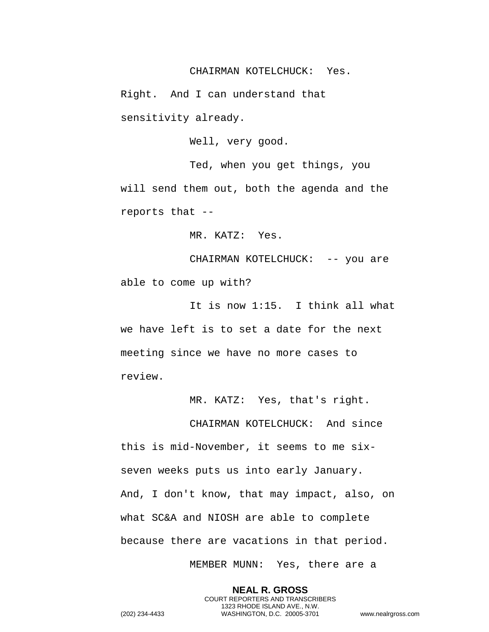## CHAIRMAN KOTELCHUCK: Yes.

Right. And I can understand that sensitivity already.

Well, very good.

Ted, when you get things, you will send them out, both the agenda and the reports that --

MR. KATZ: Yes.

CHAIRMAN KOTELCHUCK: -- you are able to come up with?

It is now 1:15. I think all what we have left is to set a date for the next meeting since we have no more cases to review.

MR. KATZ: Yes, that's right.

CHAIRMAN KOTELCHUCK: And since this is mid-November, it seems to me sixseven weeks puts us into early January. And, I don't know, that may impact, also, on what SC&A and NIOSH are able to complete because there are vacations in that period.

MEMBER MUNN: Yes, there are a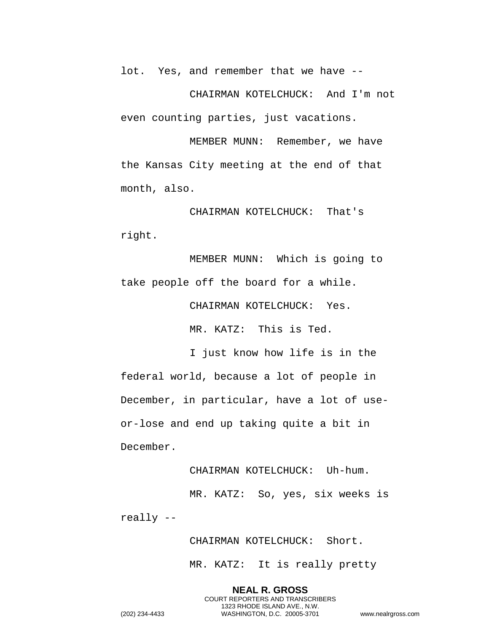lot. Yes, and remember that we have --

CHAIRMAN KOTELCHUCK: And I'm not even counting parties, just vacations.

MEMBER MUNN: Remember, we have the Kansas City meeting at the end of that month, also.

CHAIRMAN KOTELCHUCK: That's right.

MEMBER MUNN: Which is going to take people off the board for a while.

CHAIRMAN KOTELCHUCK: Yes.

MR. KATZ: This is Ted.

I just know how life is in the federal world, because a lot of people in December, in particular, have a lot of useor-lose and end up taking quite a bit in December.

CHAIRMAN KOTELCHUCK: Uh-hum. MR. KATZ: So, yes, six weeks is really --

> CHAIRMAN KOTELCHUCK: Short. MR. KATZ: It is really pretty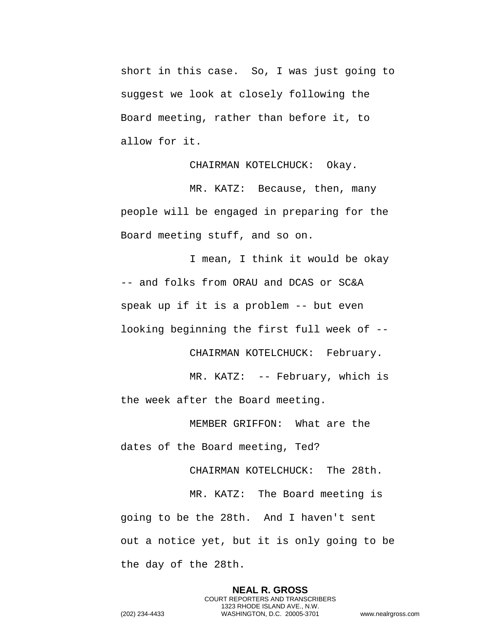short in this case. So, I was just going to suggest we look at closely following the Board meeting, rather than before it, to allow for it.

CHAIRMAN KOTELCHUCK: Okay.

MR. KATZ: Because, then, many people will be engaged in preparing for the Board meeting stuff, and so on.

I mean, I think it would be okay -- and folks from ORAU and DCAS or SC&A speak up if it is a problem -- but even looking beginning the first full week of --

CHAIRMAN KOTELCHUCK: February.

MR. KATZ: -- February, which is the week after the Board meeting.

MEMBER GRIFFON: What are the dates of the Board meeting, Ted?

CHAIRMAN KOTELCHUCK: The 28th.

MR. KATZ: The Board meeting is going to be the 28th. And I haven't sent out a notice yet, but it is only going to be the day of the 28th.

> **NEAL R. GROSS** COURT REPORTERS AND TRANSCRIBERS 1323 RHODE ISLAND AVE., N.W.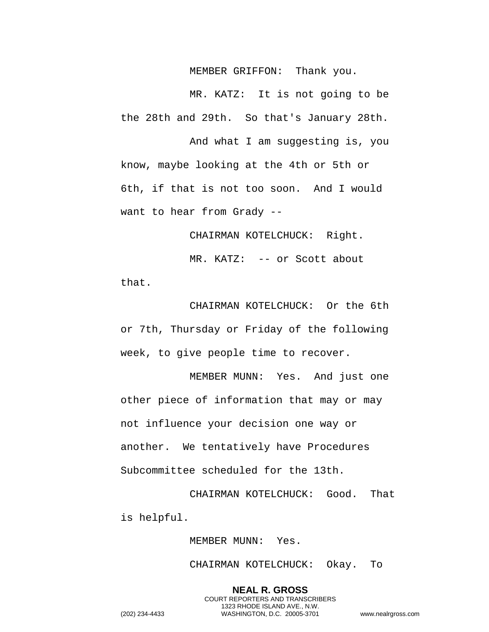MEMBER GRIFFON: Thank you.

MR. KATZ: It is not going to be the 28th and 29th. So that's January 28th.

And what I am suggesting is, you know, maybe looking at the 4th or 5th or 6th, if that is not too soon. And I would want to hear from Grady --

CHAIRMAN KOTELCHUCK: Right.

MR. KATZ: -- or Scott about that.

CHAIRMAN KOTELCHUCK: Or the 6th or 7th, Thursday or Friday of the following week, to give people time to recover.

MEMBER MUNN: Yes. And just one other piece of information that may or may not influence your decision one way or another. We tentatively have Procedures Subcommittee scheduled for the 13th.

CHAIRMAN KOTELCHUCK: Good. That is helpful.

MEMBER MUNN: Yes.

CHAIRMAN KOTELCHUCK: Okay. To

**NEAL R. GROSS** COURT REPORTERS AND TRANSCRIBERS 1323 RHODE ISLAND AVE., N.W. (202) 234-4433 WASHINGTON, D.C. 20005-3701 www.nealrgross.com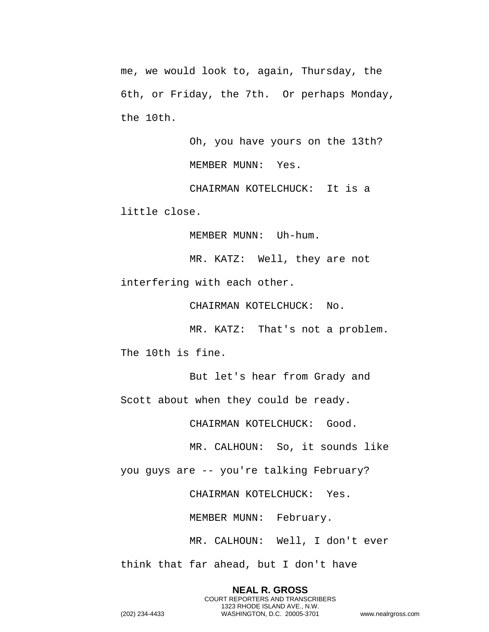me, we would look to, again, Thursday, the 6th, or Friday, the 7th. Or perhaps Monday, the 10th.

> Oh, you have yours on the 13th? MEMBER MUNN: Yes.

CHAIRMAN KOTELCHUCK: It is a little close.

MEMBER MUNN: Uh-hum.

MR. KATZ: Well, they are not interfering with each other.

CHAIRMAN KOTELCHUCK: No.

MR. KATZ: That's not a problem.

The 10th is fine.

But let's hear from Grady and

Scott about when they could be ready.

CHAIRMAN KOTELCHUCK: Good.

MR. CALHOUN: So, it sounds like

you guys are -- you're talking February?

CHAIRMAN KOTELCHUCK: Yes.

MEMBER MUNN: February.

MR. CALHOUN: Well, I don't ever

think that far ahead, but I don't have

**NEAL R. GROSS** COURT REPORTERS AND TRANSCRIBERS 1323 RHODE ISLAND AVE., N.W. (202) 234-4433 WASHINGTON, D.C. 20005-3701 www.nealrgross.com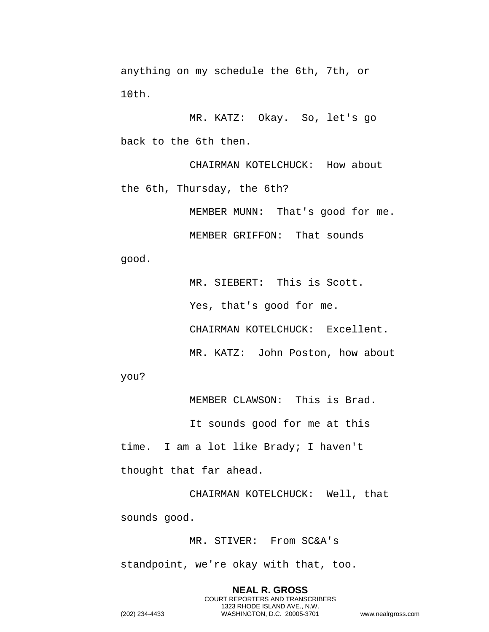anything on my schedule the 6th, 7th, or 10th.

MR. KATZ: Okay. So, let's go back to the 6th then.

CHAIRMAN KOTELCHUCK: How about the 6th, Thursday, the 6th?

MEMBER MUNN: That's good for me.

MEMBER GRIFFON: That sounds

good.

MR. SIEBERT: This is Scott. Yes, that's good for me. CHAIRMAN KOTELCHUCK: Excellent. MR. KATZ: John Poston, how about

you?

MEMBER CLAWSON: This is Brad.

It sounds good for me at this

time. I am a lot like Brady; I haven't thought that far ahead.

CHAIRMAN KOTELCHUCK: Well, that sounds good.

MR. STIVER: From SC&A's

standpoint, we're okay with that, too.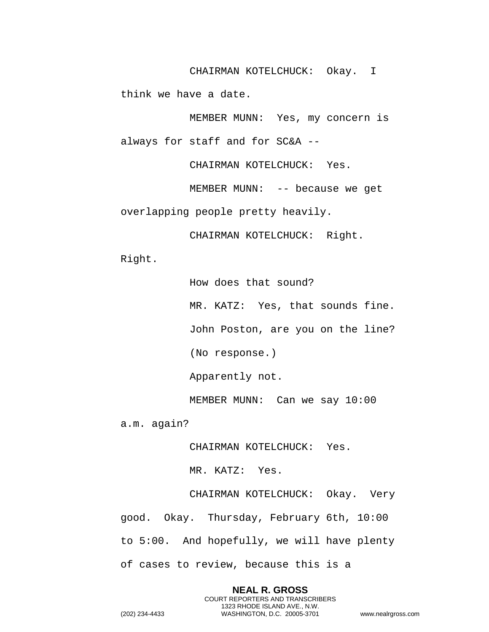CHAIRMAN KOTELCHUCK: Okay. I

think we have a date.

MEMBER MUNN: Yes, my concern is always for staff and for SC&A --

CHAIRMAN KOTELCHUCK: Yes.

MEMBER MUNN: -- because we get

overlapping people pretty heavily.

CHAIRMAN KOTELCHUCK: Right.

Right.

How does that sound? MR. KATZ: Yes, that sounds fine. John Poston, are you on the line? (No response.) Apparently not.

MEMBER MUNN: Can we say 10:00

a.m. again?

CHAIRMAN KOTELCHUCK: Yes.

MR. KATZ: Yes.

CHAIRMAN KOTELCHUCK: Okay. Very good. Okay. Thursday, February 6th, 10:00 to 5:00. And hopefully, we will have plenty of cases to review, because this is a

> **NEAL R. GROSS** COURT REPORTERS AND TRANSCRIBERS 1323 RHODE ISLAND AVE., N.W.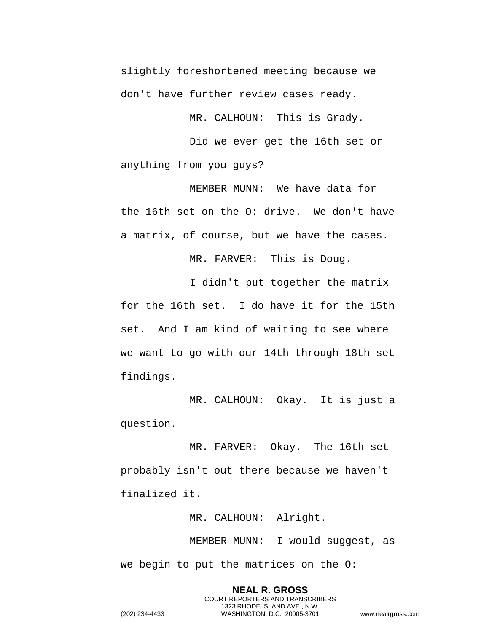slightly foreshortened meeting because we don't have further review cases ready.

MR. CALHOUN: This is Grady.

Did we ever get the 16th set or anything from you guys?

MEMBER MUNN: We have data for the 16th set on the O: drive. We don't have a matrix, of course, but we have the cases.

MR. FARVER: This is Doug.

I didn't put together the matrix for the 16th set. I do have it for the 15th set. And I am kind of waiting to see where we want to go with our 14th through 18th set findings.

MR. CALHOUN: Okay. It is just a question.

MR. FARVER: Okay. The 16th set probably isn't out there because we haven't finalized it.

MR. CALHOUN: Alright.

MEMBER MUNN: I would suggest, as we begin to put the matrices on the O:

**NEAL R. GROSS** COURT REPORTERS AND TRANSCRIBERS 1323 RHODE ISLAND AVE., N.W. (202) 234-4433 WASHINGTON, D.C. 20005-3701 www.nealrgross.com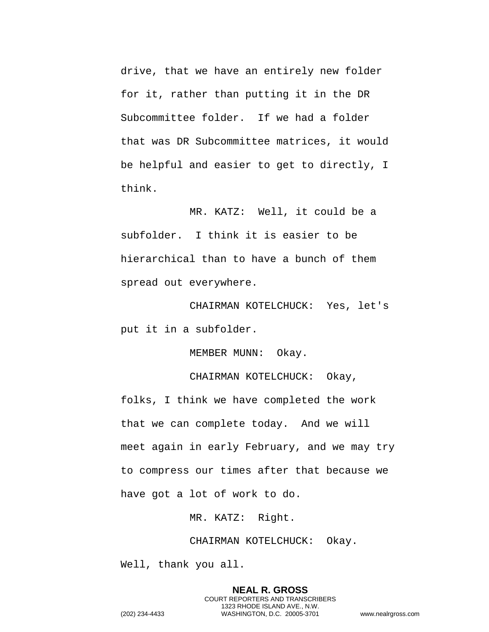drive, that we have an entirely new folder for it, rather than putting it in the DR Subcommittee folder. If we had a folder that was DR Subcommittee matrices, it would be helpful and easier to get to directly, I think.

MR. KATZ: Well, it could be a subfolder. I think it is easier to be hierarchical than to have a bunch of them spread out everywhere.

CHAIRMAN KOTELCHUCK: Yes, let's put it in a subfolder.

MEMBER MUNN: Okay.

folks, I think we have completed the work that we can complete today. And we will meet again in early February, and we may try to compress our times after that because we have got a lot of work to do.

CHAIRMAN KOTELCHUCK: Okay,

MR. KATZ: Right.

CHAIRMAN KOTELCHUCK: Okay.

Well, thank you all.